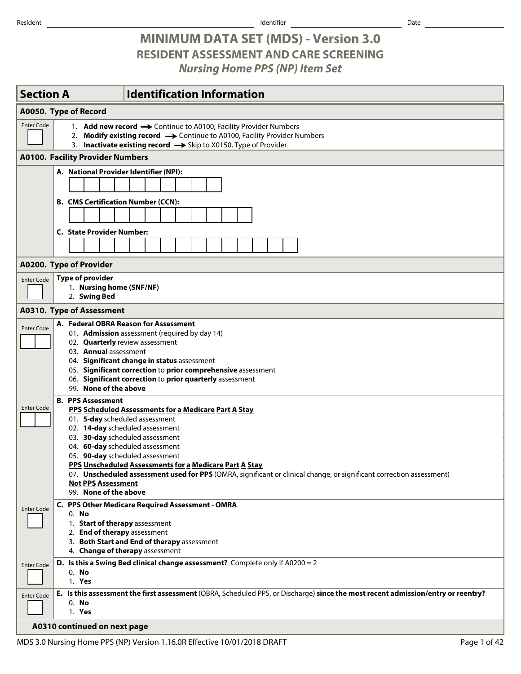### **MINIMUM DATA SET (MDS) - Version 3.0 RESIDENT ASSESSMENT AND CARE SCREENING**  *Nursing Home PPS (NP) Item Set*

| <b>Section A</b>  | <b>Identification Information</b>                                                                                                                                                                                                                      |  |  |  |  |  |  |  |  |
|-------------------|--------------------------------------------------------------------------------------------------------------------------------------------------------------------------------------------------------------------------------------------------------|--|--|--|--|--|--|--|--|
|                   | A0050. Type of Record                                                                                                                                                                                                                                  |  |  |  |  |  |  |  |  |
| <b>Enter Code</b> | 1. Add new record $\rightarrow$ Continue to A0100, Facility Provider Numbers<br>Modify existing record $\rightarrow$ Continue to A0100, Facility Provider Numbers<br>2.<br>3. Inactivate existing record $\rightarrow$ Skip to X0150, Type of Provider |  |  |  |  |  |  |  |  |
|                   | <b>A0100. Facility Provider Numbers</b>                                                                                                                                                                                                                |  |  |  |  |  |  |  |  |
|                   | A. National Provider Identifier (NPI):                                                                                                                                                                                                                 |  |  |  |  |  |  |  |  |
|                   |                                                                                                                                                                                                                                                        |  |  |  |  |  |  |  |  |
|                   | <b>B. CMS Certification Number (CCN):</b>                                                                                                                                                                                                              |  |  |  |  |  |  |  |  |
|                   |                                                                                                                                                                                                                                                        |  |  |  |  |  |  |  |  |
|                   | C. State Provider Number:                                                                                                                                                                                                                              |  |  |  |  |  |  |  |  |
|                   |                                                                                                                                                                                                                                                        |  |  |  |  |  |  |  |  |
|                   |                                                                                                                                                                                                                                                        |  |  |  |  |  |  |  |  |
|                   | A0200. Type of Provider                                                                                                                                                                                                                                |  |  |  |  |  |  |  |  |
| <b>Enter Code</b> | <b>Type of provider</b>                                                                                                                                                                                                                                |  |  |  |  |  |  |  |  |
|                   | 1. Nursing home (SNF/NF)<br>2. Swing Bed                                                                                                                                                                                                               |  |  |  |  |  |  |  |  |
|                   | A0310. Type of Assessment                                                                                                                                                                                                                              |  |  |  |  |  |  |  |  |
| <b>Enter Code</b> | A. Federal OBRA Reason for Assessment                                                                                                                                                                                                                  |  |  |  |  |  |  |  |  |
|                   | 01. Admission assessment (required by day 14)                                                                                                                                                                                                          |  |  |  |  |  |  |  |  |
|                   | 02. Quarterly review assessment<br>03. Annual assessment                                                                                                                                                                                               |  |  |  |  |  |  |  |  |
|                   | 04. Significant change in status assessment                                                                                                                                                                                                            |  |  |  |  |  |  |  |  |
|                   | 05. Significant correction to prior comprehensive assessment                                                                                                                                                                                           |  |  |  |  |  |  |  |  |
|                   | 06. Significant correction to prior quarterly assessment<br>99. None of the above                                                                                                                                                                      |  |  |  |  |  |  |  |  |
|                   | <b>B. PPS Assessment</b>                                                                                                                                                                                                                               |  |  |  |  |  |  |  |  |
| <b>Enter Code</b> | PPS Scheduled Assessments for a Medicare Part A Stay                                                                                                                                                                                                   |  |  |  |  |  |  |  |  |
|                   | 01. 5-day scheduled assessment<br>02. 14-day scheduled assessment                                                                                                                                                                                      |  |  |  |  |  |  |  |  |
|                   | 03. 30-day scheduled assessment                                                                                                                                                                                                                        |  |  |  |  |  |  |  |  |
|                   | 04. 60-day scheduled assessment                                                                                                                                                                                                                        |  |  |  |  |  |  |  |  |
|                   | 05. 90-day scheduled assessment<br><b>PPS Unscheduled Assessments for a Medicare Part A Stay</b>                                                                                                                                                       |  |  |  |  |  |  |  |  |
|                   | 07. Unscheduled assessment used for PPS (OMRA, significant or clinical change, or significant correction assessment)                                                                                                                                   |  |  |  |  |  |  |  |  |
|                   | <b>Not PPS Assessment</b><br>99. None of the above                                                                                                                                                                                                     |  |  |  |  |  |  |  |  |
|                   | C. PPS Other Medicare Required Assessment - OMRA                                                                                                                                                                                                       |  |  |  |  |  |  |  |  |
| <b>Enter Code</b> | 0. <b>No</b>                                                                                                                                                                                                                                           |  |  |  |  |  |  |  |  |
|                   | 1. Start of therapy assessment                                                                                                                                                                                                                         |  |  |  |  |  |  |  |  |
|                   | 2. End of therapy assessment<br>3. Both Start and End of therapy assessment                                                                                                                                                                            |  |  |  |  |  |  |  |  |
|                   | 4. Change of therapy assessment                                                                                                                                                                                                                        |  |  |  |  |  |  |  |  |
| <b>Enter Code</b> | <b>D.</b> Is this a Swing Bed clinical change assessment? Complete only if $A0200 = 2$                                                                                                                                                                 |  |  |  |  |  |  |  |  |
|                   | 0. No<br>1. Yes                                                                                                                                                                                                                                        |  |  |  |  |  |  |  |  |
| <b>Enter Code</b> | E. Is this assessment the first assessment (OBRA, Scheduled PPS, or Discharge) since the most recent admission/entry or reentry?                                                                                                                       |  |  |  |  |  |  |  |  |
|                   | 0. No                                                                                                                                                                                                                                                  |  |  |  |  |  |  |  |  |
|                   | $1.$ Yes                                                                                                                                                                                                                                               |  |  |  |  |  |  |  |  |
|                   | A0310 continued on next page                                                                                                                                                                                                                           |  |  |  |  |  |  |  |  |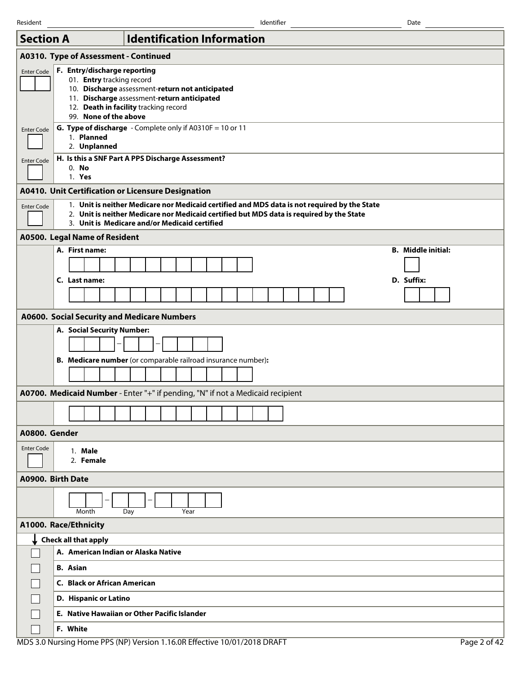| <b>Section A</b>                                                               |                      |                                                                                                                                                                                                                                           |  | <b>Identification Information</b> |  |  |  |  |  |  |  |  |  |  |  |  |                           |  |
|--------------------------------------------------------------------------------|----------------------|-------------------------------------------------------------------------------------------------------------------------------------------------------------------------------------------------------------------------------------------|--|-----------------------------------|--|--|--|--|--|--|--|--|--|--|--|--|---------------------------|--|
| A0310. Type of Assessment - Continued                                          |                      |                                                                                                                                                                                                                                           |  |                                   |  |  |  |  |  |  |  |  |  |  |  |  |                           |  |
| <b>Enter Code</b>                                                              |                      | F. Entry/discharge reporting<br>01. Entry tracking record<br>10. Discharge assessment-return not anticipated<br>11. Discharge assessment-return anticipated<br>12. Death in facility tracking record<br>99. None of the above             |  |                                   |  |  |  |  |  |  |  |  |  |  |  |  |                           |  |
| <b>Enter Code</b>                                                              |                      | <b>G. Type of discharge</b> - Complete only if A0310F = 10 or 11<br>1. Planned<br>2. Unplanned                                                                                                                                            |  |                                   |  |  |  |  |  |  |  |  |  |  |  |  |                           |  |
| <b>Enter Code</b>                                                              |                      | H. Is this a SNF Part A PPS Discharge Assessment?<br>0. No<br>1. Yes                                                                                                                                                                      |  |                                   |  |  |  |  |  |  |  |  |  |  |  |  |                           |  |
| A0410. Unit Certification or Licensure Designation                             |                      |                                                                                                                                                                                                                                           |  |                                   |  |  |  |  |  |  |  |  |  |  |  |  |                           |  |
| <b>Enter Code</b>                                                              |                      | 1. Unit is neither Medicare nor Medicaid certified and MDS data is not required by the State<br>2. Unit is neither Medicare nor Medicaid certified but MDS data is required by the State<br>3. Unit is Medicare and/or Medicaid certified |  |                                   |  |  |  |  |  |  |  |  |  |  |  |  |                           |  |
| A0500. Legal Name of Resident                                                  |                      |                                                                                                                                                                                                                                           |  |                                   |  |  |  |  |  |  |  |  |  |  |  |  |                           |  |
|                                                                                |                      | A. First name:                                                                                                                                                                                                                            |  |                                   |  |  |  |  |  |  |  |  |  |  |  |  | <b>B.</b> Middle initial: |  |
|                                                                                |                      | C. Last name:                                                                                                                                                                                                                             |  |                                   |  |  |  |  |  |  |  |  |  |  |  |  | D. Suffix:                |  |
|                                                                                |                      | A0600. Social Security and Medicare Numbers                                                                                                                                                                                               |  |                                   |  |  |  |  |  |  |  |  |  |  |  |  |                           |  |
|                                                                                |                      | A. Social Security Number:                                                                                                                                                                                                                |  |                                   |  |  |  |  |  |  |  |  |  |  |  |  |                           |  |
|                                                                                |                      |                                                                                                                                                                                                                                           |  |                                   |  |  |  |  |  |  |  |  |  |  |  |  |                           |  |
|                                                                                |                      | B. Medicare number (or comparable railroad insurance number):                                                                                                                                                                             |  |                                   |  |  |  |  |  |  |  |  |  |  |  |  |                           |  |
|                                                                                |                      |                                                                                                                                                                                                                                           |  |                                   |  |  |  |  |  |  |  |  |  |  |  |  |                           |  |
| A0700. Medicaid Number - Enter "+" if pending, "N" if not a Medicaid recipient |                      |                                                                                                                                                                                                                                           |  |                                   |  |  |  |  |  |  |  |  |  |  |  |  |                           |  |
|                                                                                |                      |                                                                                                                                                                                                                                           |  |                                   |  |  |  |  |  |  |  |  |  |  |  |  |                           |  |
| A0800. Gender                                                                  |                      |                                                                                                                                                                                                                                           |  |                                   |  |  |  |  |  |  |  |  |  |  |  |  |                           |  |
| <b>Enter Code</b>                                                              |                      | 1. Male<br>2. Female                                                                                                                                                                                                                      |  |                                   |  |  |  |  |  |  |  |  |  |  |  |  |                           |  |
| A0900. Birth Date                                                              |                      |                                                                                                                                                                                                                                           |  |                                   |  |  |  |  |  |  |  |  |  |  |  |  |                           |  |
|                                                                                | Year<br>Month<br>Day |                                                                                                                                                                                                                                           |  |                                   |  |  |  |  |  |  |  |  |  |  |  |  |                           |  |
| A1000. Race/Ethnicity                                                          |                      |                                                                                                                                                                                                                                           |  |                                   |  |  |  |  |  |  |  |  |  |  |  |  |                           |  |
|                                                                                |                      | Check all that apply                                                                                                                                                                                                                      |  |                                   |  |  |  |  |  |  |  |  |  |  |  |  |                           |  |
|                                                                                |                      | A. American Indian or Alaska Native                                                                                                                                                                                                       |  |                                   |  |  |  |  |  |  |  |  |  |  |  |  |                           |  |
|                                                                                | <b>B.</b> Asian      |                                                                                                                                                                                                                                           |  |                                   |  |  |  |  |  |  |  |  |  |  |  |  |                           |  |
|                                                                                |                      | C. Black or African American                                                                                                                                                                                                              |  |                                   |  |  |  |  |  |  |  |  |  |  |  |  |                           |  |
|                                                                                |                      | D. Hispanic or Latino                                                                                                                                                                                                                     |  |                                   |  |  |  |  |  |  |  |  |  |  |  |  |                           |  |
|                                                                                |                      | E. Native Hawaiian or Other Pacific Islander                                                                                                                                                                                              |  |                                   |  |  |  |  |  |  |  |  |  |  |  |  |                           |  |
|                                                                                | F. White             |                                                                                                                                                                                                                                           |  |                                   |  |  |  |  |  |  |  |  |  |  |  |  |                           |  |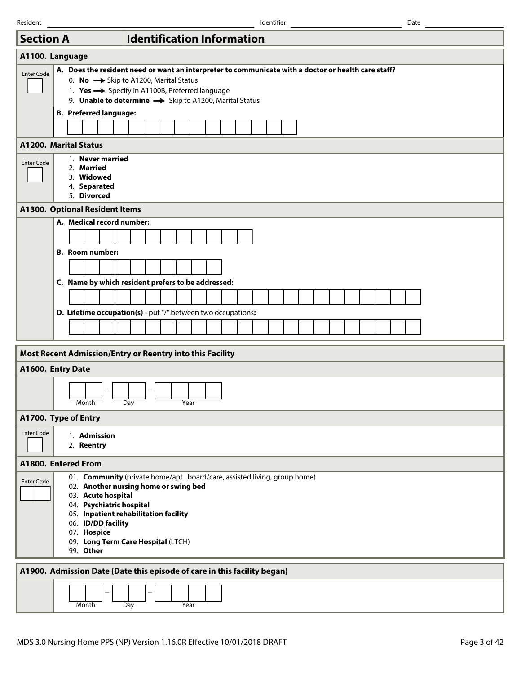| <b>Section A</b>  |                                                                                                                                                                                                                                                                                                        | <b>Identification Information</b>                                                                                                                                                                                                                                                 |  |  |  |  |  |  |  |
|-------------------|--------------------------------------------------------------------------------------------------------------------------------------------------------------------------------------------------------------------------------------------------------------------------------------------------------|-----------------------------------------------------------------------------------------------------------------------------------------------------------------------------------------------------------------------------------------------------------------------------------|--|--|--|--|--|--|--|
| A1100. Language   |                                                                                                                                                                                                                                                                                                        |                                                                                                                                                                                                                                                                                   |  |  |  |  |  |  |  |
| <b>Enter Code</b> |                                                                                                                                                                                                                                                                                                        | A. Does the resident need or want an interpreter to communicate with a doctor or health care staff?<br>0. No $\rightarrow$ Skip to A1200, Marital Status<br>1. Yes -> Specify in A1100B, Preferred language<br>9. Unable to determine $\rightarrow$ Skip to A1200, Marital Status |  |  |  |  |  |  |  |
|                   | <b>B.</b> Preferred language:                                                                                                                                                                                                                                                                          |                                                                                                                                                                                                                                                                                   |  |  |  |  |  |  |  |
|                   |                                                                                                                                                                                                                                                                                                        |                                                                                                                                                                                                                                                                                   |  |  |  |  |  |  |  |
|                   |                                                                                                                                                                                                                                                                                                        | <b>A1200. Marital Status</b>                                                                                                                                                                                                                                                      |  |  |  |  |  |  |  |
| <b>Enter Code</b> | 1. Never married<br>2. Married<br>3. Widowed<br>4. Separated<br>5. Divorced                                                                                                                                                                                                                            |                                                                                                                                                                                                                                                                                   |  |  |  |  |  |  |  |
|                   |                                                                                                                                                                                                                                                                                                        | <b>A1300. Optional Resident Items</b>                                                                                                                                                                                                                                             |  |  |  |  |  |  |  |
|                   |                                                                                                                                                                                                                                                                                                        | A. Medical record number:                                                                                                                                                                                                                                                         |  |  |  |  |  |  |  |
|                   |                                                                                                                                                                                                                                                                                                        |                                                                                                                                                                                                                                                                                   |  |  |  |  |  |  |  |
|                   |                                                                                                                                                                                                                                                                                                        | <b>B.</b> Room number:                                                                                                                                                                                                                                                            |  |  |  |  |  |  |  |
|                   |                                                                                                                                                                                                                                                                                                        |                                                                                                                                                                                                                                                                                   |  |  |  |  |  |  |  |
|                   |                                                                                                                                                                                                                                                                                                        | C. Name by which resident prefers to be addressed:                                                                                                                                                                                                                                |  |  |  |  |  |  |  |
|                   |                                                                                                                                                                                                                                                                                                        |                                                                                                                                                                                                                                                                                   |  |  |  |  |  |  |  |
|                   |                                                                                                                                                                                                                                                                                                        | D. Lifetime occupation(s) - put "/" between two occupations:                                                                                                                                                                                                                      |  |  |  |  |  |  |  |
|                   |                                                                                                                                                                                                                                                                                                        |                                                                                                                                                                                                                                                                                   |  |  |  |  |  |  |  |
|                   |                                                                                                                                                                                                                                                                                                        |                                                                                                                                                                                                                                                                                   |  |  |  |  |  |  |  |
|                   |                                                                                                                                                                                                                                                                                                        | Most Recent Admission/Entry or Reentry into this Facility                                                                                                                                                                                                                         |  |  |  |  |  |  |  |
| A1600. Entry Date |                                                                                                                                                                                                                                                                                                        |                                                                                                                                                                                                                                                                                   |  |  |  |  |  |  |  |
|                   |                                                                                                                                                                                                                                                                                                        | Month<br>Day<br>Year                                                                                                                                                                                                                                                              |  |  |  |  |  |  |  |
|                   |                                                                                                                                                                                                                                                                                                        | A1700. Type of Entry                                                                                                                                                                                                                                                              |  |  |  |  |  |  |  |
| <b>Enter Code</b> |                                                                                                                                                                                                                                                                                                        | 1. Admission<br>2. Reentry                                                                                                                                                                                                                                                        |  |  |  |  |  |  |  |
|                   |                                                                                                                                                                                                                                                                                                        | A1800. Entered From                                                                                                                                                                                                                                                               |  |  |  |  |  |  |  |
| <b>Enter Code</b> | 01. Community (private home/apt., board/care, assisted living, group home)<br>02. Another nursing home or swing bed<br>03. Acute hospital<br>04. Psychiatric hospital<br>05. Inpatient rehabilitation facility<br>06. ID/DD facility<br>07. Hospice<br>09. Long Term Care Hospital (LTCH)<br>99. Other |                                                                                                                                                                                                                                                                                   |  |  |  |  |  |  |  |
|                   |                                                                                                                                                                                                                                                                                                        | A1900. Admission Date (Date this episode of care in this facility began)                                                                                                                                                                                                          |  |  |  |  |  |  |  |
|                   |                                                                                                                                                                                                                                                                                                        | Month<br>Year<br>Day                                                                                                                                                                                                                                                              |  |  |  |  |  |  |  |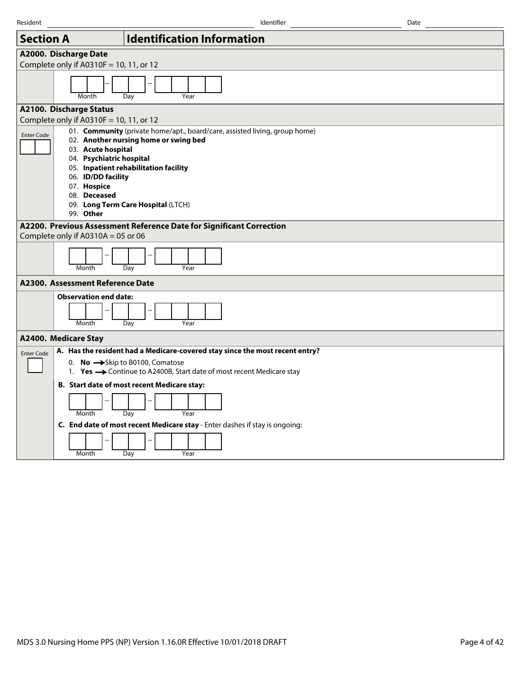| <b>Section A</b>                                                                                                                                                                                                                                                                                                                            | <b>Identification Information</b>                                                          |  |  |  |  |  |  |
|---------------------------------------------------------------------------------------------------------------------------------------------------------------------------------------------------------------------------------------------------------------------------------------------------------------------------------------------|--------------------------------------------------------------------------------------------|--|--|--|--|--|--|
| A2000. Discharge Date                                                                                                                                                                                                                                                                                                                       |                                                                                            |  |  |  |  |  |  |
|                                                                                                                                                                                                                                                                                                                                             | Complete only if A0310F = 10, 11, or 12                                                    |  |  |  |  |  |  |
| Month                                                                                                                                                                                                                                                                                                                                       | Day<br>Year                                                                                |  |  |  |  |  |  |
| <b>A2100. Discharge Status</b>                                                                                                                                                                                                                                                                                                              |                                                                                            |  |  |  |  |  |  |
| Complete only if A0310F = 10, 11, or 12                                                                                                                                                                                                                                                                                                     |                                                                                            |  |  |  |  |  |  |
| 01. Community (private home/apt., board/care, assisted living, group home)<br><b>Enter Code</b><br>02. Another nursing home or swing bed<br>03. Acute hospital<br>04. Psychiatric hospital<br>05. Inpatient rehabilitation facility<br>06. ID/DD facility<br>07. Hospice<br>08. Deceased<br>09. Long Term Care Hospital (LTCH)<br>99. Other |                                                                                            |  |  |  |  |  |  |
| Complete only if A0310A = 05 or 06                                                                                                                                                                                                                                                                                                          | A2200. Previous Assessment Reference Date for Significant Correction                       |  |  |  |  |  |  |
| Month                                                                                                                                                                                                                                                                                                                                       | Day<br>Year                                                                                |  |  |  |  |  |  |
| A2300. Assessment Reference Date                                                                                                                                                                                                                                                                                                            |                                                                                            |  |  |  |  |  |  |
| <b>Observation end date:</b><br>Month                                                                                                                                                                                                                                                                                                       | Year<br>Dav                                                                                |  |  |  |  |  |  |
| A2400. Medicare Stay                                                                                                                                                                                                                                                                                                                        |                                                                                            |  |  |  |  |  |  |
| A. Has the resident had a Medicare-covered stay since the most recent entry?<br><b>Enter Code</b><br>0. No $\rightarrow$ Skip to B0100, Comatose<br>1. Yes → Continue to A2400B, Start date of most recent Medicare stay                                                                                                                    |                                                                                            |  |  |  |  |  |  |
|                                                                                                                                                                                                                                                                                                                                             | B. Start date of most recent Medicare stay:                                                |  |  |  |  |  |  |
| Month                                                                                                                                                                                                                                                                                                                                       | Dav<br>Year<br>C. End date of most recent Medicare stay - Enter dashes if stay is ongoing: |  |  |  |  |  |  |
|                                                                                                                                                                                                                                                                                                                                             |                                                                                            |  |  |  |  |  |  |
| Month                                                                                                                                                                                                                                                                                                                                       | Day<br>Year                                                                                |  |  |  |  |  |  |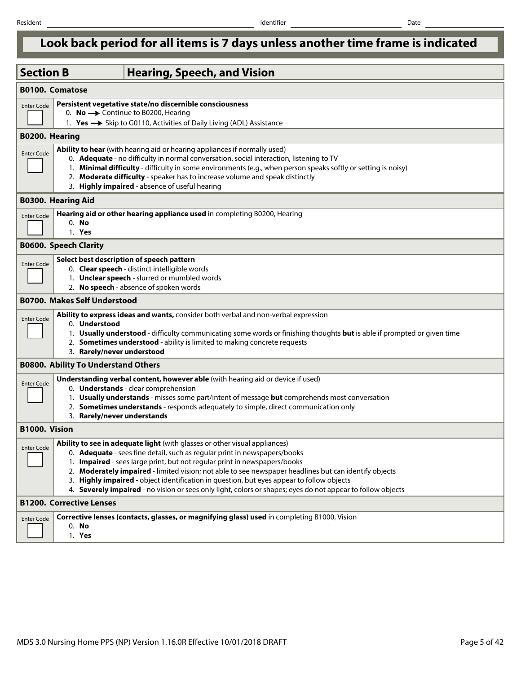# **Look back period for all items is 7 days unless another time frame is indicated.**

| <b>Section B</b>       | <b>Hearing, Speech, and Vision</b>                                                                                                                                                                                                                                                                                                                                                                                                                                                                                                                        |  |  |  |  |  |  |  |  |  |
|------------------------|-----------------------------------------------------------------------------------------------------------------------------------------------------------------------------------------------------------------------------------------------------------------------------------------------------------------------------------------------------------------------------------------------------------------------------------------------------------------------------------------------------------------------------------------------------------|--|--|--|--|--|--|--|--|--|
| <b>B0100. Comatose</b> |                                                                                                                                                                                                                                                                                                                                                                                                                                                                                                                                                           |  |  |  |  |  |  |  |  |  |
| <b>Enter Code</b>      | Persistent vegetative state/no discernible consciousness<br>0. No $\rightarrow$ Continue to B0200, Hearing<br>1. Yes $\rightarrow$ Skip to G0110, Activities of Daily Living (ADL) Assistance                                                                                                                                                                                                                                                                                                                                                             |  |  |  |  |  |  |  |  |  |
|                        | B0200. Hearing                                                                                                                                                                                                                                                                                                                                                                                                                                                                                                                                            |  |  |  |  |  |  |  |  |  |
| <b>Enter Code</b>      | Ability to hear (with hearing aid or hearing appliances if normally used)<br>0. Adequate - no difficulty in normal conversation, social interaction, listening to TV<br>1. Minimal difficulty - difficulty in some environments (e.g., when person speaks softly or setting is noisy)<br>2. Moderate difficulty - speaker has to increase volume and speak distinctly<br>3. Highly impaired - absence of useful hearing                                                                                                                                   |  |  |  |  |  |  |  |  |  |
|                        | <b>B0300. Hearing Aid</b>                                                                                                                                                                                                                                                                                                                                                                                                                                                                                                                                 |  |  |  |  |  |  |  |  |  |
| <b>Enter Code</b>      | Hearing aid or other hearing appliance used in completing B0200, Hearing<br>0. No<br>1. Yes                                                                                                                                                                                                                                                                                                                                                                                                                                                               |  |  |  |  |  |  |  |  |  |
|                        | <b>B0600. Speech Clarity</b>                                                                                                                                                                                                                                                                                                                                                                                                                                                                                                                              |  |  |  |  |  |  |  |  |  |
| <b>Enter Code</b>      | Select best description of speech pattern<br>0. Clear speech - distinct intelligible words<br>1. Unclear speech - slurred or mumbled words<br>2. No speech - absence of spoken words                                                                                                                                                                                                                                                                                                                                                                      |  |  |  |  |  |  |  |  |  |
|                        | <b>B0700. Makes Self Understood</b>                                                                                                                                                                                                                                                                                                                                                                                                                                                                                                                       |  |  |  |  |  |  |  |  |  |
| <b>Enter Code</b>      | Ability to express ideas and wants, consider both verbal and non-verbal expression<br>0. Understood<br>1. Usually understood - difficulty communicating some words or finishing thoughts but is able if prompted or given time<br>2. Sometimes understood - ability is limited to making concrete requests<br>3. Rarely/never understood                                                                                                                                                                                                                  |  |  |  |  |  |  |  |  |  |
|                        | <b>B0800. Ability To Understand Others</b>                                                                                                                                                                                                                                                                                                                                                                                                                                                                                                                |  |  |  |  |  |  |  |  |  |
| <b>Enter Code</b>      | Understanding verbal content, however able (with hearing aid or device if used)<br>0. Understands - clear comprehension<br>1. Usually understands - misses some part/intent of message but comprehends most conversation<br>2. Sometimes understands - responds adequately to simple, direct communication only<br>3. Rarely/never understands                                                                                                                                                                                                            |  |  |  |  |  |  |  |  |  |
| B1000. Vision          |                                                                                                                                                                                                                                                                                                                                                                                                                                                                                                                                                           |  |  |  |  |  |  |  |  |  |
| <b>Enter Code</b>      | Ability to see in adequate light (with glasses or other visual appliances)<br>0. Adequate - sees fine detail, such as regular print in newspapers/books<br>1. Impaired - sees large print, but not regular print in newspapers/books<br>2. Moderately impaired - limited vision; not able to see newspaper headlines but can identify objects<br>3. Highly impaired - object identification in question, but eyes appear to follow objects<br>4. Severely impaired - no vision or sees only light, colors or shapes; eyes do not appear to follow objects |  |  |  |  |  |  |  |  |  |
|                        | <b>B1200. Corrective Lenses</b>                                                                                                                                                                                                                                                                                                                                                                                                                                                                                                                           |  |  |  |  |  |  |  |  |  |
| <b>Enter Code</b>      | Corrective lenses (contacts, glasses, or magnifying glass) used in completing B1000, Vision<br>0. No<br>1. Yes                                                                                                                                                                                                                                                                                                                                                                                                                                            |  |  |  |  |  |  |  |  |  |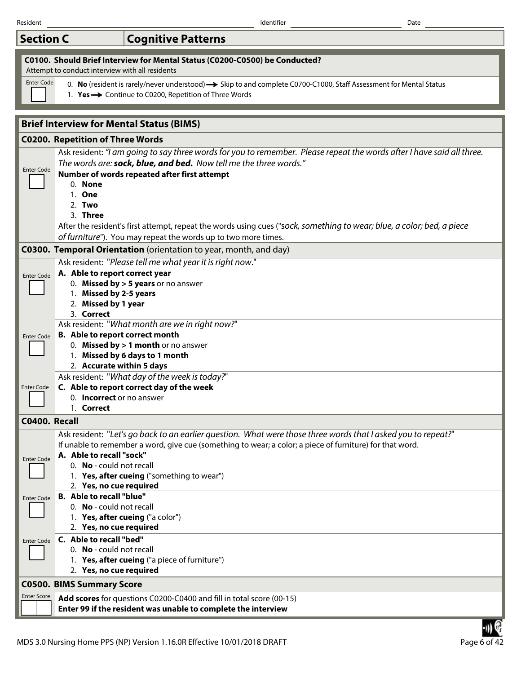| <b>Section C</b>   | <b>Cognitive Patterns</b>                                                                                                                                                                                                                                                                                                                                  |
|--------------------|------------------------------------------------------------------------------------------------------------------------------------------------------------------------------------------------------------------------------------------------------------------------------------------------------------------------------------------------------------|
|                    | C0100. Should Brief Interview for Mental Status (C0200-C0500) be Conducted?<br>Attempt to conduct interview with all residents                                                                                                                                                                                                                             |
| <b>Enter Code</b>  | 0. No (resident is rarely/never understood) $\rightarrow$ Skip to and complete C0700-C1000, Staff Assessment for Mental Status<br>1. Yes $\rightarrow$ Continue to C0200, Repetition of Three Words                                                                                                                                                        |
|                    |                                                                                                                                                                                                                                                                                                                                                            |
|                    | <b>Brief Interview for Mental Status (BIMS)</b>                                                                                                                                                                                                                                                                                                            |
|                    | <b>C0200. Repetition of Three Words</b>                                                                                                                                                                                                                                                                                                                    |
| <b>Enter Code</b>  | Ask resident: "I am going to say three words for you to remember. Please repeat the words after I have said all three.<br>The words are: sock, blue, and bed. Now tell me the three words."<br>Number of words repeated after first attempt<br>0. None<br>1. One<br>$2.$ Two<br>3. Three                                                                   |
|                    | After the resident's first attempt, repeat the words using cues ("sock, something to wear; blue, a color; bed, a piece                                                                                                                                                                                                                                     |
|                    | of furniture"). You may repeat the words up to two more times.                                                                                                                                                                                                                                                                                             |
|                    | C0300. Temporal Orientation (orientation to year, month, and day)                                                                                                                                                                                                                                                                                          |
| <b>Enter Code</b>  | Ask resident: "Please tell me what year it is right now."<br>A. Able to report correct year<br>0. Missed by $>$ 5 years or no answer<br>1. Missed by 2-5 years<br>2. Missed by 1 year<br>3. Correct<br>Ask resident: "What month are we in right now?"                                                                                                     |
| <b>Enter Code</b>  | B. Able to report correct month<br>0. <b>Missed by &gt; 1 month</b> or no answer<br>1. Missed by 6 days to 1 month<br>2. Accurate within 5 days<br>Ask resident: "What day of the week is today?"                                                                                                                                                          |
| <b>Enter Code</b>  | C. Able to report correct day of the week<br>0. <b>Incorrect</b> or no answer                                                                                                                                                                                                                                                                              |
|                    | 1. Correct                                                                                                                                                                                                                                                                                                                                                 |
| C0400. Recall      |                                                                                                                                                                                                                                                                                                                                                            |
| <b>Enter Code</b>  | Ask resident: "Let's go back to an earlier question. What were those three words that I asked you to repeat?"<br>If unable to remember a word, give cue (something to wear; a color; a piece of furniture) for that word.<br>A. Able to recall "sock"<br>0. No - could not recall<br>1. Yes, after cueing ("something to wear")<br>2. Yes, no cue required |
| <b>Enter Code</b>  | <b>B.</b> Able to recall "blue"<br>0. No - could not recall<br>1. Yes, after cueing ("a color")<br>2. Yes, no cue required                                                                                                                                                                                                                                 |
| <b>Enter Code</b>  | C. Able to recall "bed"<br>0. No - could not recall<br>1. Yes, after cueing ("a piece of furniture")<br>2. Yes, no cue required                                                                                                                                                                                                                            |
|                    | <b>C0500. BIMS Summary Score</b>                                                                                                                                                                                                                                                                                                                           |
| <b>Enter Score</b> | Add scores for questions C0200-C0400 and fill in total score (00-15)<br>Enter 99 if the resident was unable to complete the interview                                                                                                                                                                                                                      |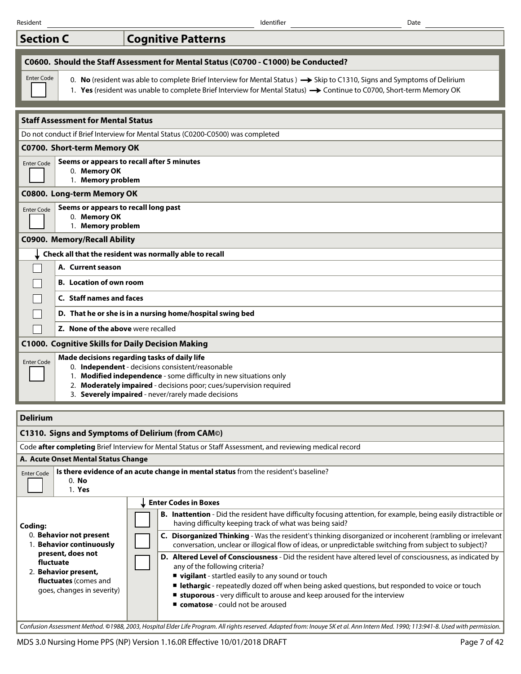| <b>Section C</b>                                                                                                                                                                                                                                                                 | <b>Cognitive Patterns</b>                                                                                                                                                                                                                                                                         |  |  |  |  |  |  |
|----------------------------------------------------------------------------------------------------------------------------------------------------------------------------------------------------------------------------------------------------------------------------------|---------------------------------------------------------------------------------------------------------------------------------------------------------------------------------------------------------------------------------------------------------------------------------------------------|--|--|--|--|--|--|
|                                                                                                                                                                                                                                                                                  | C0600. Should the Staff Assessment for Mental Status (C0700 - C1000) be Conducted?                                                                                                                                                                                                                |  |  |  |  |  |  |
| <b>Enter Code</b><br>0. No (resident was able to complete Brief Interview for Mental Status) $\rightarrow$ Skip to C1310, Signs and Symptoms of Delirium<br>1. Yes (resident was unable to complete Brief Interview for Mental Status) > Continue to C0700, Short-term Memory OK |                                                                                                                                                                                                                                                                                                   |  |  |  |  |  |  |
| <b>Staff Assessment for Mental Status</b>                                                                                                                                                                                                                                        |                                                                                                                                                                                                                                                                                                   |  |  |  |  |  |  |
|                                                                                                                                                                                                                                                                                  | Do not conduct if Brief Interview for Mental Status (C0200-C0500) was completed                                                                                                                                                                                                                   |  |  |  |  |  |  |
| <b>C0700. Short-term Memory OK</b>                                                                                                                                                                                                                                               |                                                                                                                                                                                                                                                                                                   |  |  |  |  |  |  |
| Seems or appears to recall after 5 minutes<br><b>Enter Code</b><br>0. Memory OK<br>1. Memory problem                                                                                                                                                                             |                                                                                                                                                                                                                                                                                                   |  |  |  |  |  |  |
| <b>C0800. Long-term Memory OK</b>                                                                                                                                                                                                                                                |                                                                                                                                                                                                                                                                                                   |  |  |  |  |  |  |
| Seems or appears to recall long past<br><b>Enter Code</b><br>0. Memory OK<br>1. Memory problem                                                                                                                                                                                   |                                                                                                                                                                                                                                                                                                   |  |  |  |  |  |  |
| <b>C0900. Memory/Recall Ability</b>                                                                                                                                                                                                                                              |                                                                                                                                                                                                                                                                                                   |  |  |  |  |  |  |
|                                                                                                                                                                                                                                                                                  | Check all that the resident was normally able to recall                                                                                                                                                                                                                                           |  |  |  |  |  |  |
| A. Current season                                                                                                                                                                                                                                                                |                                                                                                                                                                                                                                                                                                   |  |  |  |  |  |  |
| <b>B.</b> Location of own room                                                                                                                                                                                                                                                   |                                                                                                                                                                                                                                                                                                   |  |  |  |  |  |  |
| C. Staff names and faces                                                                                                                                                                                                                                                         |                                                                                                                                                                                                                                                                                                   |  |  |  |  |  |  |
|                                                                                                                                                                                                                                                                                  | D. That he or she is in a nursing home/hospital swing bed                                                                                                                                                                                                                                         |  |  |  |  |  |  |
| Z. None of the above were recalled                                                                                                                                                                                                                                               |                                                                                                                                                                                                                                                                                                   |  |  |  |  |  |  |
| <b>C1000. Cognitive Skills for Daily Decision Making</b>                                                                                                                                                                                                                         |                                                                                                                                                                                                                                                                                                   |  |  |  |  |  |  |
| <b>Enter Code</b>                                                                                                                                                                                                                                                                | Made decisions regarding tasks of daily life<br>0. Independent - decisions consistent/reasonable<br>1. Modified independence - some difficulty in new situations only<br>2. Moderately impaired - decisions poor; cues/supervision required<br>3. Severely impaired - never/rarely made decisions |  |  |  |  |  |  |
| <b>Delirium</b>                                                                                                                                                                                                                                                                  |                                                                                                                                                                                                                                                                                                   |  |  |  |  |  |  |
| C1310. Signs and Symptoms of Delirium (from CAMO)                                                                                                                                                                                                                                |                                                                                                                                                                                                                                                                                                   |  |  |  |  |  |  |
|                                                                                                                                                                                                                                                                                  | Code after completing Brief Interview for Mental Status or Staff Assessment, and reviewing medical record                                                                                                                                                                                         |  |  |  |  |  |  |
| A. Acute Onset Mental Status Change                                                                                                                                                                                                                                              |                                                                                                                                                                                                                                                                                                   |  |  |  |  |  |  |
| <b>Enter Code</b><br>0. No<br>1. Yes                                                                                                                                                                                                                                             | Is there evidence of an acute change in mental status from the resident's baseline?                                                                                                                                                                                                               |  |  |  |  |  |  |
|                                                                                                                                                                                                                                                                                  | <b>Enter Codes in Boxes</b>                                                                                                                                                                                                                                                                       |  |  |  |  |  |  |
| Coding:                                                                                                                                                                                                                                                                          | B. Inattention - Did the resident have difficulty focusing attention, for example, being easily distractible or<br>having difficulty keeping track of what was being said?                                                                                                                        |  |  |  |  |  |  |
| 0. Behavior not present                                                                                                                                                                                                                                                          | C. Disorganized Thinking - Was the resident's thinking disorganized or incoherent (rambling or irrelevant                                                                                                                                                                                         |  |  |  |  |  |  |
| 1. Behavior continuously<br>present, does not                                                                                                                                                                                                                                    | conversation, unclear or illogical flow of ideas, or unpredictable switching from subject to subject)?<br>D. Altered Level of Consciousness - Did the resident have altered level of consciousness, as indicated by                                                                               |  |  |  |  |  |  |
| fluctuate<br>2. Behavior present,                                                                                                                                                                                                                                                | any of the following criteria?                                                                                                                                                                                                                                                                    |  |  |  |  |  |  |
| <b>fluctuates</b> (comes and                                                                                                                                                                                                                                                     | ■ vigilant - startled easily to any sound or touch<br><b>E</b> lethargic - repeatedly dozed off when being asked questions, but responded to voice or touch                                                                                                                                       |  |  |  |  |  |  |
| goes, changes in severity)                                                                                                                                                                                                                                                       | <b>stuporous</b> - very difficult to arouse and keep aroused for the interview                                                                                                                                                                                                                    |  |  |  |  |  |  |
|                                                                                                                                                                                                                                                                                  | comatose - could not be aroused                                                                                                                                                                                                                                                                   |  |  |  |  |  |  |
|                                                                                                                                                                                                                                                                                  | Confusion Assessment Method. ©1988, 2003, Hospital Elder Life Program. All rights reserved. Adapted from: Inouye SK et al. Ann Intern Med. 1990; 113:941-8. Used with permission.                                                                                                                 |  |  |  |  |  |  |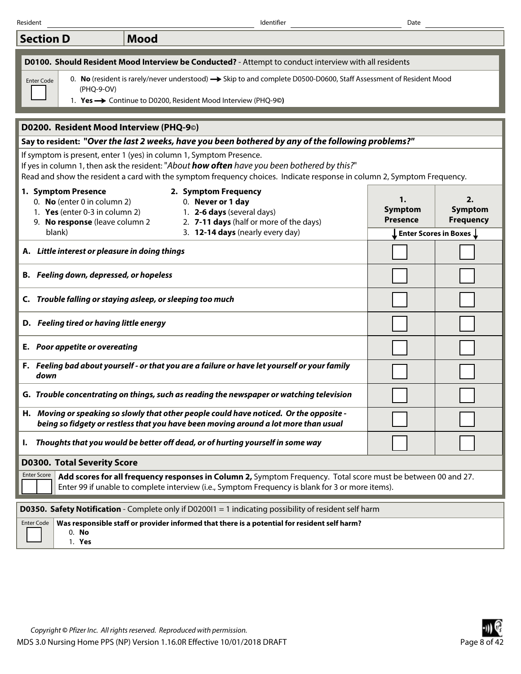| <b>Section D</b><br>Mood                                                                                                                                                                                                                                                                       |                                                                                                                                         |  |  |  |  |  |  |  |
|------------------------------------------------------------------------------------------------------------------------------------------------------------------------------------------------------------------------------------------------------------------------------------------------|-----------------------------------------------------------------------------------------------------------------------------------------|--|--|--|--|--|--|--|
| D0100. Should Resident Mood Interview be Conducted? - Attempt to conduct interview with all residents                                                                                                                                                                                          |                                                                                                                                         |  |  |  |  |  |  |  |
| 0. No (resident is rarely/never understood) $\rightarrow$ Skip to and complete D0500-D0600, Staff Assessment of Resident Mood<br><b>Enter Code</b><br>(PHQ-9-OV)<br>1. Yes → Continue to D0200, Resident Mood Interview (PHQ-9©)                                                               |                                                                                                                                         |  |  |  |  |  |  |  |
|                                                                                                                                                                                                                                                                                                |                                                                                                                                         |  |  |  |  |  |  |  |
| D0200. Resident Mood Interview (PHQ-90)                                                                                                                                                                                                                                                        |                                                                                                                                         |  |  |  |  |  |  |  |
| Say to resident: "Over the last 2 weeks, have you been bothered by any of the following problems?"                                                                                                                                                                                             |                                                                                                                                         |  |  |  |  |  |  |  |
| If symptom is present, enter 1 (yes) in column 1, Symptom Presence.<br>If yes in column 1, then ask the resident: "About how often have you been bothered by this?"<br>Read and show the resident a card with the symptom frequency choices. Indicate response in column 2, Symptom Frequency. |                                                                                                                                         |  |  |  |  |  |  |  |
| 1. Symptom Presence<br>2. Symptom Frequency                                                                                                                                                                                                                                                    |                                                                                                                                         |  |  |  |  |  |  |  |
| 1. Yes (enter 0-3 in column 2)<br>1. 2-6 days (several days)<br>2. 7-11 days (half or more of the days)<br>9. No response (leave column 2                                                                                                                                                      | 2.<br>1.<br>0. No (enter 0 in column 2)<br>0. Never or 1 day<br><b>Symptom</b><br><b>Symptom</b><br><b>Presence</b><br><b>Frequency</b> |  |  |  |  |  |  |  |
| 3. 12-14 days (nearly every day)<br>blank)                                                                                                                                                                                                                                                     | $\downarrow$ Enter Scores in Boxes $\downarrow$                                                                                         |  |  |  |  |  |  |  |
| A. Little interest or pleasure in doing things                                                                                                                                                                                                                                                 |                                                                                                                                         |  |  |  |  |  |  |  |
| B. Feeling down, depressed, or hopeless                                                                                                                                                                                                                                                        |                                                                                                                                         |  |  |  |  |  |  |  |
| C. Trouble falling or staying asleep, or sleeping too much                                                                                                                                                                                                                                     |                                                                                                                                         |  |  |  |  |  |  |  |
| D. Feeling tired or having little energy                                                                                                                                                                                                                                                       |                                                                                                                                         |  |  |  |  |  |  |  |
| E. Poor appetite or overeating                                                                                                                                                                                                                                                                 |                                                                                                                                         |  |  |  |  |  |  |  |
| F. Feeling bad about yourself - or that you are a failure or have let yourself or your family<br>down                                                                                                                                                                                          |                                                                                                                                         |  |  |  |  |  |  |  |
| G. Trouble concentrating on things, such as reading the newspaper or watching television                                                                                                                                                                                                       |                                                                                                                                         |  |  |  |  |  |  |  |
| H. Moving or speaking so slowly that other people could have noticed. Or the opposite<br>being so fidgety or restless that you have been moving around a lot more than usual                                                                                                                   |                                                                                                                                         |  |  |  |  |  |  |  |
| Thoughts that you would be better off dead, or of hurting yourself in some way<br>I.                                                                                                                                                                                                           |                                                                                                                                         |  |  |  |  |  |  |  |
| <b>D0300. Total Severity Score</b>                                                                                                                                                                                                                                                             |                                                                                                                                         |  |  |  |  |  |  |  |
| <b>Enter Score</b><br>Add scores for all frequency responses in Column 2, Symptom Frequency. Total score must be between 00 and 27.<br>Enter 99 if unable to complete interview (i.e., Symptom Frequency is blank for 3 or more items).                                                        |                                                                                                                                         |  |  |  |  |  |  |  |
| <b>D0350. Safety Notification</b> - Complete only if D020011 = 1 indicating possibility of resident self harm                                                                                                                                                                                  |                                                                                                                                         |  |  |  |  |  |  |  |
| Was responsible staff or provider informed that there is a potential for resident self harm?<br><b>Enter Code</b><br>0. No<br>1. Yes                                                                                                                                                           |                                                                                                                                         |  |  |  |  |  |  |  |

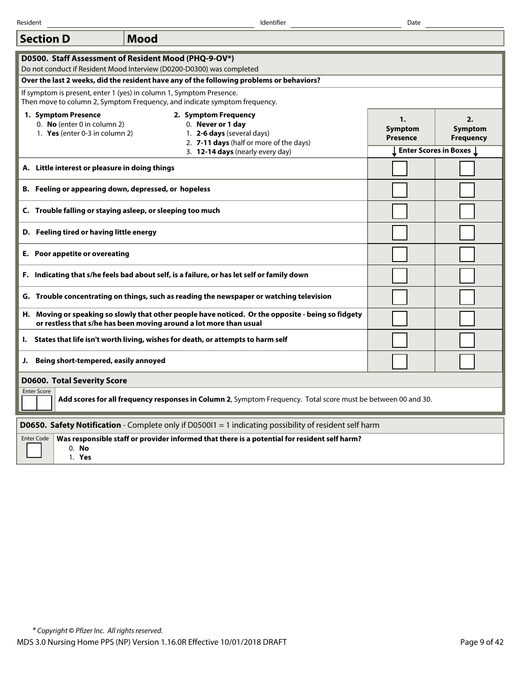Resident **Network** Resident **Network Constant Constant Constant Constant Constant Constant Constant Constant Constant Constant Constant Constant Constant Constant Constant Constant Constant Constant Constant Constant Const** 

| <b>Section D</b>                                                                                                                     | <b>Mood</b>                                                                                                                                                              |                                          |                         |  |  |  |  |
|--------------------------------------------------------------------------------------------------------------------------------------|--------------------------------------------------------------------------------------------------------------------------------------------------------------------------|------------------------------------------|-------------------------|--|--|--|--|
| D0500. Staff Assessment of Resident Mood (PHQ-9-OV*)<br>Do not conduct if Resident Mood Interview (D0200-D0300) was completed        |                                                                                                                                                                          |                                          |                         |  |  |  |  |
|                                                                                                                                      | Over the last 2 weeks, did the resident have any of the following problems or behaviors?                                                                                 |                                          |                         |  |  |  |  |
|                                                                                                                                      | If symptom is present, enter 1 (yes) in column 1, Symptom Presence.<br>Then move to column 2, Symptom Frequency, and indicate symptom frequency.                         |                                          |                         |  |  |  |  |
| 1. Symptom Presence<br>0. No (enter 0 in column 2)<br>1. Yes (enter 0-3 in column 2)                                                 | 1.<br><b>Symptom</b><br><b>Presence</b>                                                                                                                                  | 2.<br><b>Symptom</b><br><b>Frequency</b> |                         |  |  |  |  |
|                                                                                                                                      | 3. 12-14 days (nearly every day)                                                                                                                                         |                                          | Enter Scores in Boxes J |  |  |  |  |
| A. Little interest or pleasure in doing things                                                                                       |                                                                                                                                                                          |                                          |                         |  |  |  |  |
| B. Feeling or appearing down, depressed, or hopeless                                                                                 |                                                                                                                                                                          |                                          |                         |  |  |  |  |
| C. Trouble falling or staying asleep, or sleeping too much                                                                           |                                                                                                                                                                          |                                          |                         |  |  |  |  |
| D. Feeling tired or having little energy                                                                                             |                                                                                                                                                                          |                                          |                         |  |  |  |  |
| E. Poor appetite or overeating                                                                                                       |                                                                                                                                                                          |                                          |                         |  |  |  |  |
| F. Indicating that s/he feels bad about self, is a failure, or has let self or family down                                           |                                                                                                                                                                          |                                          |                         |  |  |  |  |
|                                                                                                                                      | G. Trouble concentrating on things, such as reading the newspaper or watching television                                                                                 |                                          |                         |  |  |  |  |
|                                                                                                                                      | H. Moving or speaking so slowly that other people have noticed. Or the opposite - being so fidgety<br>or restless that s/he has been moving around a lot more than usual |                                          |                         |  |  |  |  |
|                                                                                                                                      | I. States that life isn't worth living, wishes for death, or attempts to harm self                                                                                       |                                          |                         |  |  |  |  |
| J.                                                                                                                                   | Being short-tempered, easily annoyed                                                                                                                                     |                                          |                         |  |  |  |  |
| <b>D0600. Total Severity Score</b>                                                                                                   |                                                                                                                                                                          |                                          |                         |  |  |  |  |
| <b>Enter Score</b><br>Add scores for all frequency responses in Column 2, Symptom Frequency. Total score must be between 00 and 30.  |                                                                                                                                                                          |                                          |                         |  |  |  |  |
|                                                                                                                                      | <b>D0650. Safety Notification</b> - Complete only if D050011 = 1 indicating possibility of resident self harm                                                            |                                          |                         |  |  |  |  |
| Was responsible staff or provider informed that there is a potential for resident self harm?<br><b>Enter Code</b><br>0. No<br>1. Yes |                                                                                                                                                                          |                                          |                         |  |  |  |  |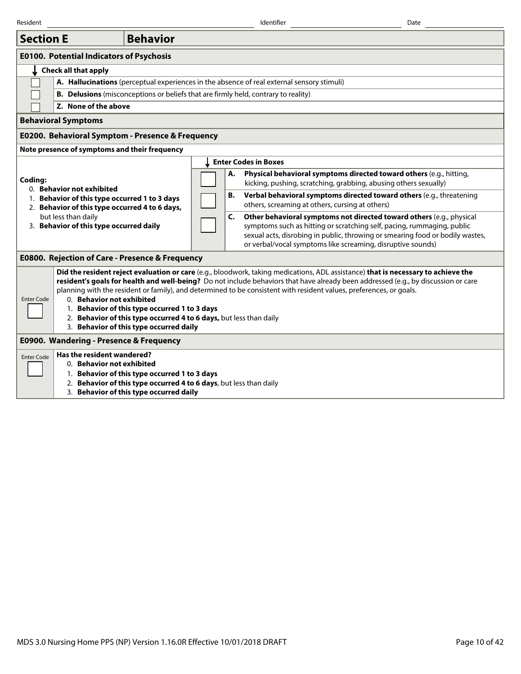| <b>Section E</b>                                                                                                                                                                                                                                                                                                                                                                                                                                                                                                                                                                                                   |                                                                                                 | <b>Behavior</b>                                                                           |  |    |                                                                                                                                                                                                                                                                                                |  |  |  |
|--------------------------------------------------------------------------------------------------------------------------------------------------------------------------------------------------------------------------------------------------------------------------------------------------------------------------------------------------------------------------------------------------------------------------------------------------------------------------------------------------------------------------------------------------------------------------------------------------------------------|-------------------------------------------------------------------------------------------------|-------------------------------------------------------------------------------------------|--|----|------------------------------------------------------------------------------------------------------------------------------------------------------------------------------------------------------------------------------------------------------------------------------------------------|--|--|--|
|                                                                                                                                                                                                                                                                                                                                                                                                                                                                                                                                                                                                                    | <b>E0100. Potential Indicators of Psychosis</b>                                                 |                                                                                           |  |    |                                                                                                                                                                                                                                                                                                |  |  |  |
|                                                                                                                                                                                                                                                                                                                                                                                                                                                                                                                                                                                                                    | <b>Check all that apply</b>                                                                     |                                                                                           |  |    |                                                                                                                                                                                                                                                                                                |  |  |  |
|                                                                                                                                                                                                                                                                                                                                                                                                                                                                                                                                                                                                                    |                                                                                                 |                                                                                           |  |    | A. Hallucinations (perceptual experiences in the absence of real external sensory stimuli)                                                                                                                                                                                                     |  |  |  |
|                                                                                                                                                                                                                                                                                                                                                                                                                                                                                                                                                                                                                    |                                                                                                 | <b>B. Delusions</b> (misconceptions or beliefs that are firmly held, contrary to reality) |  |    |                                                                                                                                                                                                                                                                                                |  |  |  |
|                                                                                                                                                                                                                                                                                                                                                                                                                                                                                                                                                                                                                    | Z. None of the above                                                                            |                                                                                           |  |    |                                                                                                                                                                                                                                                                                                |  |  |  |
|                                                                                                                                                                                                                                                                                                                                                                                                                                                                                                                                                                                                                    | <b>Behavioral Symptoms</b>                                                                      |                                                                                           |  |    |                                                                                                                                                                                                                                                                                                |  |  |  |
|                                                                                                                                                                                                                                                                                                                                                                                                                                                                                                                                                                                                                    | E0200. Behavioral Symptom - Presence & Frequency                                                |                                                                                           |  |    |                                                                                                                                                                                                                                                                                                |  |  |  |
|                                                                                                                                                                                                                                                                                                                                                                                                                                                                                                                                                                                                                    | Note presence of symptoms and their frequency                                                   |                                                                                           |  |    |                                                                                                                                                                                                                                                                                                |  |  |  |
|                                                                                                                                                                                                                                                                                                                                                                                                                                                                                                                                                                                                                    |                                                                                                 |                                                                                           |  |    | <b>Enter Codes in Boxes</b>                                                                                                                                                                                                                                                                    |  |  |  |
| Coding:                                                                                                                                                                                                                                                                                                                                                                                                                                                                                                                                                                                                            | 0. Behavior not exhibited                                                                       |                                                                                           |  | Α. | Physical behavioral symptoms directed toward others (e.g., hitting,<br>kicking, pushing, scratching, grabbing, abusing others sexually)                                                                                                                                                        |  |  |  |
|                                                                                                                                                                                                                                                                                                                                                                                                                                                                                                                                                                                                                    | 1. Behavior of this type occurred 1 to 3 days<br>2. Behavior of this type occurred 4 to 6 days, |                                                                                           |  | В. | Verbal behavioral symptoms directed toward others (e.g., threatening<br>others, screaming at others, cursing at others)                                                                                                                                                                        |  |  |  |
|                                                                                                                                                                                                                                                                                                                                                                                                                                                                                                                                                                                                                    | but less than daily<br>3. Behavior of this type occurred daily                                  |                                                                                           |  | C. | Other behavioral symptoms not directed toward others (e.g., physical<br>symptoms such as hitting or scratching self, pacing, rummaging, public<br>sexual acts, disrobing in public, throwing or smearing food or bodily wastes,<br>or verbal/vocal symptoms like screaming, disruptive sounds) |  |  |  |
|                                                                                                                                                                                                                                                                                                                                                                                                                                                                                                                                                                                                                    | E0800. Rejection of Care - Presence & Frequency                                                 |                                                                                           |  |    |                                                                                                                                                                                                                                                                                                |  |  |  |
| Did the resident reject evaluation or care (e.g., bloodwork, taking medications, ADL assistance) that is necessary to achieve the<br>resident's goals for health and well-being? Do not include behaviors that have already been addressed (e.g., by discussion or care<br>planning with the resident or family), and determined to be consistent with resident values, preferences, or goals.<br>0. Behavior not exhibited<br><b>Enter Code</b><br>1. Behavior of this type occurred 1 to 3 days<br>2. Behavior of this type occurred 4 to 6 days, but less than daily<br>3. Behavior of this type occurred daily |                                                                                                 |                                                                                           |  |    |                                                                                                                                                                                                                                                                                                |  |  |  |
| E0900. Wandering - Presence & Frequency                                                                                                                                                                                                                                                                                                                                                                                                                                                                                                                                                                            |                                                                                                 |                                                                                           |  |    |                                                                                                                                                                                                                                                                                                |  |  |  |
| Has the resident wandered?<br><b>Enter Code</b><br>0. Behavior not exhibited<br>1. Behavior of this type occurred 1 to 3 days<br>2. Behavior of this type occurred 4 to 6 days, but less than daily<br>3. Behavior of this type occurred daily                                                                                                                                                                                                                                                                                                                                                                     |                                                                                                 |                                                                                           |  |    |                                                                                                                                                                                                                                                                                                |  |  |  |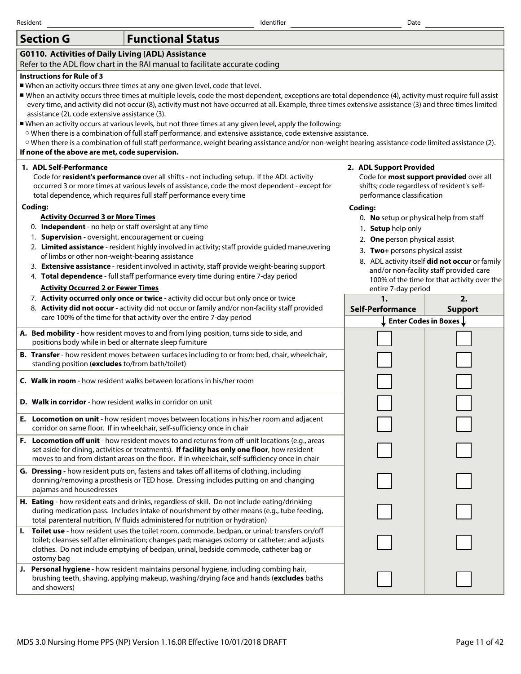### **Section G. Functional Status.**

### **G0110. Activities of Daily Living (ADL) Assistance.**

Refer to the ADL flow chart in the RAI manual to facilitate accurate coding**.**

### **Instructions for Rule of 3**

- When an activity occurs three times at any one given level, code that level.
- When an activity occurs three times at multiple levels, code the most dependent, exceptions are total dependence (4), activity must require full assist every time, and activity did not occur (8), activity must not have occurred at all. Example, three times extensive assistance (3) and three times limited assistance (2), code extensive assistance (3).
- When an activity occurs at various levels, but not three times at any given level, apply the following:
- When there is a combination of full staff performance, and extensive assistance, code extensive assistance.

### **If none of the above are met, code supervision.**

### **1. ADL Self-Performance.**

Code for **resident's performance** over all shifts - not including setup. If the ADL activity occurred 3 or more times at various levels of assistance, code the most dependent - except for total dependence, which requires full staff performance every time**.**

### **Coding:**

### **Activity Occurred 3 or More Times.**

- 0. **Independent** no help or staff oversight at any time**.**
- 1. **Supervision**  oversight, encouragement or cueing**.**
- 2. **Limited assistance**  resident highly involved in activity; staff provide guided maneuvering of limbs or other non-weight-bearing assistance**.**
- 3. **Extensive assistance**  resident involved in activity, staff provide weight-bearing support**.**
- 4. **Total dependence**  full staff performance every time during entire 7-day period**.**

### **Activity Occurred 2 or Fewer Times.**

- 7. **Activity occurred only once or twice** activity did occur but only once or twice**.**
- 8. **Activity did not occur** activity did not occur or family and/or non-facility s care 100% of the time for that activity over the entire 7-day period**.**
- positions body while in bed or alternate sleep furniture. **B. Transfer** - how resident moves between surfaces including to or from: bed, chair, standing position (**excludes** to/from bath/toilet).
- **C. Walk in room** how resident walks between locations in his/her room.

- **E.** Locomotion on unit how resident moves between locations in his/her room corridor on same floor. If in wheelchair, self-sufficiency once in chair.
- F. Locomotion off unit how resident moves to and returns from off-unit locations set aside for dining, activities or treatments). If facility has only one floor, how moves to and from distant areas on the floor. If in wheelchair, self-sufficiency c
- **G. Dressing** how resident puts on, fastens and takes off all items of clothing, incl donning/removing a prosthesis or TED hose. Dressing includes putting on and pajamas and housedresses.
- **H. Eating** how resident eats and drinks, regardless of skill. Do not include eating during medication pass. Includes intake of nourishment by other means (e.g., total parenteral nutrition, IV fluids administered for nutrition or hydration).
- **I. Toilet use** how resident uses the toilet room, commode, bedpan, or urinal; transfers toilet; cleanses self after elimination; changes pad; manages ostomy or cathete clothes. Do not include emptying of bedpan, urinal, bedside commode, cathet ostomy bag.
- **J. Personal hygiene** how resident maintains personal hygiene, including combi brushing teeth, shaving, applying makeup, washing/drying face and hands (ex and showers).

### **2. ADL Support Provided.**

Code for **most support provided** over all shifts; code regardless of resident's selfperformance classification**.**

### **Coding:**

- 0. **No** setup or physical help from staff**.**
- 1. **Setup** help only**.**
- 2. **One** person physical assist**.**
- 3. **Two+** persons physical assist**.**
- 8. ADL activity itself **did not occur** or family and/or non-facility staff provided care 100% of the time for that activity over the entire 7-day period**.**

|    | 7. Activity occurred only once or twice - activity did occur but only once or twice                                                                                                                                                                                                                 |                         | 2.                   |
|----|-----------------------------------------------------------------------------------------------------------------------------------------------------------------------------------------------------------------------------------------------------------------------------------------------------|-------------------------|----------------------|
|    | 8. Activity did not occur - activity did not occur or family and/or non-facility staff provided                                                                                                                                                                                                     | <b>Self-Performance</b> | <b>Support</b>       |
|    | care 100% of the time for that activity over the entire 7-day period                                                                                                                                                                                                                                |                         | Enter Codes in Boxes |
|    | A. Bed mobility - how resident moves to and from lying position, turns side to side, and<br>positions body while in bed or alternate sleep furniture                                                                                                                                                |                         |                      |
|    | <b>B.</b> Transfer - how resident moves between surfaces including to or from: bed, chair, wheelchair,<br>standing position (excludes to/from bath/toilet)                                                                                                                                          |                         |                      |
|    | <b>C. Walk in room</b> - how resident walks between locations in his/her room                                                                                                                                                                                                                       |                         |                      |
|    | <b>D.</b> Walk in corridor - how resident walks in corridor on unit                                                                                                                                                                                                                                 |                         |                      |
|    | <b>E.</b> Locomotion on unit - how resident moves between locations in his/her room and adjacent<br>corridor on same floor. If in wheelchair, self-sufficiency once in chair                                                                                                                        |                         |                      |
|    | F. Locomotion off unit - how resident moves to and returns from off-unit locations (e.g., areas<br>set aside for dining, activities or treatments). If facility has only one floor, how resident<br>moves to and from distant areas on the floor. If in wheelchair, self-sufficiency once in chair  |                         |                      |
|    | G. Dressing - how resident puts on, fastens and takes off all items of clothing, including<br>donning/removing a prosthesis or TED hose. Dressing includes putting on and changing<br>pajamas and housedresses                                                                                      |                         |                      |
|    | H. Eating - how resident eats and drinks, regardless of skill. Do not include eating/drinking<br>during medication pass. Includes intake of nourishment by other means (e.g., tube feeding,<br>total parenteral nutrition, IV fluids administered for nutrition or hydration)                       |                         |                      |
| I. | Toilet use - how resident uses the toilet room, commode, bedpan, or urinal; transfers on/off<br>toilet; cleanses self after elimination; changes pad; manages ostomy or catheter; and adjusts<br>clothes. Do not include emptying of bedpan, urinal, bedside commode, catheter bag or<br>ostomy bag |                         |                      |
|    | J. Personal hygiene - how resident maintains personal hygiene, including combing hair,<br>brushing teeth, shaving, applying makeup, washing/drying face and hands (excludes baths<br>and showers)                                                                                                   |                         |                      |

<sup>○</sup> When there is a combination of full staff performance, weight bearing assistance and/or non-weight bearing assistance code limited assistance (2).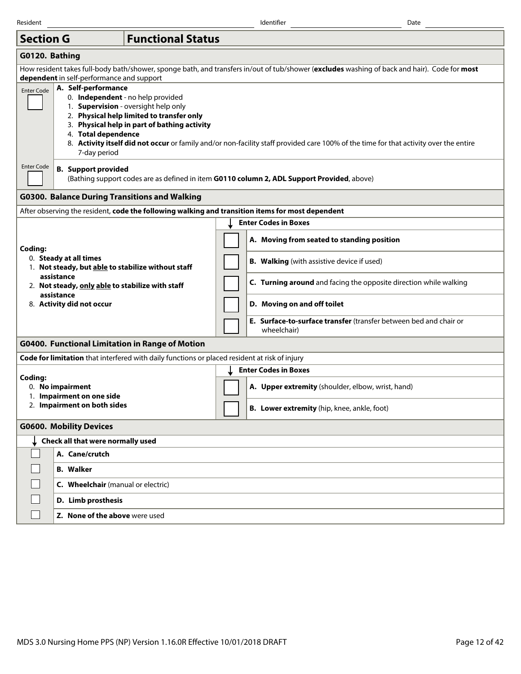| <b>Functional Status</b><br><b>Section G</b>                                                                                                                                                                                                                                                                                                                                                       |                                                                                            |  |  |  |  |  |  |
|----------------------------------------------------------------------------------------------------------------------------------------------------------------------------------------------------------------------------------------------------------------------------------------------------------------------------------------------------------------------------------------------------|--------------------------------------------------------------------------------------------|--|--|--|--|--|--|
| G0120. Bathing                                                                                                                                                                                                                                                                                                                                                                                     |                                                                                            |  |  |  |  |  |  |
| How resident takes full-body bath/shower, sponge bath, and transfers in/out of tub/shower (excludes washing of back and hair). Code for most<br>dependent in self-performance and support                                                                                                                                                                                                          |                                                                                            |  |  |  |  |  |  |
| A. Self-performance<br><b>Enter Code</b><br>0. Independent - no help provided<br>1. Supervision - oversight help only<br>2. Physical help limited to transfer only<br>3. Physical help in part of bathing activity<br>4. Total dependence<br>8. Activity itself did not occur or family and/or non-facility staff provided care 100% of the time for that activity over the entire<br>7-day period |                                                                                            |  |  |  |  |  |  |
| <b>Enter Code</b><br><b>B.</b> Support provided                                                                                                                                                                                                                                                                                                                                                    | (Bathing support codes are as defined in item G0110 column 2, ADL Support Provided, above) |  |  |  |  |  |  |
| <b>G0300. Balance During Transitions and Walking</b>                                                                                                                                                                                                                                                                                                                                               |                                                                                            |  |  |  |  |  |  |
| After observing the resident, code the following walking and transition items for most dependent                                                                                                                                                                                                                                                                                                   |                                                                                            |  |  |  |  |  |  |
|                                                                                                                                                                                                                                                                                                                                                                                                    | <b>Enter Codes in Boxes</b>                                                                |  |  |  |  |  |  |
| Coding:                                                                                                                                                                                                                                                                                                                                                                                            | A. Moving from seated to standing position                                                 |  |  |  |  |  |  |
| 0. Steady at all times<br>1. Not steady, but able to stabilize without staff                                                                                                                                                                                                                                                                                                                       | <b>B.</b> Walking (with assistive device if used)                                          |  |  |  |  |  |  |
| assistance<br>2. Not steady, only able to stabilize with staff                                                                                                                                                                                                                                                                                                                                     | C. Turning around and facing the opposite direction while walking                          |  |  |  |  |  |  |
| assistance<br>8. Activity did not occur                                                                                                                                                                                                                                                                                                                                                            | D. Moving on and off toilet                                                                |  |  |  |  |  |  |
|                                                                                                                                                                                                                                                                                                                                                                                                    | E. Surface-to-surface transfer (transfer between bed and chair or<br>wheelchair)           |  |  |  |  |  |  |
| <b>G0400. Functional Limitation in Range of Motion</b>                                                                                                                                                                                                                                                                                                                                             |                                                                                            |  |  |  |  |  |  |
| Code for limitation that interfered with daily functions or placed resident at risk of injury                                                                                                                                                                                                                                                                                                      |                                                                                            |  |  |  |  |  |  |
| Coding:                                                                                                                                                                                                                                                                                                                                                                                            | <b>Enter Codes in Boxes</b>                                                                |  |  |  |  |  |  |
| 0. No impairment<br>1. Impairment on one side                                                                                                                                                                                                                                                                                                                                                      | A. Upper extremity (shoulder, elbow, wrist, hand)                                          |  |  |  |  |  |  |
| 2. Impairment on both sides                                                                                                                                                                                                                                                                                                                                                                        | <b>B.</b> Lower extremity (hip, knee, ankle, foot)                                         |  |  |  |  |  |  |
| <b>G0600. Mobility Devices</b>                                                                                                                                                                                                                                                                                                                                                                     |                                                                                            |  |  |  |  |  |  |
| Check all that were normally used                                                                                                                                                                                                                                                                                                                                                                  |                                                                                            |  |  |  |  |  |  |
| A. Cane/crutch                                                                                                                                                                                                                                                                                                                                                                                     |                                                                                            |  |  |  |  |  |  |
| <b>B.</b> Walker                                                                                                                                                                                                                                                                                                                                                                                   |                                                                                            |  |  |  |  |  |  |
| <b>C.</b> Wheelchair (manual or electric)                                                                                                                                                                                                                                                                                                                                                          |                                                                                            |  |  |  |  |  |  |
| D. Limb prosthesis                                                                                                                                                                                                                                                                                                                                                                                 |                                                                                            |  |  |  |  |  |  |
| Z. None of the above were used                                                                                                                                                                                                                                                                                                                                                                     |                                                                                            |  |  |  |  |  |  |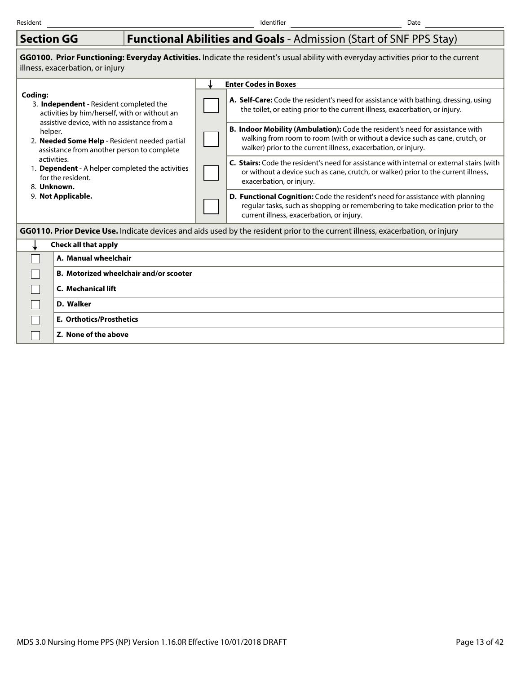| <b>Functional Abilities and Goals</b> - Admission (Start of SNF PPS Stay)<br><b>Section GG</b> |  |
|------------------------------------------------------------------------------------------------|--|
|------------------------------------------------------------------------------------------------|--|

| GG0100. Prior Functioning: Everyday Activities. Indicate the resident's usual ability with everyday activities prior to the current<br>illness, exacerbation, or injury                                                                                                                                                                                                                   |                                                                                                                                                                                                                                                                                                                                                                                                                                                                                                                                                                                                                                                                                                                                                                                                                                        |  |  |  |  |  |
|-------------------------------------------------------------------------------------------------------------------------------------------------------------------------------------------------------------------------------------------------------------------------------------------------------------------------------------------------------------------------------------------|----------------------------------------------------------------------------------------------------------------------------------------------------------------------------------------------------------------------------------------------------------------------------------------------------------------------------------------------------------------------------------------------------------------------------------------------------------------------------------------------------------------------------------------------------------------------------------------------------------------------------------------------------------------------------------------------------------------------------------------------------------------------------------------------------------------------------------------|--|--|--|--|--|
| Coding:<br>3. Independent - Resident completed the<br>activities by him/herself, with or without an<br>assistive device, with no assistance from a<br>helper.<br>2. Needed Some Help - Resident needed partial<br>assistance from another person to complete<br>activities.<br>1. Dependent - A helper completed the activities<br>for the resident.<br>8. Unknown.<br>9. Not Applicable. | <b>Enter Codes in Boxes</b><br>A. Self-Care: Code the resident's need for assistance with bathing, dressing, using<br>the toilet, or eating prior to the current illness, exacerbation, or injury.<br><b>B. Indoor Mobility (Ambulation):</b> Code the resident's need for assistance with<br>walking from room to room (with or without a device such as cane, crutch, or<br>walker) prior to the current illness, exacerbation, or injury.<br><b>C. Stairs:</b> Code the resident's need for assistance with internal or external stairs (with<br>or without a device such as cane, crutch, or walker) prior to the current illness,<br>exacerbation, or injury.<br>D. Functional Cognition: Code the resident's need for assistance with planning<br>regular tasks, such as shopping or remembering to take medication prior to the |  |  |  |  |  |
| current illness, exacerbation, or injury.<br>GG0110. Prior Device Use. Indicate devices and aids used by the resident prior to the current illness, exacerbation, or injury                                                                                                                                                                                                               |                                                                                                                                                                                                                                                                                                                                                                                                                                                                                                                                                                                                                                                                                                                                                                                                                                        |  |  |  |  |  |
| <b>Check all that apply</b>                                                                                                                                                                                                                                                                                                                                                               |                                                                                                                                                                                                                                                                                                                                                                                                                                                                                                                                                                                                                                                                                                                                                                                                                                        |  |  |  |  |  |
| A. Manual wheelchair                                                                                                                                                                                                                                                                                                                                                                      |                                                                                                                                                                                                                                                                                                                                                                                                                                                                                                                                                                                                                                                                                                                                                                                                                                        |  |  |  |  |  |
| <b>B. Motorized wheelchair and/or scooter</b>                                                                                                                                                                                                                                                                                                                                             |                                                                                                                                                                                                                                                                                                                                                                                                                                                                                                                                                                                                                                                                                                                                                                                                                                        |  |  |  |  |  |
| C. Mechanical lift                                                                                                                                                                                                                                                                                                                                                                        |                                                                                                                                                                                                                                                                                                                                                                                                                                                                                                                                                                                                                                                                                                                                                                                                                                        |  |  |  |  |  |
| D. Walker                                                                                                                                                                                                                                                                                                                                                                                 |                                                                                                                                                                                                                                                                                                                                                                                                                                                                                                                                                                                                                                                                                                                                                                                                                                        |  |  |  |  |  |
| <b>E. Orthotics/Prosthetics</b>                                                                                                                                                                                                                                                                                                                                                           |                                                                                                                                                                                                                                                                                                                                                                                                                                                                                                                                                                                                                                                                                                                                                                                                                                        |  |  |  |  |  |
| Z. None of the above                                                                                                                                                                                                                                                                                                                                                                      |                                                                                                                                                                                                                                                                                                                                                                                                                                                                                                                                                                                                                                                                                                                                                                                                                                        |  |  |  |  |  |
|                                                                                                                                                                                                                                                                                                                                                                                           |                                                                                                                                                                                                                                                                                                                                                                                                                                                                                                                                                                                                                                                                                                                                                                                                                                        |  |  |  |  |  |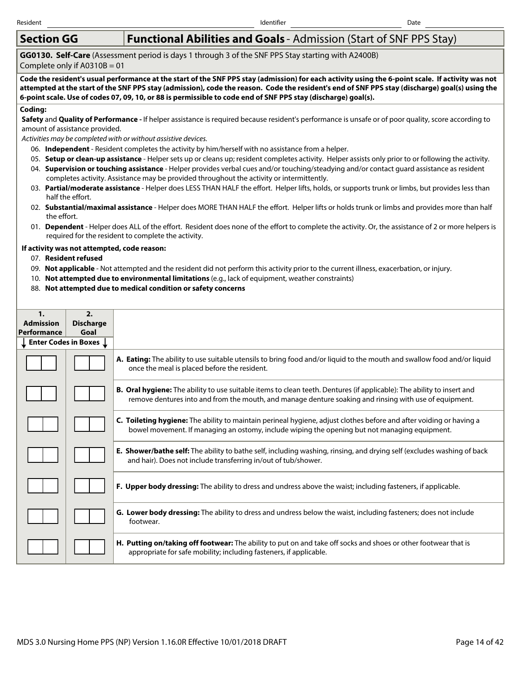### **Section GG. Functional Abilities and Goals** - Admission (Start of SNF PPS Stay).

**GG0130. Self-Care** (Assessment period is days 1 through 3 of the SNF PPS Stay starting with A2400B)**.**

### Complete only if A0310B = 01**.**

**Code the resident's usual performance at the start of the SNF PPS stay (admission) for each activity using the 6-point scale. If activity was not attempted at the start of the SNF PPS stay (admission), code the reason. Code the resident's end of SNF PPS stay (discharge) goal(s) using the 6-point scale. Use of codes 07, 09, 10, or 88 is permissible to code end of SNF PPS stay (discharge) goal(s).**

#### **Coding:**

**Safety** and **Quality of Performance -** If helper assistance is required because resident's performance is unsafe or of poor quality, score according to amount of assistance provided.

*Activities may be completed with or without assistive devices.* 

- 06. **Independent** Resident completes the activity by him/herself with no assistance from a helper.
- 05. **Setup or clean-up assistance**  Helper sets up or cleans up; resident completes activity. Helper assists only prior to or following the activity.
- 04. **Supervision or touching assistance**  Helper provides verbal cues and/or touching/steadying and/or contact guard assistance as resident completes activity. Assistance may be provided throughout the activity or intermittently.
- 03. **Partial/moderate assistance**  Helper does LESS THAN HALF the effort. Helper lifts, holds, or supports trunk or limbs, but provides less than half the effort.
- 02. **Substantial/maximal assistance**  Helper does MORE THAN HALF the effort. Helper lifts or holds trunk or limbs and provides more than half the effort.
- 01. **Dependent** Helper does ALL of the effort. Resident does none of the effort to complete the activity. Or, the assistance of 2 or more helpers is required for the resident to complete the activity.

- 07. **Resident refused.**
- 09. **Not applicable** Not attempted and the resident did not perform this activity prior to the current illness, exacerbation, or injury.
- 10. **Not attempted due to environmental limitations** (e.g., lack of equipment, weather constraints)**.**
- 88. **Not attempted due to medical condition or safety concerns.**

| 1.                                             | 2.                       |                                                                                                                                                                                                                                         |
|------------------------------------------------|--------------------------|-----------------------------------------------------------------------------------------------------------------------------------------------------------------------------------------------------------------------------------------|
| <b>Admission</b><br>Performance                | <b>Discharge</b><br>Goal |                                                                                                                                                                                                                                         |
| $\downarrow$ Enter Codes in Boxes $\downarrow$ |                          |                                                                                                                                                                                                                                         |
|                                                |                          | A. Eating: The ability to use suitable utensils to bring food and/or liquid to the mouth and swallow food and/or liquid<br>once the meal is placed before the resident.                                                                 |
|                                                |                          | <b>B. Oral hygiene:</b> The ability to use suitable items to clean teeth. Dentures (if applicable): The ability to insert and<br>remove dentures into and from the mouth, and manage denture soaking and rinsing with use of equipment. |
|                                                |                          | C. Toileting hygiene: The ability to maintain perineal hygiene, adjust clothes before and after voiding or having a<br>bowel movement. If managing an ostomy, include wiping the opening but not managing equipment.                    |
|                                                |                          | E. Shower/bathe self: The ability to bathe self, including washing, rinsing, and drying self (excludes washing of back<br>and hair). Does not include transferring in/out of tub/shower.                                                |
|                                                |                          | <b>F. Upper body dressing:</b> The ability to dress and undress above the waist; including fasteners, if applicable.                                                                                                                    |
|                                                |                          | G. Lower body dressing: The ability to dress and undress below the waist, including fasteners; does not include<br>footwear.                                                                                                            |
|                                                |                          | H. Putting on/taking off footwear: The ability to put on and take off socks and shoes or other footwear that is<br>appropriate for safe mobility; including fasteners, if applicable.                                                   |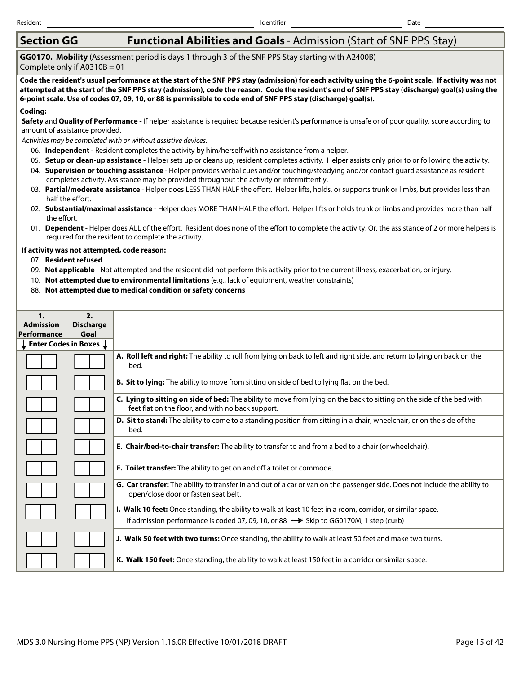### **Section GG. Functional Abilities and Goals** - Admission (Start of SNF PPS Stay).

| <b>Section GG</b>                                                                                                  |                                | <b>Functional Abilities and Goals</b> - Admission (Start of SNF PPS Stay)                                                                                                                                                                                                                                                                                                                                                                                                                                                                                                                                                                                                                                                                                                                                                                                                                                                                                                                                                                                                                                                                                                                                                                                                                                                                                                                                                                                                                                                                                                                                       |
|--------------------------------------------------------------------------------------------------------------------|--------------------------------|-----------------------------------------------------------------------------------------------------------------------------------------------------------------------------------------------------------------------------------------------------------------------------------------------------------------------------------------------------------------------------------------------------------------------------------------------------------------------------------------------------------------------------------------------------------------------------------------------------------------------------------------------------------------------------------------------------------------------------------------------------------------------------------------------------------------------------------------------------------------------------------------------------------------------------------------------------------------------------------------------------------------------------------------------------------------------------------------------------------------------------------------------------------------------------------------------------------------------------------------------------------------------------------------------------------------------------------------------------------------------------------------------------------------------------------------------------------------------------------------------------------------------------------------------------------------------------------------------------------------|
| Complete only if $A0310B = 01$                                                                                     |                                | GG0170. Mobility (Assessment period is days 1 through 3 of the SNF PPS Stay starting with A2400B)                                                                                                                                                                                                                                                                                                                                                                                                                                                                                                                                                                                                                                                                                                                                                                                                                                                                                                                                                                                                                                                                                                                                                                                                                                                                                                                                                                                                                                                                                                               |
|                                                                                                                    |                                | Code the resident's usual performance at the start of the SNF PPS stay (admission) for each activity using the 6-point scale. If activity was not<br>attempted at the start of the SNF PPS stay (admission), code the reason. Code the resident's end of SNF PPS stay (discharge) goal(s) using the<br>6-point scale. Use of codes 07, 09, 10, or 88 is permissible to code end of SNF PPS stay (discharge) goal(s).                                                                                                                                                                                                                                                                                                                                                                                                                                                                                                                                                                                                                                                                                                                                                                                                                                                                                                                                                                                                                                                                                                                                                                                            |
| <b>Coding:</b><br>amount of assistance provided.<br>half the effort.<br>the effort.<br>07. Resident refused<br>10. |                                | Safety and Quality of Performance - If helper assistance is required because resident's performance is unsafe or of poor quality, score according to<br>Activities may be completed with or without assistive devices.<br>06. Independent - Resident completes the activity by him/herself with no assistance from a helper.<br>05. Setup or clean-up assistance - Helper sets up or cleans up; resident completes activity. Helper assists only prior to or following the activity.<br>04. Supervision or touching assistance - Helper provides verbal cues and/or touching/steadying and/or contact quard assistance as resident<br>completes activity. Assistance may be provided throughout the activity or intermittently.<br>03. Partial/moderate assistance - Helper does LESS THAN HALF the effort. Helper lifts, holds, or supports trunk or limbs, but provides less than<br>02. Substantial/maximal assistance - Helper does MORE THAN HALF the effort. Helper lifts or holds trunk or limbs and provides more than half<br>01. Dependent - Helper does ALL of the effort. Resident does none of the effort to complete the activity. Or, the assistance of 2 or more helpers is<br>required for the resident to complete the activity.<br>If activity was not attempted, code reason:<br>09. Not applicable - Not attempted and the resident did not perform this activity prior to the current illness, exacerbation, or injury.<br>Not attempted due to environmental limitations (e.g., lack of equipment, weather constraints)<br>88. Not attempted due to medical condition or safety concerns |
| 1.<br><b>Admission</b><br>Performance<br>Enter Codes in Boxes                                                      | 2.<br><b>Discharge</b><br>Goal |                                                                                                                                                                                                                                                                                                                                                                                                                                                                                                                                                                                                                                                                                                                                                                                                                                                                                                                                                                                                                                                                                                                                                                                                                                                                                                                                                                                                                                                                                                                                                                                                                 |
|                                                                                                                    |                                | A. Roll left and right: The ability to roll from lying on back to left and right side, and return to lying on back on the<br>bed.                                                                                                                                                                                                                                                                                                                                                                                                                                                                                                                                                                                                                                                                                                                                                                                                                                                                                                                                                                                                                                                                                                                                                                                                                                                                                                                                                                                                                                                                               |
|                                                                                                                    |                                | B. Sit to lying: The ability to move from sitting on side of bed to lying flat on the bed.                                                                                                                                                                                                                                                                                                                                                                                                                                                                                                                                                                                                                                                                                                                                                                                                                                                                                                                                                                                                                                                                                                                                                                                                                                                                                                                                                                                                                                                                                                                      |
|                                                                                                                    |                                | C. Lying to sitting on side of bed: The ability to move from lying on the back to sitting on the side of the bed with<br>feet flat on the floor, and with no back support.                                                                                                                                                                                                                                                                                                                                                                                                                                                                                                                                                                                                                                                                                                                                                                                                                                                                                                                                                                                                                                                                                                                                                                                                                                                                                                                                                                                                                                      |
|                                                                                                                    |                                | D. Sit to stand: The ability to come to a standing position from sitting in a chair, wheelchair, or on the side of the<br>bed.                                                                                                                                                                                                                                                                                                                                                                                                                                                                                                                                                                                                                                                                                                                                                                                                                                                                                                                                                                                                                                                                                                                                                                                                                                                                                                                                                                                                                                                                                  |
|                                                                                                                    |                                | E. Chair/bed-to-chair transfer: The ability to transfer to and from a bed to a chair (or wheelchair).                                                                                                                                                                                                                                                                                                                                                                                                                                                                                                                                                                                                                                                                                                                                                                                                                                                                                                                                                                                                                                                                                                                                                                                                                                                                                                                                                                                                                                                                                                           |
|                                                                                                                    |                                | F. Toilet transfer: The ability to get on and off a toilet or commode.                                                                                                                                                                                                                                                                                                                                                                                                                                                                                                                                                                                                                                                                                                                                                                                                                                                                                                                                                                                                                                                                                                                                                                                                                                                                                                                                                                                                                                                                                                                                          |
|                                                                                                                    |                                | G. Car transfer: The ability to transfer in and out of a car or van on the passenger side. Does not include the ability to<br>open/close door or fasten seat belt.                                                                                                                                                                                                                                                                                                                                                                                                                                                                                                                                                                                                                                                                                                                                                                                                                                                                                                                                                                                                                                                                                                                                                                                                                                                                                                                                                                                                                                              |
|                                                                                                                    |                                | I. Walk 10 feet: Once standing, the ability to walk at least 10 feet in a room, corridor, or similar space.                                                                                                                                                                                                                                                                                                                                                                                                                                                                                                                                                                                                                                                                                                                                                                                                                                                                                                                                                                                                                                                                                                                                                                                                                                                                                                                                                                                                                                                                                                     |

If admission performance is coded 07, 09, 10, or 88  $\rightarrow$  Skip to GG0170M, 1 step (curb)

**J. Walk 50 feet with two turns:** Once standing, the ability to walk at least 50 feet and make two turns.

**K. Walk 150 feet:** Once standing, the ability to walk at least 150 feet in a corridor or similar space.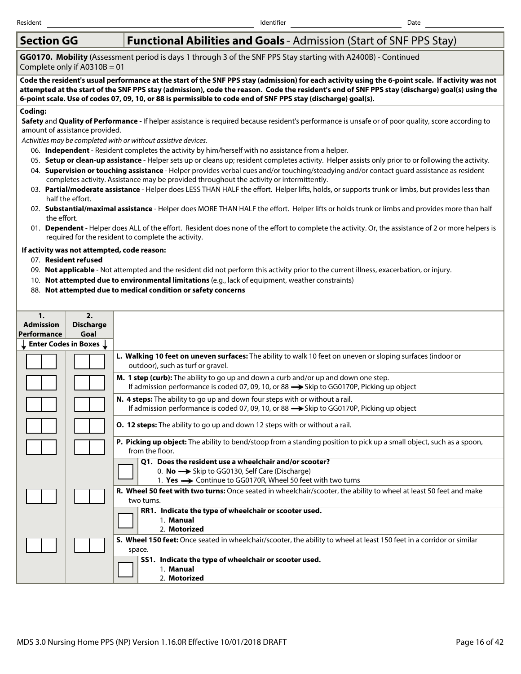# **Section GG. Functional Abilities and Goals** - Admission (Start of SNF PPS Stay)

**GG0170. Mobility** (Assessment period is days 1 through 3 of the SNF PPS Stay starting with A2400B) - Continued

|                                       | Complete only if $A0310B = 01$                                                                                                                                                                                                                                                                                                                                                                                       |
|---------------------------------------|----------------------------------------------------------------------------------------------------------------------------------------------------------------------------------------------------------------------------------------------------------------------------------------------------------------------------------------------------------------------------------------------------------------------|
|                                       | Code the resident's usual performance at the start of the SNF PPS stay (admission) for each activity using the 6-point scale. If activity was not<br>attempted at the start of the SNF PPS stay (admission), code the reason. Code the resident's end of SNF PPS stay (discharge) goal(s) using the<br>6-point scale. Use of codes 07, 09, 10, or 88 is permissible to code end of SNF PPS stay (discharge) goal(s). |
| <b>Coding:</b>                        |                                                                                                                                                                                                                                                                                                                                                                                                                      |
|                                       | Safety and Quality of Performance - If helper assistance is required because resident's performance is unsafe or of poor quality, score according to<br>amount of assistance provided.                                                                                                                                                                                                                               |
|                                       | Activities may be completed with or without assistive devices.                                                                                                                                                                                                                                                                                                                                                       |
|                                       | 06. Independent - Resident completes the activity by him/herself with no assistance from a helper.                                                                                                                                                                                                                                                                                                                   |
|                                       | 05. Setup or clean-up assistance - Helper sets up or cleans up; resident completes activity. Helper assists only prior to or following the activity.<br>04. Supervision or touching assistance - Helper provides verbal cues and/or touching/steadying and/or contact quard assistance as resident<br>completes activity. Assistance may be provided throughout the activity or intermittently.                      |
|                                       | 03. Partial/moderate assistance - Helper does LESS THAN HALF the effort. Helper lifts, holds, or supports trunk or limbs, but provides less than<br>half the effort.                                                                                                                                                                                                                                                 |
|                                       | 02. Substantial/maximal assistance - Helper does MORE THAN HALF the effort. Helper lifts or holds trunk or limbs and provides more than half<br>the effort.                                                                                                                                                                                                                                                          |
|                                       | 01. Dependent - Helper does ALL of the effort. Resident does none of the effort to complete the activity. Or, the assistance of 2 or more helpers is<br>required for the resident to complete the activity.                                                                                                                                                                                                          |
|                                       | If activity was not attempted, code reason:                                                                                                                                                                                                                                                                                                                                                                          |
|                                       | 07. Resident refused                                                                                                                                                                                                                                                                                                                                                                                                 |
|                                       | 09. Not applicable - Not attempted and the resident did not perform this activity prior to the current illness, exacerbation, or injury.                                                                                                                                                                                                                                                                             |
|                                       | 10. Not attempted due to environmental limitations (e.g., lack of equipment, weather constraints)                                                                                                                                                                                                                                                                                                                    |
|                                       | 88. Not attempted due to medical condition or safety concerns                                                                                                                                                                                                                                                                                                                                                        |
|                                       |                                                                                                                                                                                                                                                                                                                                                                                                                      |
| 1.<br><b>Admission</b><br>Performance | 2.<br><b>Discharge</b><br>Goal                                                                                                                                                                                                                                                                                                                                                                                       |
|                                       | <b>Enter Codes in Boxes</b> J                                                                                                                                                                                                                                                                                                                                                                                        |
|                                       | L. Walking 10 feet on uneven surfaces: The ability to walk 10 feet on uneven or sloping surfaces (indoor or<br>outdoor), such as turf or gravel.                                                                                                                                                                                                                                                                     |
|                                       | M. 1 step (curb): The ability to go up and down a curb and/or up and down one step.<br>If admission performance is coded 07, 09, 10, or 88 $\rightarrow$ Skip to GG0170P, Picking up object                                                                                                                                                                                                                          |
|                                       | N. 4 steps: The ability to go up and down four steps with or without a rail.                                                                                                                                                                                                                                                                                                                                         |
|                                       | If admission performance is coded 07, 09, 10, or 88 $\rightarrow$ Skip to GG0170P, Picking up object                                                                                                                                                                                                                                                                                                                 |
|                                       | <b>O. 12 steps:</b> The ability to go up and down 12 steps with or without a rail.                                                                                                                                                                                                                                                                                                                                   |
|                                       | <b>P. Picking up object:</b> The ability to bend/stoop from a standing position to pick up a small object, such as a spoon,<br>from the floor.                                                                                                                                                                                                                                                                       |
|                                       | Q1. Does the resident use a wheelchair and/or scooter?                                                                                                                                                                                                                                                                                                                                                               |
|                                       | 0. No $\rightarrow$ Skip to GG0130, Self Care (Discharge)                                                                                                                                                                                                                                                                                                                                                            |
|                                       | 1. Yes $\rightarrow$ Continue to GG0170R, Wheel 50 feet with two turns                                                                                                                                                                                                                                                                                                                                               |
|                                       | R. Wheel 50 feet with two turns: Once seated in wheelchair/scooter, the ability to wheel at least 50 feet and make<br>two turns.                                                                                                                                                                                                                                                                                     |
|                                       | RR1. Indicate the type of wheelchair or scooter used.                                                                                                                                                                                                                                                                                                                                                                |
|                                       | 1. Manual<br>2. Motorized                                                                                                                                                                                                                                                                                                                                                                                            |
|                                       |                                                                                                                                                                                                                                                                                                                                                                                                                      |
|                                       | S. Wheel 150 feet: Once seated in wheelchair/scooter, the ability to wheel at least 150 feet in a corridor or similar<br>space.                                                                                                                                                                                                                                                                                      |
|                                       | SS1. Indicate the type of wheelchair or scooter used.                                                                                                                                                                                                                                                                                                                                                                |
|                                       | 1. Manual<br>2. Motorized                                                                                                                                                                                                                                                                                                                                                                                            |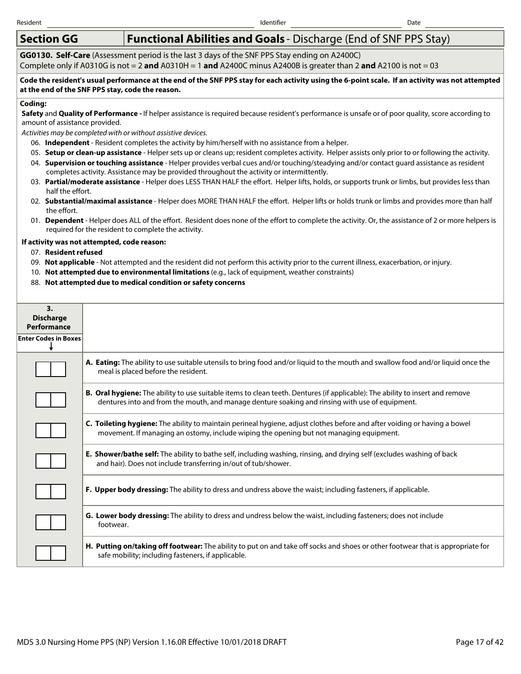# **Section GG. Functional Abilities and Goals** - Discharge (End of SNF PPS Stay)

**GG0130. Self-Care** (Assessment period is the last 3 days of the SNF PPS Stay ending on A2400C)**.**

Complete only if A0310G is not = 2 **and** A0310H = 1 **and** A2400C minus A2400B is greater than 2 **and** A2100 is not = 03**.**

### **Code the resident's usual performance at the end of the SNF PPS stay for each activity using the 6-point scale. If an activity was not attempted at the end of the SNF PPS stay, code the reason.**

### **Coding:**

**Safety** and **Quality of Performance -** If helper assistance is required because resident's performance is unsafe or of poor quality, score according to amount of assistance provided.

*Activities may be completed with or without assistive devices.* 

- 06. **Independent** Resident completes the activity by him/herself with no assistance from a helper.
- 05. **Setup or clean-up assistance**  Helper sets up or cleans up; resident completes activity. Helper assists only prior to or following the activity.
- 04. **Supervision or touching assistance**  Helper provides verbal cues and/or touching/steadying and/or contact guard assistance as resident completes activity. Assistance may be provided throughout the activity or intermittently.
- 03. **Partial/moderate assistance**  Helper does LESS THAN HALF the effort. Helper lifts, holds, or supports trunk or limbs, but provides less than half the effort.
- 02. **Substantial/maximal assistance**  Helper does MORE THAN HALF the effort. Helper lifts or holds trunk or limbs and provides more than half the effort.
- 01. **Dependent** Helper does ALL of the effort. Resident does none of the effort to complete the activity. Or, the assistance of 2 or more helpers is required for the resident to complete the activity.

- 07. **Resident refused.**
- 09. **Not applicable** Not attempted and the resident did not perform this activity prior to the current illness, exacerbation, or injury.
- 10. **Not attempted due to environmental limitations** (e.g., lack of equipment, weather constraints)**.**
- 88. **Not attempted due to medical condition or safety concerns.**

| 3.<br><b>Discharge</b>                     |                                                                                                                                                                                                                                         |
|--------------------------------------------|-----------------------------------------------------------------------------------------------------------------------------------------------------------------------------------------------------------------------------------------|
| Performance<br><b>Enter Codes in Boxes</b> |                                                                                                                                                                                                                                         |
|                                            |                                                                                                                                                                                                                                         |
|                                            | A. Eating: The ability to use suitable utensils to bring food and/or liquid to the mouth and swallow food and/or liquid once the<br>meal is placed before the resident.                                                                 |
|                                            | <b>B. Oral hygiene:</b> The ability to use suitable items to clean teeth. Dentures (if applicable): The ability to insert and remove<br>dentures into and from the mouth, and manage denture soaking and rinsing with use of equipment. |
|                                            | C. Toileting hygiene: The ability to maintain perineal hygiene, adjust clothes before and after voiding or having a bowel<br>movement. If managing an ostomy, include wiping the opening but not managing equipment.                    |
|                                            | <b>E. Shower/bathe self:</b> The ability to bathe self, including washing, rinsing, and drying self (excludes washing of back<br>and hair). Does not include transferring in/out of tub/shower.                                         |
|                                            | <b>F. Upper body dressing:</b> The ability to dress and undress above the waist; including fasteners, if applicable.                                                                                                                    |
|                                            | G. Lower body dressing: The ability to dress and undress below the waist, including fasteners; does not include<br>footwear.                                                                                                            |
|                                            | H. Putting on/taking off footwear: The ability to put on and take off socks and shoes or other footwear that is appropriate for<br>safe mobility; including fasteners, if applicable.                                                   |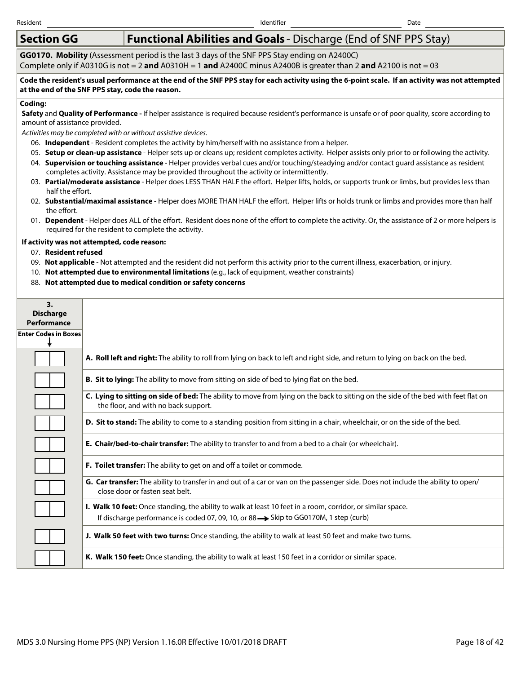# **Section GG. Functional Abilities and Goals** - Discharge (End of SNF PPS Stay)

**GG0170. Mobility** (Assessment period is the last 3 days of the SNF PPS Stay ending on A2400C)**.**

Complete only if A0310G is not = 2 **and** A0310H = 1 **and** A2400C minus A2400B is greater than 2 **and** A2100 is not = 03.

### **Code the resident's usual performance at the end of the SNF PPS stay for each activity using the 6-point scale. If an activity was not attempted at the end of the SNF PPS stay, code the reason.**

### **Coding:**

**Safety** and **Quality of Performance -** If helper assistance is required because resident's performance is unsafe or of poor quality, score according to amount of assistance provided.

*Activities may be completed with or without assistive devices.* 

- 06. **Independent** Resident completes the activity by him/herself with no assistance from a helper.
- 05. **Setup or clean-up assistance**  Helper sets up or cleans up; resident completes activity. Helper assists only prior to or following the activity.
- 04. **Supervision or touching assistance**  Helper provides verbal cues and/or touching/steadying and/or contact guard assistance as resident completes activity. Assistance may be provided throughout the activity or intermittently.
- 03. **Partial/moderate assistance**  Helper does LESS THAN HALF the effort. Helper lifts, holds, or supports trunk or limbs, but provides less than half the effort.
- 02. **Substantial/maximal assistance**  Helper does MORE THAN HALF the effort. Helper lifts or holds trunk or limbs and provides more than half the effort.
- 01. **Dependent** Helper does ALL of the effort. Resident does none of the effort to complete the activity. Or, the assistance of 2 or more helpers is required for the resident to complete the activity.

- 07. **Resident refused.**
- 09. **Not applicable** Not attempted and the resident did not perform this activity prior to the current illness, exacerbation, or injury.
- 10. **Not attempted due to environmental limitations** (e.g., lack of equipment, weather constraints)**.**
- 88. **Not attempted due to medical condition or safety concerns.**

| 3.<br><b>Discharge</b><br>Performance |                                                                                                                                                                                                      |  |  |  |
|---------------------------------------|------------------------------------------------------------------------------------------------------------------------------------------------------------------------------------------------------|--|--|--|
| <b>Enter Codes in Boxes</b>           |                                                                                                                                                                                                      |  |  |  |
|                                       | A. Roll left and right: The ability to roll from lying on back to left and right side, and return to lying on back on the bed.                                                                       |  |  |  |
|                                       | B. Sit to lying: The ability to move from sitting on side of bed to lying flat on the bed.                                                                                                           |  |  |  |
|                                       | C. Lying to sitting on side of bed: The ability to move from lying on the back to sitting on the side of the bed with feet flat on<br>the floor, and with no back support.                           |  |  |  |
|                                       | D. Sit to stand: The ability to come to a standing position from sitting in a chair, wheelchair, or on the side of the bed.                                                                          |  |  |  |
|                                       | <b>E. Chair/bed-to-chair transfer:</b> The ability to transfer to and from a bed to a chair (or wheelchair).                                                                                         |  |  |  |
|                                       | F. Toilet transfer: The ability to get on and off a toilet or commode.                                                                                                                               |  |  |  |
|                                       | G. Car transfer: The ability to transfer in and out of a car or van on the passenger side. Does not include the ability to open/<br>close door or fasten seat belt.                                  |  |  |  |
|                                       | I. Walk 10 feet: Once standing, the ability to walk at least 10 feet in a room, corridor, or similar space.<br>If discharge performance is coded 07, 09, 10, or 88 -> Skip to GG0170M, 1 step (curb) |  |  |  |
|                                       | J. Walk 50 feet with two turns: Once standing, the ability to walk at least 50 feet and make two turns.                                                                                              |  |  |  |
|                                       | K. Walk 150 feet: Once standing, the ability to walk at least 150 feet in a corridor or similar space.                                                                                               |  |  |  |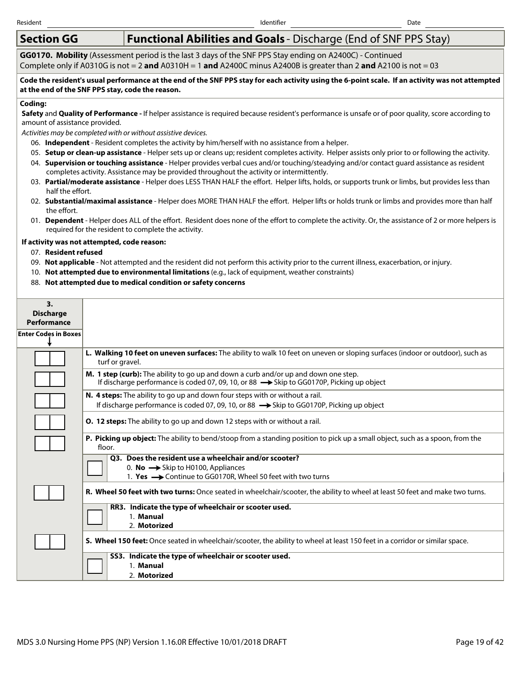# **Section GG. Functional Abilities and Goals** - Discharge (End of SNF PPS Stay)

**GG0170. Mobility** (Assessment period is the last 3 days of the SNF PPS Stay ending on A2400C) - Continued Complete only if A0310G is not = 2 **and** A0310H = 1 **and** A2400C minus A2400B is greater than 2 **and** A2100 is not = 03.

### **Code the resident's usual performance at the end of the SNF PPS stay for each activity using the 6-point scale. If an activity was not attempted at the end of the SNF PPS stay, code the reason.**

#### **Coding:**

**Safety** and **Quality of Performance -** If helper assistance is required because resident's performance is unsafe or of poor quality, score according to amount of assistance provided.

*Activities may be completed with or without assistive devices.* 

- 06. **Independent** Resident completes the activity by him/herself with no assistance from a helper.
- 05. **Setup or clean-up assistance**  Helper sets up or cleans up; resident completes activity. Helper assists only prior to or following the activity.
- 04. **Supervision or touching assistance**  Helper provides verbal cues and/or touching/steadying and/or contact guard assistance as resident completes activity. Assistance may be provided throughout the activity or intermittently.
- 03. **Partial/moderate assistance**  Helper does LESS THAN HALF the effort. Helper lifts, holds, or supports trunk or limbs, but provides less than half the effort.
- 02. **Substantial/maximal assistance**  Helper does MORE THAN HALF the effort. Helper lifts or holds trunk or limbs and provides more than half the effort.
- 01. **Dependent** Helper does ALL of the effort. Resident does none of the effort to complete the activity. Or, the assistance of 2 or more helpers is required for the resident to complete the activity.

- 07. **Resident refused.**
- 09. **Not applicable** Not attempted and the resident did not perform this activity prior to the current illness, exacerbation, or injury.
- 10. **Not attempted due to environmental limitations** (e.g., lack of equipment, weather constraints)**.**
- 88. **Not attempted due to medical condition or safety concerns.**

| 3.<br><b>Discharge</b><br>Performance |                                                                                                                                                                                             |  |  |  |  |  |
|---------------------------------------|---------------------------------------------------------------------------------------------------------------------------------------------------------------------------------------------|--|--|--|--|--|
| <b>Enter Codes in Boxes</b>           |                                                                                                                                                                                             |  |  |  |  |  |
|                                       | L. Walking 10 feet on uneven surfaces: The ability to walk 10 feet on uneven or sloping surfaces (indoor or outdoor), such as<br>turf or gravel.                                            |  |  |  |  |  |
|                                       | M. 1 step (curb): The ability to go up and down a curb and/or up and down one step.<br>If discharge performance is coded 07, 09, 10, or 88 $\rightarrow$ Skip to GG0170P, Picking up object |  |  |  |  |  |
|                                       | N. 4 steps: The ability to go up and down four steps with or without a rail.<br>If discharge performance is coded 07, 09, 10, or 88 $\rightarrow$ Skip to GG0170P, Picking up object        |  |  |  |  |  |
|                                       | <b>O. 12 steps:</b> The ability to go up and down 12 steps with or without a rail.                                                                                                          |  |  |  |  |  |
|                                       | P. Picking up object: The ability to bend/stoop from a standing position to pick up a small object, such as a spoon, from the<br>floor.                                                     |  |  |  |  |  |
|                                       | Q3. Does the resident use a wheelchair and/or scooter?<br>0. No $\rightarrow$ Skip to H0100, Appliances<br>1. Yes $\rightarrow$ Continue to GG0170R, Wheel 50 feet with two turns           |  |  |  |  |  |
|                                       | <b>R. Wheel 50 feet with two turns:</b> Once seated in wheelchair/scooter, the ability to wheel at least 50 feet and make two turns.                                                        |  |  |  |  |  |
|                                       | RR3. Indicate the type of wheelchair or scooter used.<br>1. Manual<br>2. Motorized                                                                                                          |  |  |  |  |  |
|                                       | S. Wheel 150 feet: Once seated in wheelchair/scooter, the ability to wheel at least 150 feet in a corridor or similar space.                                                                |  |  |  |  |  |
|                                       | SS3. Indicate the type of wheelchair or scooter used.<br>1. Manual<br>2. Motorized                                                                                                          |  |  |  |  |  |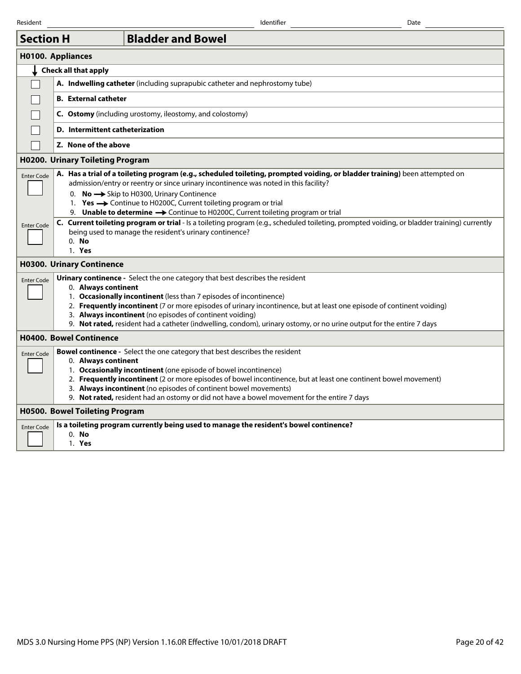| <b>Section H</b>  |                                         | <b>Bladder and Bowel</b>                                                                                                                                                                                                                                                                                                                                                                                                                                         |
|-------------------|-----------------------------------------|------------------------------------------------------------------------------------------------------------------------------------------------------------------------------------------------------------------------------------------------------------------------------------------------------------------------------------------------------------------------------------------------------------------------------------------------------------------|
|                   | <b>H0100. Appliances</b>                |                                                                                                                                                                                                                                                                                                                                                                                                                                                                  |
|                   | <b>Check all that apply</b>             |                                                                                                                                                                                                                                                                                                                                                                                                                                                                  |
|                   |                                         | A. Indwelling catheter (including suprapubic catheter and nephrostomy tube)                                                                                                                                                                                                                                                                                                                                                                                      |
|                   | <b>B.</b> External catheter             |                                                                                                                                                                                                                                                                                                                                                                                                                                                                  |
|                   |                                         | <b>C. Ostomy</b> (including urostomy, ileostomy, and colostomy)                                                                                                                                                                                                                                                                                                                                                                                                  |
|                   | D. Intermittent catheterization         |                                                                                                                                                                                                                                                                                                                                                                                                                                                                  |
|                   | Z. None of the above                    |                                                                                                                                                                                                                                                                                                                                                                                                                                                                  |
|                   | <b>H0200. Urinary Toileting Program</b> |                                                                                                                                                                                                                                                                                                                                                                                                                                                                  |
| <b>Enter Code</b> |                                         | A. Has a trial of a toileting program (e.g., scheduled toileting, prompted voiding, or bladder training) been attempted on<br>admission/entry or reentry or since urinary incontinence was noted in this facility?<br>0. No $\rightarrow$ Skip to H0300, Urinary Continence<br>1. Yes -> Continue to H0200C, Current toileting program or trial<br>9. Unable to determine $\rightarrow$ Continue to H0200C, Current toileting program or trial                   |
| <b>Enter Code</b> | $0.$ No<br>1. Yes                       | C. Current toileting program or trial - Is a toileting program (e.g., scheduled toileting, prompted voiding, or bladder training) currently<br>being used to manage the resident's urinary continence?                                                                                                                                                                                                                                                           |
|                   | <b>H0300. Urinary Continence</b>        |                                                                                                                                                                                                                                                                                                                                                                                                                                                                  |
| <b>Enter Code</b> | 0. Always continent                     | Urinary continence - Select the one category that best describes the resident<br>1. Occasionally incontinent (less than 7 episodes of incontinence)<br>2. Frequently incontinent (7 or more episodes of urinary incontinence, but at least one episode of continent voiding)<br>3. Always incontinent (no episodes of continent voiding)<br>9. Not rated, resident had a catheter (indwelling, condom), urinary ostomy, or no urine output for the entire 7 days |
|                   | <b>H0400. Bowel Continence</b>          |                                                                                                                                                                                                                                                                                                                                                                                                                                                                  |
| <b>Enter Code</b> | 0. Always continent                     | <b>Bowel continence</b> - Select the one category that best describes the resident<br>1. Occasionally incontinent (one episode of bowel incontinence)<br>2. Frequently incontinent (2 or more episodes of bowel incontinence, but at least one continent bowel movement)<br>3. Always incontinent (no episodes of continent bowel movements)<br>9. Not rated, resident had an ostomy or did not have a bowel movement for the entire 7 days                      |
|                   | <b>H0500. Bowel Toileting Program</b>   |                                                                                                                                                                                                                                                                                                                                                                                                                                                                  |
| <b>Enter Code</b> | 0. No<br>$1.$ Yes                       | Is a toileting program currently being used to manage the resident's bowel continence?                                                                                                                                                                                                                                                                                                                                                                           |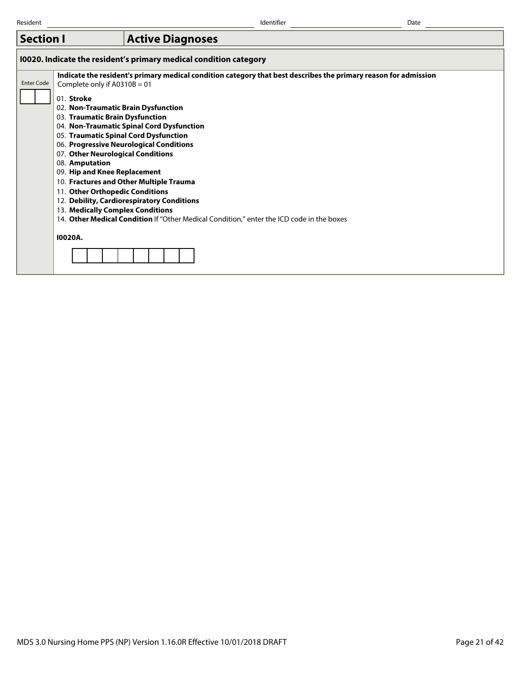| <b>Section I</b>  |                                                                                                                                                                                                                                                                                                        | <b>Active Diagnoses</b>                                                                                                                                                                                                                                                    |  |  |  |  |  |
|-------------------|--------------------------------------------------------------------------------------------------------------------------------------------------------------------------------------------------------------------------------------------------------------------------------------------------------|----------------------------------------------------------------------------------------------------------------------------------------------------------------------------------------------------------------------------------------------------------------------------|--|--|--|--|--|
|                   | 10020. Indicate the resident's primary medical condition category                                                                                                                                                                                                                                      |                                                                                                                                                                                                                                                                            |  |  |  |  |  |
| <b>Enter Code</b> | Complete only if $A0310B = 01$                                                                                                                                                                                                                                                                         | Indicate the resident's primary medical condition category that best describes the primary reason for admission                                                                                                                                                            |  |  |  |  |  |
|                   | 01. Stroke<br>02. Non-Traumatic Brain Dysfunction<br>03. Traumatic Brain Dysfunction<br>05. Traumatic Spinal Cord Dysfunction<br>07. Other Neurological Conditions<br>08. Amputation<br>09. Hip and Knee Replacement<br>11. Other Orthopedic Conditions<br>13. Medically Complex Conditions<br>10020A. | 04. Non-Traumatic Spinal Cord Dysfunction<br>06. Progressive Neurological Conditions<br>10. Fractures and Other Multiple Trauma<br>12. Debility, Cardiorespiratory Conditions<br>14. Other Medical Condition If "Other Medical Condition," enter the ICD code in the boxes |  |  |  |  |  |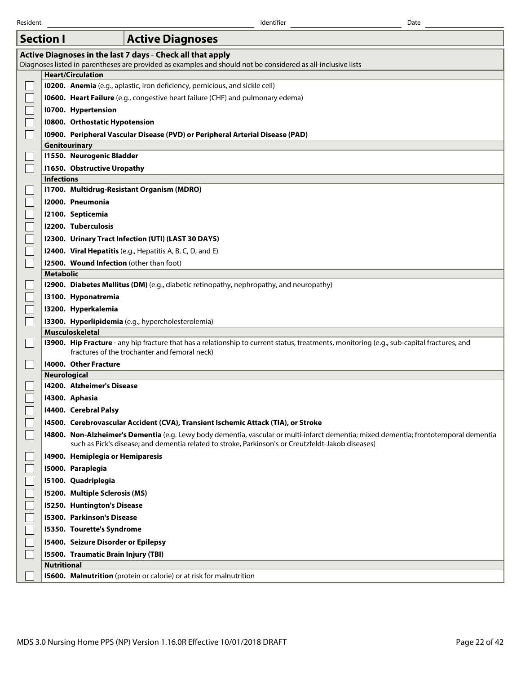|     | <b>Section I</b>    | <b>Active Diagnoses</b>                                                                                                                                                                     |
|-----|---------------------|---------------------------------------------------------------------------------------------------------------------------------------------------------------------------------------------|
|     |                     | Active Diagnoses in the last 7 days - Check all that apply                                                                                                                                  |
|     |                     | Diagnoses listed in parentheses are provided as examples and should not be considered as all-inclusive lists                                                                                |
|     |                     | <b>Heart/Circulation</b>                                                                                                                                                                    |
|     |                     | 10200. Anemia (e.g., aplastic, iron deficiency, pernicious, and sickle cell)                                                                                                                |
|     |                     | 10600. Heart Failure (e.g., congestive heart failure (CHF) and pulmonary edema)                                                                                                             |
|     |                     | 10700. Hypertension                                                                                                                                                                         |
|     |                     | 10800. Orthostatic Hypotension                                                                                                                                                              |
|     |                     | 10900. Peripheral Vascular Disease (PVD) or Peripheral Arterial Disease (PAD)<br><b>Genitourinary</b>                                                                                       |
|     |                     | 11550. Neurogenic Bladder                                                                                                                                                                   |
|     |                     | 11650. Obstructive Uropathy                                                                                                                                                                 |
|     | <b>Infections</b>   |                                                                                                                                                                                             |
|     |                     | 11700. Multidrug-Resistant Organism (MDRO)                                                                                                                                                  |
|     |                     | 12000. Pneumonia                                                                                                                                                                            |
|     |                     | 12100. Septicemia                                                                                                                                                                           |
|     |                     | 12200. Tuberculosis                                                                                                                                                                         |
|     |                     | I2300. Urinary Tract Infection (UTI) (LAST 30 DAYS)                                                                                                                                         |
|     |                     | 12400. Viral Hepatitis (e.g., Hepatitis A, B, C, D, and E)                                                                                                                                  |
|     |                     | 12500. Wound Infection (other than foot)                                                                                                                                                    |
|     | <b>Metabolic</b>    |                                                                                                                                                                                             |
|     |                     | 12900. Diabetes Mellitus (DM) (e.g., diabetic retinopathy, nephropathy, and neuropathy)                                                                                                     |
|     |                     | 13100. Hyponatremia                                                                                                                                                                         |
|     |                     | 13200. Hyperkalemia                                                                                                                                                                         |
|     |                     | 13300. Hyperlipidemia (e.g., hypercholesterolemia)                                                                                                                                          |
|     |                     | <b>Musculoskeletal</b>                                                                                                                                                                      |
|     |                     | 13900. Hip Fracture - any hip fracture that has a relationship to current status, treatments, monitoring (e.g., sub-capital fractures, and<br>fractures of the trochanter and femoral neck) |
|     |                     | 14000. Other Fracture                                                                                                                                                                       |
|     | <b>Neurological</b> | 14200. Alzheimer's Disease                                                                                                                                                                  |
|     |                     | 14300. Aphasia                                                                                                                                                                              |
|     |                     |                                                                                                                                                                                             |
| └── |                     | 14400. Cerebral Palsy<br>14500. Cerebrovascular Accident (CVA), Transient Ischemic Attack (TIA), or Stroke                                                                                  |
|     |                     | 14800. Non-Alzheimer's Dementia (e.g. Lewy body dementia, vascular or multi-infarct dementia; mixed dementia; frontotemporal dementia                                                       |
|     |                     | such as Pick's disease; and dementia related to stroke, Parkinson's or Creutzfeldt-Jakob diseases)                                                                                          |
|     |                     | 14900. Hemiplegia or Hemiparesis                                                                                                                                                            |
|     |                     | 15000. Paraplegia                                                                                                                                                                           |
|     |                     | 15100. Quadriplegia                                                                                                                                                                         |
|     |                     | <b>I5200. Multiple Sclerosis (MS)</b>                                                                                                                                                       |
|     |                     | <b>I5250. Huntington's Disease</b>                                                                                                                                                          |
|     |                     | <b>15300. Parkinson's Disease</b>                                                                                                                                                           |
|     |                     | 15350. Tourette's Syndrome                                                                                                                                                                  |
|     |                     | 15400. Seizure Disorder or Epilepsy                                                                                                                                                         |
|     |                     | 15500. Traumatic Brain Injury (TBI)                                                                                                                                                         |
|     | <b>Nutritional</b>  | 15600. Malnutrition (protein or calorie) or at risk for malnutrition                                                                                                                        |
|     |                     |                                                                                                                                                                                             |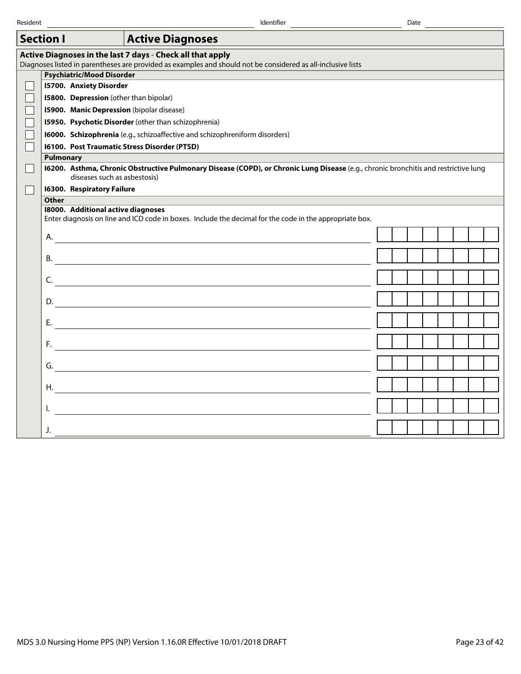| <b>Section I</b> |                                                                                                              | <b>Active Diagnoses</b>                                                                                                                                             |  |  |  |  |  |  |
|------------------|--------------------------------------------------------------------------------------------------------------|---------------------------------------------------------------------------------------------------------------------------------------------------------------------|--|--|--|--|--|--|
|                  | Active Diagnoses in the last 7 days - Check all that apply                                                   |                                                                                                                                                                     |  |  |  |  |  |  |
|                  | Diagnoses listed in parentheses are provided as examples and should not be considered as all-inclusive lists |                                                                                                                                                                     |  |  |  |  |  |  |
|                  |                                                                                                              | <b>Psychiatric/Mood Disorder</b>                                                                                                                                    |  |  |  |  |  |  |
|                  |                                                                                                              | 15700. Anxiety Disorder                                                                                                                                             |  |  |  |  |  |  |
|                  |                                                                                                              | 15800. Depression (other than bipolar)                                                                                                                              |  |  |  |  |  |  |
|                  |                                                                                                              | 15900. Manic Depression (bipolar disease)                                                                                                                           |  |  |  |  |  |  |
|                  |                                                                                                              | 15950. Psychotic Disorder (other than schizophrenia)                                                                                                                |  |  |  |  |  |  |
|                  |                                                                                                              | 16000. Schizophrenia (e.g., schizoaffective and schizophreniform disorders)                                                                                         |  |  |  |  |  |  |
|                  |                                                                                                              | 16100. Post Traumatic Stress Disorder (PTSD)                                                                                                                        |  |  |  |  |  |  |
|                  | <b>Pulmonary</b>                                                                                             |                                                                                                                                                                     |  |  |  |  |  |  |
|                  |                                                                                                              | 16200. Asthma, Chronic Obstructive Pulmonary Disease (COPD), or Chronic Lung Disease (e.g., chronic bronchitis and restrictive lung<br>diseases such as asbestosis) |  |  |  |  |  |  |
|                  |                                                                                                              | 16300. Respiratory Failure                                                                                                                                          |  |  |  |  |  |  |
|                  | <b>Other</b>                                                                                                 |                                                                                                                                                                     |  |  |  |  |  |  |
|                  |                                                                                                              | 18000. Additional active diagnoses                                                                                                                                  |  |  |  |  |  |  |
|                  |                                                                                                              | Enter diagnosis on line and ICD code in boxes. Include the decimal for the code in the appropriate box.                                                             |  |  |  |  |  |  |
|                  | А.                                                                                                           | <u> 1980 - Andrea Stadt Britain, amerikansk politik (</u>                                                                                                           |  |  |  |  |  |  |
|                  |                                                                                                              |                                                                                                                                                                     |  |  |  |  |  |  |
|                  |                                                                                                              |                                                                                                                                                                     |  |  |  |  |  |  |
|                  |                                                                                                              |                                                                                                                                                                     |  |  |  |  |  |  |
|                  |                                                                                                              | C.                                                                                                                                                                  |  |  |  |  |  |  |
|                  | D.                                                                                                           |                                                                                                                                                                     |  |  |  |  |  |  |
|                  |                                                                                                              | <u> 1980 - Johann Barn, mars ann an t-Amhain an t-Amhain an t-Amhain an t-Amhain an t-Amhain an t-Amhain an t-Amh</u>                                               |  |  |  |  |  |  |
|                  | E.                                                                                                           |                                                                                                                                                                     |  |  |  |  |  |  |
|                  |                                                                                                              |                                                                                                                                                                     |  |  |  |  |  |  |
|                  | F.                                                                                                           | <u> 1989 - Johann Stoff, deutscher Stoff, der Stoff, der Stoff, der Stoff, der Stoff, der Stoff, der Stoff, der S</u>                                               |  |  |  |  |  |  |
|                  |                                                                                                              |                                                                                                                                                                     |  |  |  |  |  |  |
|                  | G.                                                                                                           | <u> 1989 - Johann Barbara, martxa alemaniar amerikan a</u>                                                                                                          |  |  |  |  |  |  |
|                  | Н.                                                                                                           | <u> 1989 - Johann Stoff, deutscher Stoff, der Stoff, der Stoff, der Stoff, der Stoff, der Stoff, der Stoff, der S</u>                                               |  |  |  |  |  |  |
|                  | I.                                                                                                           |                                                                                                                                                                     |  |  |  |  |  |  |
|                  |                                                                                                              |                                                                                                                                                                     |  |  |  |  |  |  |
|                  | J.                                                                                                           |                                                                                                                                                                     |  |  |  |  |  |  |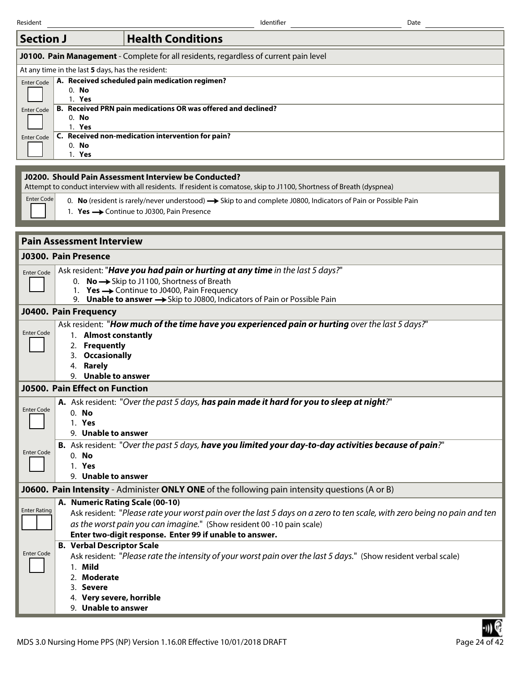| Resident                                          | Identifier                                                                                                                | Date |  |  |  |
|---------------------------------------------------|---------------------------------------------------------------------------------------------------------------------------|------|--|--|--|
| <b>Section J</b>                                  | <b>Health Conditions</b>                                                                                                  |      |  |  |  |
|                                                   | J0100. Pain Management - Complete for all residents, regardless of current pain level                                     |      |  |  |  |
| At any time in the last 5 days, has the resident: |                                                                                                                           |      |  |  |  |
| <b>Enter Code</b>                                 | A. Received scheduled pain medication regimen?                                                                            |      |  |  |  |
| 0. <b>No</b>                                      |                                                                                                                           |      |  |  |  |
| $1.$ Yes                                          |                                                                                                                           |      |  |  |  |
| Enter Code                                        | B. Received PRN pain medications OR was offered and declined?                                                             |      |  |  |  |
| 0. No                                             |                                                                                                                           |      |  |  |  |
| 1. Yes                                            |                                                                                                                           |      |  |  |  |
| Enter Code                                        | C. Received non-medication intervention for pain?                                                                         |      |  |  |  |
| 0. <b>No</b>                                      |                                                                                                                           |      |  |  |  |
| 1. Yes                                            |                                                                                                                           |      |  |  |  |
|                                                   |                                                                                                                           |      |  |  |  |
|                                                   | J0200. Should Pain Assessment Interview be Conducted?                                                                     |      |  |  |  |
|                                                   | Attempt to conduct interview with all residents. If resident is comatose, skip to J1100, Shortness of Breath (dyspnea)    |      |  |  |  |
| <b>Enter Code</b>                                 | 0. No (resident is rarely/never understood) $\rightarrow$ Skip to and complete J0800, Indicators of Pain or Possible Pain |      |  |  |  |
|                                                   | 1. Yes $\rightarrow$ Continue to J0300, Pain Presence                                                                     |      |  |  |  |
|                                                   |                                                                                                                           |      |  |  |  |

a sa mga bangay na mga bangay na mga bangay ng mga bangay ng mga bangay ng mga bangay ng mga bangay ng mga ban

|                     | <b>Pain Assessment Interview</b>                                                                                                                                                                                                                                                               |
|---------------------|------------------------------------------------------------------------------------------------------------------------------------------------------------------------------------------------------------------------------------------------------------------------------------------------|
|                     | <b>J0300. Pain Presence</b>                                                                                                                                                                                                                                                                    |
| <b>Enter Code</b>   | Ask resident: "Have you had pain or hurting at any time in the last 5 days?"<br>0. <b>No</b> $\rightarrow$ Skip to J1100, Shortness of Breath<br>1. Yes  ightarrow Continue to J0400, Pain Frequency<br>9. Unable to answer $\rightarrow$ Skip to J0800, Indicators of Pain or Possible Pain   |
|                     | <b>J0400. Pain Frequency</b>                                                                                                                                                                                                                                                                   |
| <b>Enter Code</b>   | Ask resident: "How much of the time have you experienced pain or hurting over the last 5 days?"<br>1. Almost constantly<br>2. Frequently<br>3. Occasionally<br>4. Rarely<br>9. Unable to answer                                                                                                |
|                     | <b>J0500. Pain Effect on Function</b>                                                                                                                                                                                                                                                          |
| <b>Enter Code</b>   | A. Ask resident: "Over the past 5 days, has pain made it hard for you to sleep at night?"<br>$0.$ No<br>1. Yes<br>9. Unable to answer                                                                                                                                                          |
| <b>Enter Code</b>   | B. Ask resident: "Over the past 5 days, have you limited your day-to-day activities because of pain?"<br>$0.$ No<br>1. Yes<br>9. Unable to answer                                                                                                                                              |
|                     | J0600. Pain Intensity - Administer ONLY ONE of the following pain intensity questions (A or B)                                                                                                                                                                                                 |
| <b>Enter Rating</b> | A. Numeric Rating Scale (00-10)<br>Ask resident: "Please rate your worst pain over the last 5 days on a zero to ten scale, with zero being no pain and ten<br>as the worst pain you can imagine." (Show resident 00 -10 pain scale)<br>Enter two-digit response. Enter 99 if unable to answer. |
| <b>Enter Code</b>   | <b>B. Verbal Descriptor Scale</b><br>Ask resident: "Please rate the intensity of your worst pain over the last 5 days." (Show resident verbal scale)<br>1. Mild<br>2. Moderate<br>3. Severe                                                                                                    |
|                     | 4. Very severe, horrible<br>9. Unable to answer                                                                                                                                                                                                                                                |

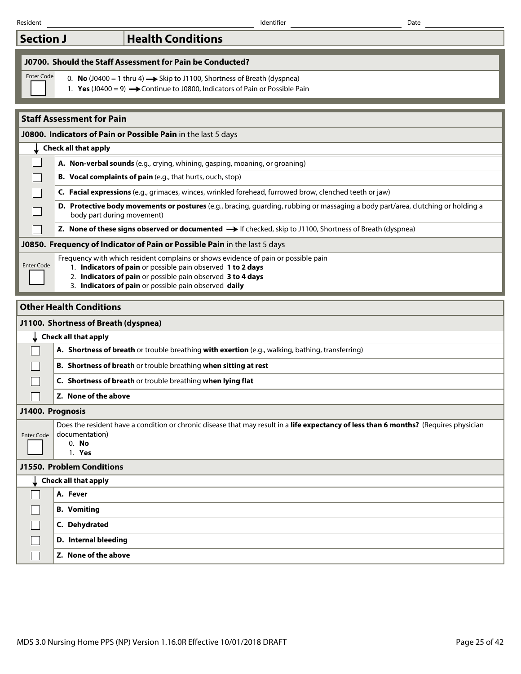### **Section J. Health Conditions.**

### **J0700. Should the Staff Assessment for Pain be Conducted?**

Enter Code

0. **No**  $(30400 = 1$  thru 4)  $\rightarrow$  Skip to J1100, Shortness of Breath (dyspnea)

1. **Yes** (J0400 = 9)  $\rightarrow$  Continue to J0800, Indicators of Pain or Possible Pain

### **Staff Assessment for Pain.**

**J0800. Indicators of Pain or Possible Pain** in the last 5 days**.**

|                   | <b>Check all that apply</b>                                                                                                                                           |
|-------------------|-----------------------------------------------------------------------------------------------------------------------------------------------------------------------|
|                   | A. Non-verbal sounds (e.g., crying, whining, gasping, moaning, or groaning)                                                                                           |
|                   | <b>B. Vocal complaints of pain</b> (e.g., that hurts, ouch, stop)                                                                                                     |
|                   | <b>C.</b> Facial expressions (e.g., grimaces, winces, wrinkled forehead, furrowed brow, clenched teeth or jaw)                                                        |
|                   | <b>D. Protective body movements or postures</b> (e.g., bracing, guarding, rubbing or massaging a body part/area, clutching or holding a<br>body part during movement) |
|                   | <b>Z. None of these signs observed or documented <math>\rightarrow</math></b> If checked, skip to J1100, Shortness of Breath (dyspnea)                                |
|                   | J0850. Frequency of Indicator of Pain or Possible Pain in the last 5 days                                                                                             |
|                   | Frequency with which resident complains or shows evidence of pain or possible pain                                                                                    |
| <b>Enter Code</b> | 1. Indicators of pain or possible pain observed 1 to 2 days                                                                                                           |
|                   | 2. Indicators of pain or possible pain observed 3 to 4 days                                                                                                           |

3. **Indicators of pain** or possible pain observed **daily**.

| <b>Other Health Conditions</b>       |                                                                                                                                                                            |  |  |  |  |
|--------------------------------------|----------------------------------------------------------------------------------------------------------------------------------------------------------------------------|--|--|--|--|
| J1100. Shortness of Breath (dyspnea) |                                                                                                                                                                            |  |  |  |  |
|                                      | Check all that apply                                                                                                                                                       |  |  |  |  |
|                                      | A. Shortness of breath or trouble breathing with exertion (e.g., walking, bathing, transferring)                                                                           |  |  |  |  |
|                                      | B. Shortness of breath or trouble breathing when sitting at rest                                                                                                           |  |  |  |  |
|                                      | C. Shortness of breath or trouble breathing when lying flat                                                                                                                |  |  |  |  |
|                                      | Z. None of the above                                                                                                                                                       |  |  |  |  |
| J1400. Prognosis                     |                                                                                                                                                                            |  |  |  |  |
| <b>Enter Code</b>                    | Does the resident have a condition or chronic disease that may result in a life expectancy of less than 6 months? (Requires physician<br>documentation)<br>0. No<br>1. Yes |  |  |  |  |
|                                      | <b>J1550. Problem Conditions</b>                                                                                                                                           |  |  |  |  |
|                                      | <b>Check all that apply</b>                                                                                                                                                |  |  |  |  |
|                                      | A. Fever                                                                                                                                                                   |  |  |  |  |
|                                      | <b>B.</b> Vomiting                                                                                                                                                         |  |  |  |  |
|                                      | C. Dehydrated                                                                                                                                                              |  |  |  |  |
|                                      | D. Internal bleeding                                                                                                                                                       |  |  |  |  |
|                                      | Z. None of the above                                                                                                                                                       |  |  |  |  |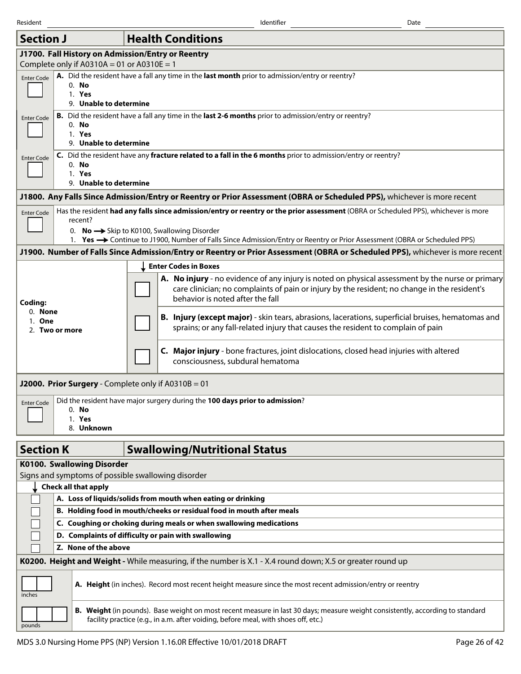| <b>Section J</b>                                                                                                                                                                                                              | <b>Health Conditions</b>                                                                                                                                                                                                                                                                                                                    |  |  |  |  |
|-------------------------------------------------------------------------------------------------------------------------------------------------------------------------------------------------------------------------------|---------------------------------------------------------------------------------------------------------------------------------------------------------------------------------------------------------------------------------------------------------------------------------------------------------------------------------------------|--|--|--|--|
| J1700. Fall History on Admission/Entry or Reentry                                                                                                                                                                             |                                                                                                                                                                                                                                                                                                                                             |  |  |  |  |
| Complete only if A0310A = 01 or A0310E = 1<br>A. Did the resident have a fall any time in the last month prior to admission/entry or reentry?                                                                                 |                                                                                                                                                                                                                                                                                                                                             |  |  |  |  |
| 0. <b>No</b><br>1. Yes                                                                                                                                                                                                        | <b>Enter Code</b><br>9. Unable to determine                                                                                                                                                                                                                                                                                                 |  |  |  |  |
| <b>Enter Code</b><br>0. <b>No</b><br>$1.$ Yes<br>9. Unable to determine                                                                                                                                                       | B. Did the resident have a fall any time in the last 2-6 months prior to admission/entry or reentry?                                                                                                                                                                                                                                        |  |  |  |  |
| <b>Enter Code</b><br>0. No<br>1. Yes<br>9. Unable to determine                                                                                                                                                                | C. Did the resident have any fracture related to a fall in the 6 months prior to admission/entry or reentry?                                                                                                                                                                                                                                |  |  |  |  |
|                                                                                                                                                                                                                               | J1800. Any Falls Since Admission/Entry or Reentry or Prior Assessment (OBRA or Scheduled PPS), whichever is more recent                                                                                                                                                                                                                     |  |  |  |  |
| <b>Enter Code</b><br>recent?                                                                                                                                                                                                  | Has the resident had any falls since admission/entry or reentry or the prior assessment (OBRA or Scheduled PPS), whichever is more<br>0. <b>No</b> $\rightarrow$ Skip to K0100, Swallowing Disorder<br>1. Yes $\rightarrow$ Continue to J1900, Number of Falls Since Admission/Entry or Reentry or Prior Assessment (OBRA or Scheduled PPS) |  |  |  |  |
|                                                                                                                                                                                                                               | J1900. Number of Falls Since Admission/Entry or Reentry or Prior Assessment (OBRA or Scheduled PPS), whichever is more recent                                                                                                                                                                                                               |  |  |  |  |
|                                                                                                                                                                                                                               | <b>Enter Codes in Boxes</b>                                                                                                                                                                                                                                                                                                                 |  |  |  |  |
| Coding:                                                                                                                                                                                                                       | A. No injury - no evidence of any injury is noted on physical assessment by the nurse or primary<br>care clinician; no complaints of pain or injury by the resident; no change in the resident's<br>behavior is noted after the fall                                                                                                        |  |  |  |  |
| 0. None<br>1. One<br>2. Two or more                                                                                                                                                                                           | B. Injury (except major) - skin tears, abrasions, lacerations, superficial bruises, hematomas and<br>sprains; or any fall-related injury that causes the resident to complain of pain                                                                                                                                                       |  |  |  |  |
|                                                                                                                                                                                                                               | C. Major injury - bone fractures, joint dislocations, closed head injuries with altered<br>consciousness, subdural hematoma                                                                                                                                                                                                                 |  |  |  |  |
| J2000. Prior Surgery - Complete only if $A0310B = 01$                                                                                                                                                                         |                                                                                                                                                                                                                                                                                                                                             |  |  |  |  |
| Enter Code<br>0. No<br>1. Yes<br>8. Unknown                                                                                                                                                                                   | Did the resident have major surgery during the 100 days prior to admission?                                                                                                                                                                                                                                                                 |  |  |  |  |
| <b>Section K</b>                                                                                                                                                                                                              | <b>Swallowing/Nutritional Status</b>                                                                                                                                                                                                                                                                                                        |  |  |  |  |
| K0100. Swallowing Disorder                                                                                                                                                                                                    |                                                                                                                                                                                                                                                                                                                                             |  |  |  |  |
| Signs and symptoms of possible swallowing disorder                                                                                                                                                                            |                                                                                                                                                                                                                                                                                                                                             |  |  |  |  |
| Check all that apply                                                                                                                                                                                                          |                                                                                                                                                                                                                                                                                                                                             |  |  |  |  |
|                                                                                                                                                                                                                               | A. Loss of liquids/solids from mouth when eating or drinking<br>B. Holding food in mouth/cheeks or residual food in mouth after meals                                                                                                                                                                                                       |  |  |  |  |
|                                                                                                                                                                                                                               |                                                                                                                                                                                                                                                                                                                                             |  |  |  |  |
| C. Coughing or choking during meals or when swallowing medications<br>D. Complaints of difficulty or pain with swallowing                                                                                                     |                                                                                                                                                                                                                                                                                                                                             |  |  |  |  |
| Z. None of the above                                                                                                                                                                                                          |                                                                                                                                                                                                                                                                                                                                             |  |  |  |  |
| K0200. Height and Weight - While measuring, if the number is X.1 - X.4 round down; X.5 or greater round up                                                                                                                    |                                                                                                                                                                                                                                                                                                                                             |  |  |  |  |
| A. Height (in inches). Record most recent height measure since the most recent admission/entry or reentry<br>inches                                                                                                           |                                                                                                                                                                                                                                                                                                                                             |  |  |  |  |
| B. Weight (in pounds). Base weight on most recent measure in last 30 days; measure weight consistently, according to standard<br>facility practice (e.g., in a.m. after voiding, before meal, with shoes off, etc.)<br>pounds |                                                                                                                                                                                                                                                                                                                                             |  |  |  |  |
|                                                                                                                                                                                                                               |                                                                                                                                                                                                                                                                                                                                             |  |  |  |  |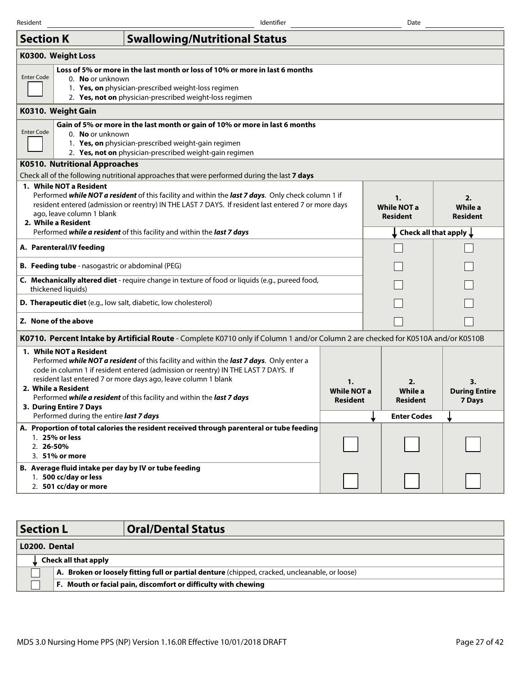| Identifier<br>Resident<br>Date                                                                                                                                                                                                                                                                                                                                                                                |                                                                                                                                                                                                                                                                                              |                                |                           |                                      |  |  |
|---------------------------------------------------------------------------------------------------------------------------------------------------------------------------------------------------------------------------------------------------------------------------------------------------------------------------------------------------------------------------------------------------------------|----------------------------------------------------------------------------------------------------------------------------------------------------------------------------------------------------------------------------------------------------------------------------------------------|--------------------------------|---------------------------|--------------------------------------|--|--|
| <b>Section K</b>                                                                                                                                                                                                                                                                                                                                                                                              | <b>Swallowing/Nutritional Status</b>                                                                                                                                                                                                                                                         |                                |                           |                                      |  |  |
| K0300. Weight Loss                                                                                                                                                                                                                                                                                                                                                                                            |                                                                                                                                                                                                                                                                                              |                                |                           |                                      |  |  |
| <b>Enter Code</b><br>0. No or unknown                                                                                                                                                                                                                                                                                                                                                                         | Loss of 5% or more in the last month or loss of 10% or more in last 6 months<br>1. Yes, on physician-prescribed weight-loss regimen<br>2. Yes, not on physician-prescribed weight-loss regimen                                                                                               |                                |                           |                                      |  |  |
| K0310. Weight Gain                                                                                                                                                                                                                                                                                                                                                                                            |                                                                                                                                                                                                                                                                                              |                                |                           |                                      |  |  |
| <b>Enter Code</b>                                                                                                                                                                                                                                                                                                                                                                                             | Gain of 5% or more in the last month or gain of 10% or more in last 6 months<br>0. No or unknown<br>1. Yes, on physician-prescribed weight-gain regimen<br>2. Yes, not on physician-prescribed weight-gain regimen                                                                           |                                |                           |                                      |  |  |
| <b>K0510. Nutritional Approaches</b>                                                                                                                                                                                                                                                                                                                                                                          |                                                                                                                                                                                                                                                                                              |                                |                           |                                      |  |  |
| 1. While NOT a Resident                                                                                                                                                                                                                                                                                                                                                                                       | Check all of the following nutritional approaches that were performed during the last 7 days                                                                                                                                                                                                 |                                |                           |                                      |  |  |
| ago, leave column 1 blank<br>2. While a Resident                                                                                                                                                                                                                                                                                                                                                              | Performed while NOT a resident of this facility and within the last 7 days. Only check column 1 if<br>2.<br>1.<br>resident entered (admission or reentry) IN THE LAST 7 DAYS. If resident last entered 7 or more days<br><b>While NOT a</b><br>While a<br><b>Resident</b><br><b>Resident</b> |                                |                           |                                      |  |  |
|                                                                                                                                                                                                                                                                                                                                                                                                               | Performed while a resident of this facility and within the last 7 days                                                                                                                                                                                                                       |                                |                           | Check all that apply                 |  |  |
| A. Parenteral/IV feeding                                                                                                                                                                                                                                                                                                                                                                                      |                                                                                                                                                                                                                                                                                              |                                |                           |                                      |  |  |
| B. Feeding tube - nasogastric or abdominal (PEG)                                                                                                                                                                                                                                                                                                                                                              |                                                                                                                                                                                                                                                                                              |                                |                           |                                      |  |  |
| thickened liquids)                                                                                                                                                                                                                                                                                                                                                                                            | C. Mechanically altered diet - require change in texture of food or liquids (e.g., pureed food,                                                                                                                                                                                              |                                |                           |                                      |  |  |
| D. Therapeutic diet (e.g., low salt, diabetic, low cholesterol)                                                                                                                                                                                                                                                                                                                                               |                                                                                                                                                                                                                                                                                              |                                |                           |                                      |  |  |
| Z. None of the above                                                                                                                                                                                                                                                                                                                                                                                          |                                                                                                                                                                                                                                                                                              |                                |                           |                                      |  |  |
|                                                                                                                                                                                                                                                                                                                                                                                                               | K0710. Percent Intake by Artificial Route - Complete K0710 only if Column 1 and/or Column 2 are checked for K0510A and/or K0510B                                                                                                                                                             |                                |                           |                                      |  |  |
| 1. While NOT a Resident<br>Performed while NOT a resident of this facility and within the last 7 days. Only enter a<br>code in column 1 if resident entered (admission or reentry) IN THE LAST 7 DAYS. If<br>resident last entered 7 or more days ago, leave column 1 blank<br>1.<br>2. While a Resident<br>Performed while a resident of this facility and within the last 7 days<br>3. During Entire 7 Days |                                                                                                                                                                                                                                                                                              | <b>While NOT a</b><br>Resident | 2.<br>While a<br>Resident | 3.<br><b>During Entire</b><br>7 Days |  |  |
| Performed during the entire last 7 days                                                                                                                                                                                                                                                                                                                                                                       |                                                                                                                                                                                                                                                                                              |                                | <b>Enter Codes</b>        |                                      |  |  |
| 1. 25% or less<br>2. 26-50%<br>3. 51% or more                                                                                                                                                                                                                                                                                                                                                                 | A. Proportion of total calories the resident received through parenteral or tube feeding                                                                                                                                                                                                     |                                |                           |                                      |  |  |
| B. Average fluid intake per day by IV or tube feeding<br>1. 500 cc/day or less<br>2. 501 cc/day or more                                                                                                                                                                                                                                                                                                       |                                                                                                                                                                                                                                                                                              |                                |                           |                                      |  |  |

| <b>Section L</b> |                      | <b>Oral/Dental Status</b>                                                                      |  |
|------------------|----------------------|------------------------------------------------------------------------------------------------|--|
|                  | L0200. Dental        |                                                                                                |  |
|                  | Check all that apply |                                                                                                |  |
|                  |                      | A. Broken or loosely fitting full or partial denture (chipped, cracked, uncleanable, or loose) |  |
|                  |                      | F. Mouth or facial pain, discomfort or difficulty with chewing                                 |  |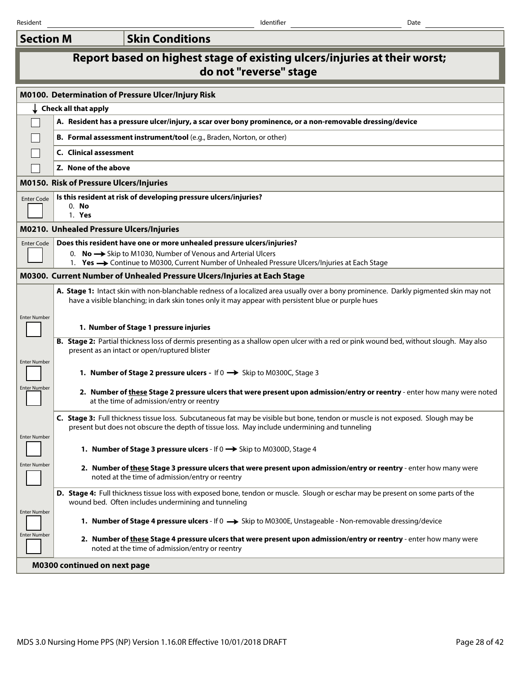| <b>Section M</b>                                                                                    | <b>Skin Conditions</b>                                                                                                                                                                                                                       |  |  |  |
|-----------------------------------------------------------------------------------------------------|----------------------------------------------------------------------------------------------------------------------------------------------------------------------------------------------------------------------------------------------|--|--|--|
| Report based on highest stage of existing ulcers/injuries at their worst;<br>do not "reverse" stage |                                                                                                                                                                                                                                              |  |  |  |
|                                                                                                     | M0100. Determination of Pressure Ulcer/Injury Risk                                                                                                                                                                                           |  |  |  |
| <b>Check all that apply</b>                                                                         |                                                                                                                                                                                                                                              |  |  |  |
|                                                                                                     | A. Resident has a pressure ulcer/injury, a scar over bony prominence, or a non-removable dressing/device                                                                                                                                     |  |  |  |
|                                                                                                     | <b>B. Formal assessment instrument/tool</b> (e.g., Braden, Norton, or other)                                                                                                                                                                 |  |  |  |
| <b>C.</b> Clinical assessment                                                                       |                                                                                                                                                                                                                                              |  |  |  |
| Z. None of the above                                                                                |                                                                                                                                                                                                                                              |  |  |  |
| <b>M0150. Risk of Pressure Ulcers/Injuries</b>                                                      |                                                                                                                                                                                                                                              |  |  |  |
| <b>Enter Code</b><br>$0.$ No<br>1. Yes                                                              | Is this resident at risk of developing pressure ulcers/injuries?                                                                                                                                                                             |  |  |  |
| <b>M0210. Unhealed Pressure Ulcers/Injuries</b>                                                     |                                                                                                                                                                                                                                              |  |  |  |
| <b>Enter Code</b>                                                                                   | Does this resident have one or more unhealed pressure ulcers/injuries?                                                                                                                                                                       |  |  |  |
|                                                                                                     | 0. <b>No</b> $\rightarrow$ Skip to M1030, Number of Venous and Arterial Ulcers<br>1. Yes → Continue to M0300, Current Number of Unhealed Pressure Ulcers/Injuries at Each Stage                                                              |  |  |  |
|                                                                                                     | M0300. Current Number of Unhealed Pressure Ulcers/Injuries at Each Stage                                                                                                                                                                     |  |  |  |
|                                                                                                     | A. Stage 1: Intact skin with non-blanchable redness of a localized area usually over a bony prominence. Darkly pigmented skin may not<br>have a visible blanching; in dark skin tones only it may appear with persistent blue or purple hues |  |  |  |
| <b>Enter Number</b>                                                                                 | 1. Number of Stage 1 pressure injuries                                                                                                                                                                                                       |  |  |  |
|                                                                                                     | B. Stage 2: Partial thickness loss of dermis presenting as a shallow open ulcer with a red or pink wound bed, without slough. May also<br>present as an intact or open/ruptured blister                                                      |  |  |  |
| <b>Enter Number</b>                                                                                 | 1. Number of Stage 2 pressure ulcers - If 0 $\rightarrow$ Skip to M0300C, Stage 3                                                                                                                                                            |  |  |  |
| <b>Enter Number</b>                                                                                 | 2. Number of these Stage 2 pressure ulcers that were present upon admission/entry or reentry - enter how many were noted<br>at the time of admission/entry or reentry                                                                        |  |  |  |
| <b>Enter Number</b>                                                                                 | C. Stage 3: Full thickness tissue loss. Subcutaneous fat may be visible but bone, tendon or muscle is not exposed. Slough may be<br>present but does not obscure the depth of tissue loss. May include undermining and tunneling             |  |  |  |
|                                                                                                     | 1. Number of Stage 3 pressure ulcers - If 0 $\rightarrow$ Skip to M0300D, Stage 4                                                                                                                                                            |  |  |  |
| <b>Enter Number</b>                                                                                 | 2. Number of these Stage 3 pressure ulcers that were present upon admission/entry or reentry - enter how many were<br>noted at the time of admission/entry or reentry                                                                        |  |  |  |
| <b>Enter Number</b>                                                                                 | D. Stage 4: Full thickness tissue loss with exposed bone, tendon or muscle. Slough or eschar may be present on some parts of the<br>wound bed. Often includes undermining and tunneling                                                      |  |  |  |
|                                                                                                     | 1. Number of Stage 4 pressure ulcers - If 0 $\rightarrow$ Skip to M0300E, Unstageable - Non-removable dressing/device                                                                                                                        |  |  |  |
| <b>Enter Number</b>                                                                                 | 2. Number of these Stage 4 pressure ulcers that were present upon admission/entry or reentry - enter how many were<br>noted at the time of admission/entry or reentry                                                                        |  |  |  |
| M0300 continued on next page                                                                        |                                                                                                                                                                                                                                              |  |  |  |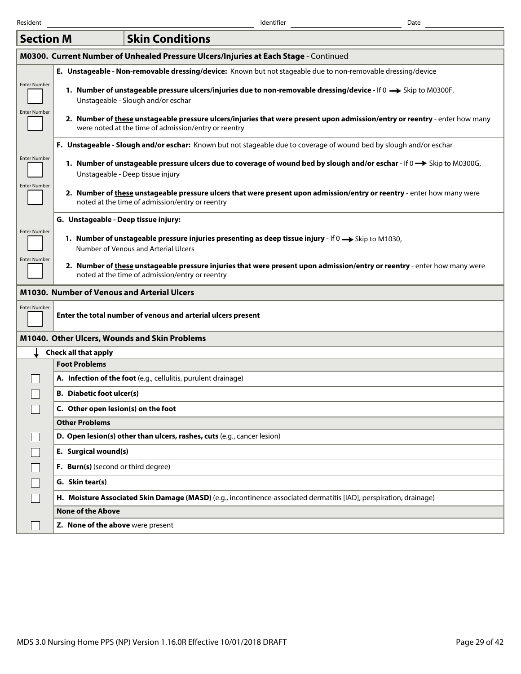| <b>Section M</b>    | <b>Skin Conditions</b>                                                                                                                                                             |
|---------------------|------------------------------------------------------------------------------------------------------------------------------------------------------------------------------------|
|                     | M0300. Current Number of Unhealed Pressure Ulcers/Injuries at Each Stage - Continued                                                                                               |
|                     | E. Unstageable - Non-removable dressing/device: Known but not stageable due to non-removable dressing/device                                                                       |
| <b>Enter Number</b> | 1. Number of unstageable pressure ulcers/injuries due to non-removable dressing/device - If 0 $\rightarrow$ Skip to M0300F,<br>Unstageable - Slough and/or eschar                  |
| <b>Enter Number</b> | 2. Number of these unstageable pressure ulcers/injuries that were present upon admission/entry or reentry - enter how many<br>were noted at the time of admission/entry or reentry |
|                     | F. Unstageable - Slough and/or eschar: Known but not stageable due to coverage of wound bed by slough and/or eschar                                                                |
| <b>Enter Number</b> | 1. Number of unstageable pressure ulcers due to coverage of wound bed by slough and/or eschar - If 0 $\rightarrow$ Skip to M0300G,<br>Unstageable - Deep tissue injury             |
| <b>Enter Number</b> | 2. Number of these unstageable pressure ulcers that were present upon admission/entry or reentry - enter how many were<br>noted at the time of admission/entry or reentry          |
|                     | G. Unstageable - Deep tissue injury:                                                                                                                                               |
| <b>Enter Number</b> | 1. Number of unstageable pressure injuries presenting as deep tissue injury - If $0 \rightarrow$ Skip to M1030,<br>Number of Venous and Arterial Ulcers                            |
| <b>Enter Number</b> | 2. Number of these unstageable pressure injuries that were present upon admission/entry or reentry - enter how many were<br>noted at the time of admission/entry or reentry        |
|                     | M1030. Number of Venous and Arterial Ulcers                                                                                                                                        |
|                     |                                                                                                                                                                                    |
| <b>Enter Number</b> | Enter the total number of venous and arterial ulcers present                                                                                                                       |
|                     | M1040. Other Ulcers, Wounds and Skin Problems                                                                                                                                      |
|                     | <b>Check all that apply</b>                                                                                                                                                        |
|                     | <b>Foot Problems</b>                                                                                                                                                               |
|                     | A. Infection of the foot (e.g., cellulitis, purulent drainage)                                                                                                                     |
|                     | <b>B.</b> Diabetic foot ulcer(s)                                                                                                                                                   |
|                     | C. Other open lesion(s) on the foot                                                                                                                                                |
|                     | <b>Other Problems</b>                                                                                                                                                              |
|                     | D. Open lesion(s) other than ulcers, rashes, cuts (e.g., cancer lesion)                                                                                                            |
|                     | E. Surgical wound(s)                                                                                                                                                               |
|                     | F. Burn(s) (second or third degree)                                                                                                                                                |
|                     | G. Skin tear(s)                                                                                                                                                                    |
|                     | H. Moisture Associated Skin Damage (MASD) (e.g., incontinence-associated dermatitis [IAD], perspiration, drainage)                                                                 |
|                     | <b>None of the Above</b>                                                                                                                                                           |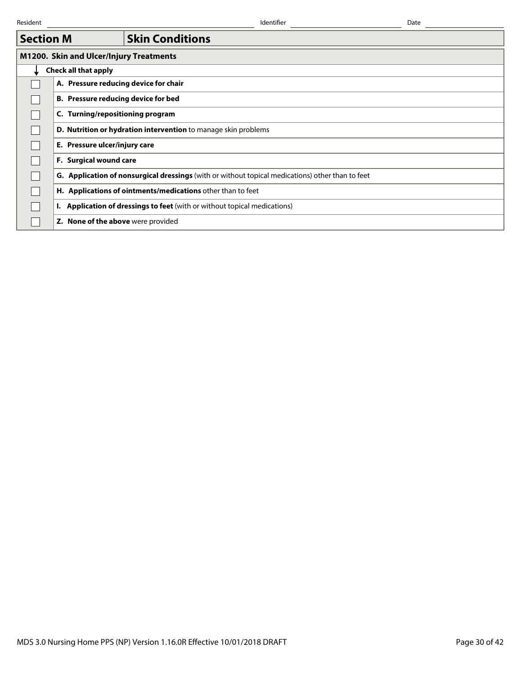| <b>Section M</b> |                                            | <b>Skin Conditions</b>                                                                           |  |  |
|------------------|--------------------------------------------|--------------------------------------------------------------------------------------------------|--|--|
|                  | M1200. Skin and Ulcer/Injury Treatments    |                                                                                                  |  |  |
|                  | <b>Check all that apply</b>                |                                                                                                  |  |  |
|                  | A. Pressure reducing device for chair      |                                                                                                  |  |  |
|                  | <b>B.</b> Pressure reducing device for bed |                                                                                                  |  |  |
|                  | C. Turning/repositioning program           |                                                                                                  |  |  |
|                  |                                            | D. Nutrition or hydration intervention to manage skin problems                                   |  |  |
|                  | E. Pressure ulcer/injury care              |                                                                                                  |  |  |
|                  | F. Surgical wound care                     |                                                                                                  |  |  |
|                  |                                            | G. Application of nonsurgical dressings (with or without topical medications) other than to feet |  |  |
|                  |                                            | H. Applications of ointments/medications other than to feet                                      |  |  |
|                  | ı.                                         | Application of dressings to feet (with or without topical medications)                           |  |  |
|                  | <b>Z.</b> None of the above were provided  |                                                                                                  |  |  |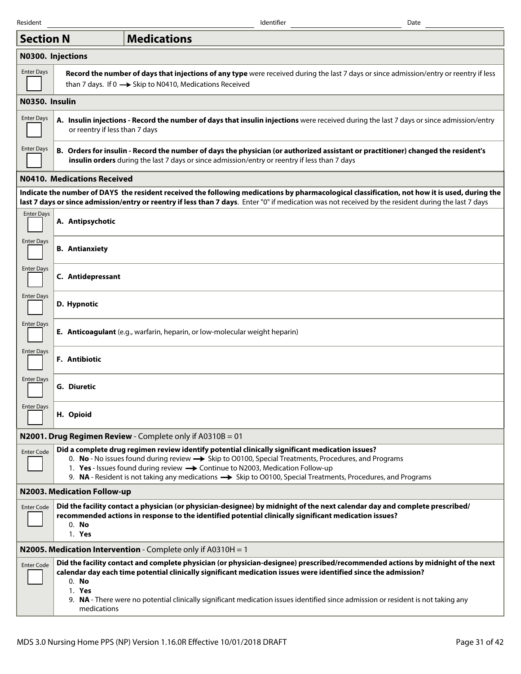| <b>Section N</b><br><b>Medications</b>                       |                                                                                                                                                                                                                                                                                                                                                                                                                                             |  |  |  |
|--------------------------------------------------------------|---------------------------------------------------------------------------------------------------------------------------------------------------------------------------------------------------------------------------------------------------------------------------------------------------------------------------------------------------------------------------------------------------------------------------------------------|--|--|--|
| N0300. Injections                                            |                                                                                                                                                                                                                                                                                                                                                                                                                                             |  |  |  |
| <b>Enter Days</b>                                            | Record the number of days that injections of any type were received during the last 7 days or since admission/entry or reentry if less<br>than 7 days. If $0 \rightarrow$ Skip to N0410, Medications Received                                                                                                                                                                                                                               |  |  |  |
| N0350. Insulin                                               |                                                                                                                                                                                                                                                                                                                                                                                                                                             |  |  |  |
| <b>Enter Days</b>                                            | A. Insulin injections - Record the number of days that insulin injections were received during the last 7 days or since admission/entry<br>or reentry if less than 7 days                                                                                                                                                                                                                                                                   |  |  |  |
| <b>Enter Days</b>                                            | B. Orders for insulin - Record the number of days the physician (or authorized assistant or practitioner) changed the resident's<br>insulin orders during the last 7 days or since admission/entry or reentry if less than 7 days                                                                                                                                                                                                           |  |  |  |
|                                                              | <b>N0410. Medications Received</b>                                                                                                                                                                                                                                                                                                                                                                                                          |  |  |  |
|                                                              | Indicate the number of DAYS the resident received the following medications by pharmacological classification, not how it is used, during the<br>last 7 days or since admission/entry or reentry if less than 7 days. Enter "0" if medication was not received by the resident during the last 7 days                                                                                                                                       |  |  |  |
| <b>Enter Days</b>                                            | A. Antipsychotic                                                                                                                                                                                                                                                                                                                                                                                                                            |  |  |  |
| <b>Enter Days</b>                                            | <b>B.</b> Antianxiety                                                                                                                                                                                                                                                                                                                                                                                                                       |  |  |  |
| <b>Enter Days</b>                                            | C. Antidepressant                                                                                                                                                                                                                                                                                                                                                                                                                           |  |  |  |
| <b>Enter Days</b>                                            | D. Hypnotic                                                                                                                                                                                                                                                                                                                                                                                                                                 |  |  |  |
| <b>Enter Days</b>                                            | E. Anticoagulant (e.g., warfarin, heparin, or low-molecular weight heparin)                                                                                                                                                                                                                                                                                                                                                                 |  |  |  |
| <b>Enter Days</b>                                            | <b>F. Antibiotic</b>                                                                                                                                                                                                                                                                                                                                                                                                                        |  |  |  |
| <b>Enter Days</b>                                            | G. Diuretic                                                                                                                                                                                                                                                                                                                                                                                                                                 |  |  |  |
| <b>Enter Days</b>                                            | H. Opioid                                                                                                                                                                                                                                                                                                                                                                                                                                   |  |  |  |
|                                                              | N2001. Drug Regimen Review - Complete only if $A0310B = 01$                                                                                                                                                                                                                                                                                                                                                                                 |  |  |  |
| <b>Enter Code</b>                                            | Did a complete drug regimen review identify potential clinically significant medication issues?<br>0. No - No issues found during review $\rightarrow$ Skip to 00100, Special Treatments, Procedures, and Programs<br>1. Yes - Issues found during review $\rightarrow$ Continue to N2003, Medication Follow-up<br>9. NA - Resident is not taking any medications $\rightarrow$ Skip to O0100, Special Treatments, Procedures, and Programs |  |  |  |
|                                                              | N2003. Medication Follow-up                                                                                                                                                                                                                                                                                                                                                                                                                 |  |  |  |
| <b>Enter Code</b>                                            | Did the facility contact a physician (or physician-designee) by midnight of the next calendar day and complete prescribed/<br>recommended actions in response to the identified potential clinically significant medication issues?<br>0. No<br>1. Yes                                                                                                                                                                                      |  |  |  |
| N2005. Medication Intervention - Complete only if A0310H = 1 |                                                                                                                                                                                                                                                                                                                                                                                                                                             |  |  |  |
| <b>Enter Code</b>                                            | Did the facility contact and complete physician (or physician-designee) prescribed/recommended actions by midnight of the next<br>calendar day each time potential clinically significant medication issues were identified since the admission?<br>0. No<br>1. Yes<br>9. NA - There were no potential clinically significant medication issues identified since admission or resident is not taking any                                    |  |  |  |
|                                                              | medications                                                                                                                                                                                                                                                                                                                                                                                                                                 |  |  |  |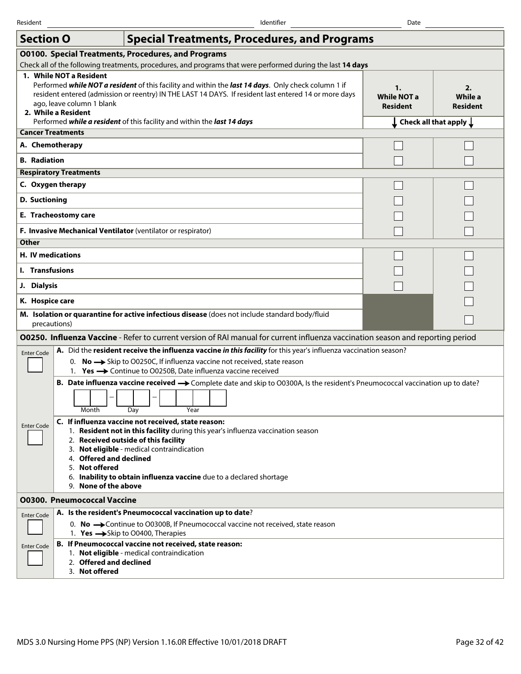| <b>Section O</b>         |                                                                             | <b>Special Treatments, Procedures, and Programs</b>                                                                                                                                                          |                                                |                                  |
|--------------------------|-----------------------------------------------------------------------------|--------------------------------------------------------------------------------------------------------------------------------------------------------------------------------------------------------------|------------------------------------------------|----------------------------------|
|                          |                                                                             | <b>O0100. Special Treatments, Procedures, and Programs</b>                                                                                                                                                   |                                                |                                  |
|                          |                                                                             | Check all of the following treatments, procedures, and programs that were performed during the last 14 days                                                                                                  |                                                |                                  |
|                          | 1. While NOT a Resident<br>ago, leave column 1 blank<br>2. While a Resident | Performed while NOT a resident of this facility and within the last 14 days. Only check column 1 if<br>resident entered (admission or reentry) IN THE LAST 14 DAYS. If resident last entered 14 or more days | 1.<br>While NOT a<br><b>Resident</b>           | 2.<br>While a<br><b>Resident</b> |
|                          |                                                                             | Performed while a resident of this facility and within the last 14 days                                                                                                                                      | $\downarrow$ Check all that apply $\downarrow$ |                                  |
| <b>Cancer Treatments</b> |                                                                             |                                                                                                                                                                                                              |                                                |                                  |
| A. Chemotherapy          |                                                                             |                                                                                                                                                                                                              |                                                |                                  |
| <b>B.</b> Radiation      |                                                                             |                                                                                                                                                                                                              |                                                |                                  |
|                          | <b>Respiratory Treatments</b>                                               |                                                                                                                                                                                                              |                                                |                                  |
| C. Oxygen therapy        |                                                                             |                                                                                                                                                                                                              |                                                |                                  |
| <b>D. Suctioning</b>     |                                                                             |                                                                                                                                                                                                              |                                                |                                  |
|                          | E. Tracheostomy care                                                        |                                                                                                                                                                                                              |                                                |                                  |
|                          |                                                                             | F. Invasive Mechanical Ventilator (ventilator or respirator)                                                                                                                                                 |                                                |                                  |
| <b>Other</b>             |                                                                             |                                                                                                                                                                                                              |                                                |                                  |
| <b>H. IV medications</b> |                                                                             |                                                                                                                                                                                                              |                                                |                                  |
| <b>I.</b> Transfusions   |                                                                             |                                                                                                                                                                                                              |                                                |                                  |
|                          |                                                                             |                                                                                                                                                                                                              |                                                |                                  |
| J. Dialysis              |                                                                             |                                                                                                                                                                                                              |                                                |                                  |
| K. Hospice care          |                                                                             |                                                                                                                                                                                                              |                                                |                                  |
| precautions)             |                                                                             | M. Isolation or quarantine for active infectious disease (does not include standard body/fluid                                                                                                               |                                                |                                  |
|                          |                                                                             | <b>O0250. Influenza Vaccine</b> - Refer to current version of RAI manual for current influenza vaccination season and reporting period                                                                       |                                                |                                  |
| <b>Enter Code</b>        |                                                                             | A. Did the resident receive the influenza vaccine in this facility for this year's influenza vaccination season?                                                                                             |                                                |                                  |
|                          |                                                                             | 0. No $\rightarrow$ Skip to O0250C, If influenza vaccine not received, state reason<br>1. Yes $\rightarrow$ Continue to O0250B, Date influenza vaccine received                                              |                                                |                                  |
|                          |                                                                             | B. Date influenza vaccine received $\rightarrow$ Complete date and skip to O0300A, Is the resident's Pneumococcal vaccination up to date?                                                                    |                                                |                                  |
|                          |                                                                             |                                                                                                                                                                                                              |                                                |                                  |
|                          | Month                                                                       | Year<br>Day                                                                                                                                                                                                  |                                                |                                  |
| <b>Enter Code</b>        |                                                                             | C. If influenza vaccine not received, state reason:<br>1. Resident not in this facility during this year's influenza vaccination season                                                                      |                                                |                                  |
|                          |                                                                             | 2. Received outside of this facility                                                                                                                                                                         |                                                |                                  |
|                          | 4. Offered and declined                                                     | 3. Not eligible - medical contraindication                                                                                                                                                                   |                                                |                                  |
|                          | 5. Not offered                                                              |                                                                                                                                                                                                              |                                                |                                  |
|                          |                                                                             | 6. Inability to obtain influenza vaccine due to a declared shortage                                                                                                                                          |                                                |                                  |
|                          | 9. None of the above                                                        |                                                                                                                                                                                                              |                                                |                                  |
|                          | <b>O0300. Pneumococcal Vaccine</b>                                          |                                                                                                                                                                                                              |                                                |                                  |
| <b>Enter Code</b>        |                                                                             | A. Is the resident's Pneumococcal vaccination up to date?                                                                                                                                                    |                                                |                                  |
|                          |                                                                             | 0. No $\rightarrow$ Continue to O0300B, If Pneumococcal vaccine not received, state reason<br>1. Yes -> Skip to 00400, Therapies                                                                             |                                                |                                  |
| <b>Enter Code</b>        |                                                                             | B. If Pneumococcal vaccine not received, state reason:                                                                                                                                                       |                                                |                                  |
|                          | 2. Offered and declined                                                     | 1. Not eligible - medical contraindication                                                                                                                                                                   |                                                |                                  |
|                          | 3. Not offered                                                              |                                                                                                                                                                                                              |                                                |                                  |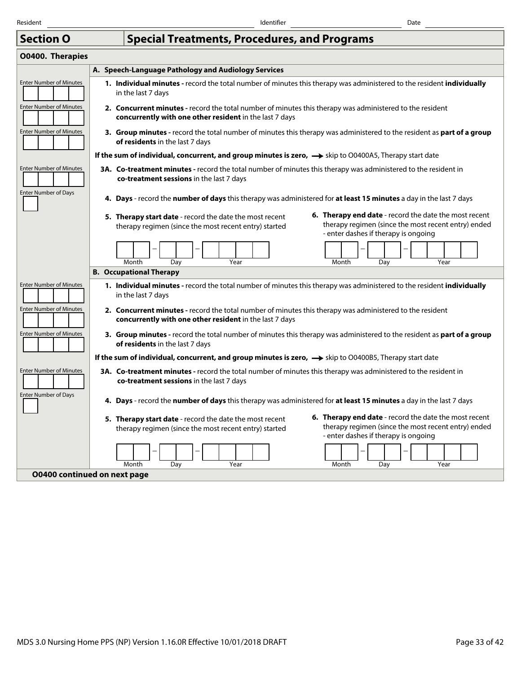| <b>Section O</b><br><b>Special Treatments, Procedures, and Programs</b> |                                                                                                                                                                                                                                                                          |  |  |  |  |  |  |  |  |  |  |  |
|-------------------------------------------------------------------------|--------------------------------------------------------------------------------------------------------------------------------------------------------------------------------------------------------------------------------------------------------------------------|--|--|--|--|--|--|--|--|--|--|--|
| <b>O0400. Therapies</b>                                                 |                                                                                                                                                                                                                                                                          |  |  |  |  |  |  |  |  |  |  |  |
|                                                                         | A. Speech-Language Pathology and Audiology Services                                                                                                                                                                                                                      |  |  |  |  |  |  |  |  |  |  |  |
| <b>Enter Number of Minutes</b>                                          | 1. Individual minutes - record the total number of minutes this therapy was administered to the resident individually<br>in the last 7 days                                                                                                                              |  |  |  |  |  |  |  |  |  |  |  |
| <b>Enter Number of Minutes</b>                                          | 2. Concurrent minutes - record the total number of minutes this therapy was administered to the resident<br>concurrently with one other resident in the last 7 days                                                                                                      |  |  |  |  |  |  |  |  |  |  |  |
| <b>Enter Number of Minutes</b>                                          | 3. Group minutes - record the total number of minutes this therapy was administered to the resident as part of a group<br>of residents in the last 7 days                                                                                                                |  |  |  |  |  |  |  |  |  |  |  |
|                                                                         | If the sum of individual, concurrent, and group minutes is zero, $\rightarrow$ skip to 00400A5, Therapy start date                                                                                                                                                       |  |  |  |  |  |  |  |  |  |  |  |
| <b>Enter Number of Minutes</b>                                          | 3A. Co-treatment minutes - record the total number of minutes this therapy was administered to the resident in<br>co-treatment sessions in the last 7 days                                                                                                               |  |  |  |  |  |  |  |  |  |  |  |
| <b>Enter Number of Days</b>                                             | 4. Days - record the number of days this therapy was administered for at least 15 minutes a day in the last 7 days                                                                                                                                                       |  |  |  |  |  |  |  |  |  |  |  |
|                                                                         | 6. Therapy end date - record the date the most recent<br>5. Therapy start date - record the date the most recent<br>therapy regimen (since the most recent entry) ended<br>therapy regimen (since the most recent entry) started<br>- enter dashes if therapy is ongoing |  |  |  |  |  |  |  |  |  |  |  |
|                                                                         | Month<br>Year<br>Year<br>Day<br>Month<br>Day                                                                                                                                                                                                                             |  |  |  |  |  |  |  |  |  |  |  |
|                                                                         | <b>B. Occupational Therapy</b>                                                                                                                                                                                                                                           |  |  |  |  |  |  |  |  |  |  |  |
| <b>Enter Number of Minutes</b>                                          | 1. Individual minutes - record the total number of minutes this therapy was administered to the resident individually<br>in the last 7 days                                                                                                                              |  |  |  |  |  |  |  |  |  |  |  |
| <b>Enter Number of Minutes</b>                                          | 2. Concurrent minutes - record the total number of minutes this therapy was administered to the resident<br>concurrently with one other resident in the last 7 days                                                                                                      |  |  |  |  |  |  |  |  |  |  |  |
| <b>Enter Number of Minutes</b>                                          | 3. Group minutes - record the total number of minutes this therapy was administered to the resident as part of a group<br>of residents in the last 7 days                                                                                                                |  |  |  |  |  |  |  |  |  |  |  |
|                                                                         | If the sum of individual, concurrent, and group minutes is zero, $\rightarrow$ skip to 00400B5, Therapy start date                                                                                                                                                       |  |  |  |  |  |  |  |  |  |  |  |
| <b>Enter Number of Minutes</b>                                          | 3A. Co-treatment minutes - record the total number of minutes this therapy was administered to the resident in<br>co-treatment sessions in the last 7 days                                                                                                               |  |  |  |  |  |  |  |  |  |  |  |
| <b>Enter Number of Days</b>                                             | 4. Days - record the number of days this therapy was administered for at least 15 minutes a day in the last 7 days                                                                                                                                                       |  |  |  |  |  |  |  |  |  |  |  |
|                                                                         | 6. Therapy end date - record the date the most recent<br>5. Therapy start date - record the date the most recent<br>therapy regimen (since the most recent entry) ended<br>therapy regimen (since the most recent entry) started<br>- enter dashes if therapy is ongoing |  |  |  |  |  |  |  |  |  |  |  |
|                                                                         | Year<br>Month<br>Year<br>Month<br>Day<br>Day                                                                                                                                                                                                                             |  |  |  |  |  |  |  |  |  |  |  |
|                                                                         | 00400 continued on next page                                                                                                                                                                                                                                             |  |  |  |  |  |  |  |  |  |  |  |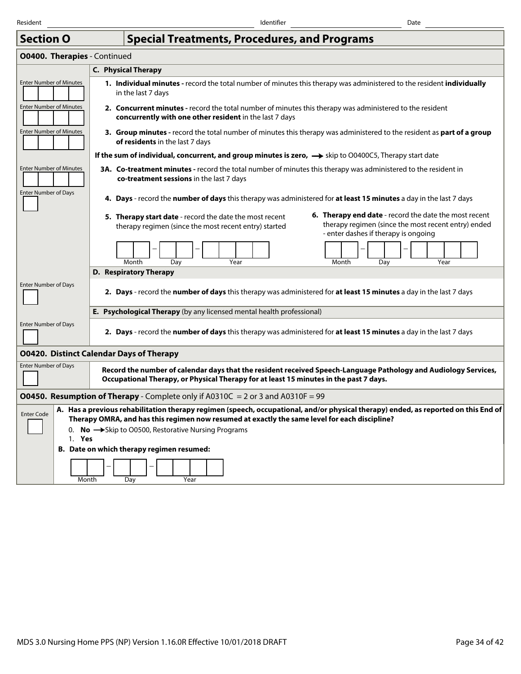| <b>Section O</b>                    | <b>Special Treatments, Procedures, and Programs</b>                                                                                                                                                                                                                                                                     |  |  |  |  |  |  |  |  |  |  |
|-------------------------------------|-------------------------------------------------------------------------------------------------------------------------------------------------------------------------------------------------------------------------------------------------------------------------------------------------------------------------|--|--|--|--|--|--|--|--|--|--|
| <b>O0400. Therapies - Continued</b> |                                                                                                                                                                                                                                                                                                                         |  |  |  |  |  |  |  |  |  |  |
|                                     | <b>C.</b> Physical Therapy                                                                                                                                                                                                                                                                                              |  |  |  |  |  |  |  |  |  |  |
| <b>Enter Number of Minutes</b>      | 1. Individual minutes - record the total number of minutes this therapy was administered to the resident individually<br>in the last 7 days                                                                                                                                                                             |  |  |  |  |  |  |  |  |  |  |
| <b>Enter Number of Minutes</b>      | 2. Concurrent minutes - record the total number of minutes this therapy was administered to the resident<br>concurrently with one other resident in the last 7 days                                                                                                                                                     |  |  |  |  |  |  |  |  |  |  |
| <b>Enter Number of Minutes</b>      | 3. Group minutes - record the total number of minutes this therapy was administered to the resident as part of a group<br>of residents in the last 7 days                                                                                                                                                               |  |  |  |  |  |  |  |  |  |  |
|                                     | If the sum of individual, concurrent, and group minutes is zero, $\rightarrow$ skip to 00400C5, Therapy start date                                                                                                                                                                                                      |  |  |  |  |  |  |  |  |  |  |
| <b>Enter Number of Minutes</b>      | 3A. Co-treatment minutes - record the total number of minutes this therapy was administered to the resident in<br>co-treatment sessions in the last 7 days                                                                                                                                                              |  |  |  |  |  |  |  |  |  |  |
| <b>Enter Number of Days</b>         | 4. Days - record the number of days this therapy was administered for at least 15 minutes a day in the last 7 days                                                                                                                                                                                                      |  |  |  |  |  |  |  |  |  |  |
|                                     | 6. Therapy end date - record the date the most recent<br>5. Therapy start date - record the date the most recent<br>therapy regimen (since the most recent entry) ended<br>therapy regimen (since the most recent entry) started<br>- enter dashes if therapy is ongoing                                                |  |  |  |  |  |  |  |  |  |  |
|                                     | Month<br>Dav<br>Year<br>Month<br>Year<br>Day                                                                                                                                                                                                                                                                            |  |  |  |  |  |  |  |  |  |  |
|                                     | D. Respiratory Therapy                                                                                                                                                                                                                                                                                                  |  |  |  |  |  |  |  |  |  |  |
| <b>Enter Number of Days</b>         | 2. Days - record the number of days this therapy was administered for at least 15 minutes a day in the last 7 days                                                                                                                                                                                                      |  |  |  |  |  |  |  |  |  |  |
|                                     | E. Psychological Therapy (by any licensed mental health professional)                                                                                                                                                                                                                                                   |  |  |  |  |  |  |  |  |  |  |
| <b>Enter Number of Days</b>         | 2. Days - record the number of days this therapy was administered for at least 15 minutes a day in the last 7 days                                                                                                                                                                                                      |  |  |  |  |  |  |  |  |  |  |
|                                     | <b>00420. Distinct Calendar Days of Therapy</b>                                                                                                                                                                                                                                                                         |  |  |  |  |  |  |  |  |  |  |
| <b>Enter Number of Days</b>         | Record the number of calendar days that the resident received Speech-Language Pathology and Audiology Services,<br>Occupational Therapy, or Physical Therapy for at least 15 minutes in the past 7 days.                                                                                                                |  |  |  |  |  |  |  |  |  |  |
|                                     | <b>O0450. Resumption of Therapy</b> - Complete only if A0310C = 2 or 3 and A0310F = 99                                                                                                                                                                                                                                  |  |  |  |  |  |  |  |  |  |  |
| <b>Enter Code</b>                   | A. Has a previous rehabilitation therapy regimen (speech, occupational, and/or physical therapy) ended, as reported on this End of<br>Therapy OMRA, and has this regimen now resumed at exactly the same level for each discipline?<br>0. <b>No</b> $\rightarrow$ Skip to 00500, Restorative Nursing Programs<br>1. Yes |  |  |  |  |  |  |  |  |  |  |
|                                     | B. Date on which therapy regimen resumed:                                                                                                                                                                                                                                                                               |  |  |  |  |  |  |  |  |  |  |
| Month                               | Day<br>Year                                                                                                                                                                                                                                                                                                             |  |  |  |  |  |  |  |  |  |  |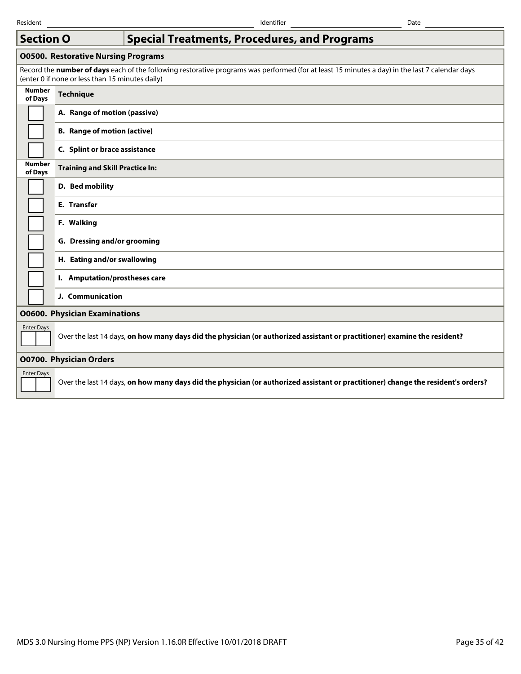| <b>Section O</b>                                                                                                                                                                                  |                                            | <b>Special Treatments, Procedures, and Programs</b>                                                                               |  |  |  |  |  |  |  |  |
|---------------------------------------------------------------------------------------------------------------------------------------------------------------------------------------------------|--------------------------------------------|-----------------------------------------------------------------------------------------------------------------------------------|--|--|--|--|--|--|--|--|
|                                                                                                                                                                                                   | <b>O0500. Restorative Nursing Programs</b> |                                                                                                                                   |  |  |  |  |  |  |  |  |
| Record the number of days each of the following restorative programs was performed (for at least 15 minutes a day) in the last 7 calendar days<br>(enter 0 if none or less than 15 minutes daily) |                                            |                                                                                                                                   |  |  |  |  |  |  |  |  |
| <b>Number</b><br>of Days                                                                                                                                                                          | <b>Technique</b>                           |                                                                                                                                   |  |  |  |  |  |  |  |  |
|                                                                                                                                                                                                   | A. Range of motion (passive)               |                                                                                                                                   |  |  |  |  |  |  |  |  |
|                                                                                                                                                                                                   | <b>B.</b> Range of motion (active)         |                                                                                                                                   |  |  |  |  |  |  |  |  |
|                                                                                                                                                                                                   | C. Splint or brace assistance              |                                                                                                                                   |  |  |  |  |  |  |  |  |
| <b>Number</b><br>of Days                                                                                                                                                                          | <b>Training and Skill Practice In:</b>     |                                                                                                                                   |  |  |  |  |  |  |  |  |
|                                                                                                                                                                                                   | D. Bed mobility                            |                                                                                                                                   |  |  |  |  |  |  |  |  |
|                                                                                                                                                                                                   | E. Transfer                                |                                                                                                                                   |  |  |  |  |  |  |  |  |
|                                                                                                                                                                                                   | F. Walking                                 |                                                                                                                                   |  |  |  |  |  |  |  |  |
|                                                                                                                                                                                                   | G. Dressing and/or grooming                |                                                                                                                                   |  |  |  |  |  |  |  |  |
|                                                                                                                                                                                                   | H. Eating and/or swallowing                |                                                                                                                                   |  |  |  |  |  |  |  |  |
|                                                                                                                                                                                                   | I. Amputation/prostheses care              |                                                                                                                                   |  |  |  |  |  |  |  |  |
|                                                                                                                                                                                                   | J. Communication                           |                                                                                                                                   |  |  |  |  |  |  |  |  |
|                                                                                                                                                                                                   | <b>O0600. Physician Examinations</b>       |                                                                                                                                   |  |  |  |  |  |  |  |  |
| <b>Enter Days</b>                                                                                                                                                                                 |                                            | Over the last 14 days, on how many days did the physician (or authorized assistant or practitioner) examine the resident?         |  |  |  |  |  |  |  |  |
|                                                                                                                                                                                                   | <b>00700. Physician Orders</b>             |                                                                                                                                   |  |  |  |  |  |  |  |  |
| <b>Enter Days</b>                                                                                                                                                                                 |                                            | Over the last 14 days, on how many days did the physician (or authorized assistant or practitioner) change the resident's orders? |  |  |  |  |  |  |  |  |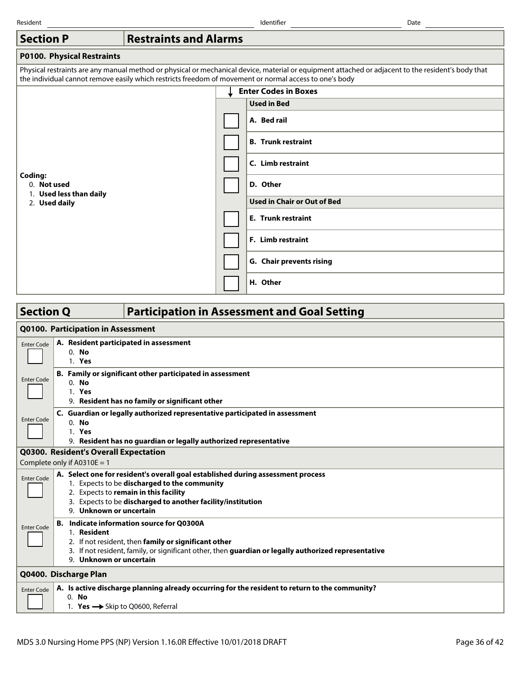| <b>Section P</b>                                                                                                                                                                                                                                             | <b>Restraints and Alarms</b> |  |                                    |  |  |  |  |  |  |
|--------------------------------------------------------------------------------------------------------------------------------------------------------------------------------------------------------------------------------------------------------------|------------------------------|--|------------------------------------|--|--|--|--|--|--|
| <b>P0100. Physical Restraints</b>                                                                                                                                                                                                                            |                              |  |                                    |  |  |  |  |  |  |
| Physical restraints are any manual method or physical or mechanical device, material or equipment attached or adjacent to the resident's body that<br>the individual cannot remove easily which restricts freedom of movement or normal access to one's body |                              |  |                                    |  |  |  |  |  |  |
|                                                                                                                                                                                                                                                              |                              |  | <b>Enter Codes in Boxes</b>        |  |  |  |  |  |  |
|                                                                                                                                                                                                                                                              |                              |  | <b>Used in Bed</b>                 |  |  |  |  |  |  |
|                                                                                                                                                                                                                                                              |                              |  | A. Bed rail                        |  |  |  |  |  |  |
|                                                                                                                                                                                                                                                              |                              |  | <b>B.</b> Trunk restraint          |  |  |  |  |  |  |
|                                                                                                                                                                                                                                                              |                              |  | C. Limb restraint                  |  |  |  |  |  |  |
| Coding:<br>0. Not used<br>1. Used less than daily                                                                                                                                                                                                            |                              |  | D. Other                           |  |  |  |  |  |  |
| 2. Used daily                                                                                                                                                                                                                                                |                              |  | <b>Used in Chair or Out of Bed</b> |  |  |  |  |  |  |
|                                                                                                                                                                                                                                                              |                              |  | <b>E.</b> Trunk restraint          |  |  |  |  |  |  |
|                                                                                                                                                                                                                                                              |                              |  | F. Limb restraint                  |  |  |  |  |  |  |
|                                                                                                                                                                                                                                                              |                              |  | G. Chair prevents rising           |  |  |  |  |  |  |
|                                                                                                                                                                                                                                                              |                              |  | H. Other                           |  |  |  |  |  |  |

| <b>Section Q</b>  |                                                                                                                                  | <b>Participation in Assessment and Goal Setting</b>                                                                                                                                                                                     |  |  |  |  |  |  |  |  |  |
|-------------------|----------------------------------------------------------------------------------------------------------------------------------|-----------------------------------------------------------------------------------------------------------------------------------------------------------------------------------------------------------------------------------------|--|--|--|--|--|--|--|--|--|
|                   | Q0100. Participation in Assessment                                                                                               |                                                                                                                                                                                                                                         |  |  |  |  |  |  |  |  |  |
| <b>Enter Code</b> | $0.$ No<br>1. Yes                                                                                                                | A. Resident participated in assessment                                                                                                                                                                                                  |  |  |  |  |  |  |  |  |  |
| <b>Enter Code</b> | B. Family or significant other participated in assessment<br>$0.$ No<br>1. Yes<br>9. Resident has no family or significant other |                                                                                                                                                                                                                                         |  |  |  |  |  |  |  |  |  |
| <b>Enter Code</b> | $0.$ No<br>1. Yes                                                                                                                | C. Guardian or legally authorized representative participated in assessment<br>9. Resident has no guardian or legally authorized representative                                                                                         |  |  |  |  |  |  |  |  |  |
|                   | Q0300. Resident's Overall Expectation<br>Complete only if A0310E = 1                                                             |                                                                                                                                                                                                                                         |  |  |  |  |  |  |  |  |  |
| <b>Enter Code</b> | 9. Unknown or uncertain                                                                                                          | A. Select one for resident's overall goal established during assessment process<br>1. Expects to be discharged to the community<br>2. Expects to remain in this facility<br>3. Expects to be discharged to another facility/institution |  |  |  |  |  |  |  |  |  |
| <b>Enter Code</b> | 1. Resident<br>9. Unknown or uncertain                                                                                           | <b>B.</b> Indicate information source for Q0300A<br>2. If not resident, then family or significant other<br>3. If not resident, family, or significant other, then guardian or legally authorized representative                        |  |  |  |  |  |  |  |  |  |
|                   | Q0400. Discharge Plan                                                                                                            |                                                                                                                                                                                                                                         |  |  |  |  |  |  |  |  |  |
| <b>Enter Code</b> | $0.$ No                                                                                                                          | A. Is active discharge planning already occurring for the resident to return to the community?<br>1. Yes $\rightarrow$ Skip to Q0600, Referral                                                                                          |  |  |  |  |  |  |  |  |  |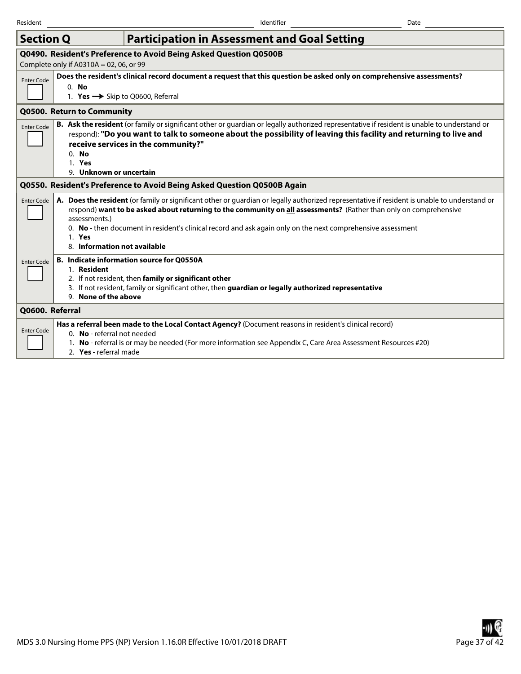| <b>Section Q</b>  |                                                                                                                                                                                  | <b>Participation in Assessment and Goal Setting</b>                                                                                                                                                                                                                                                                                                                              |  |  |  |  |  |  |  |  |  |
|-------------------|----------------------------------------------------------------------------------------------------------------------------------------------------------------------------------|----------------------------------------------------------------------------------------------------------------------------------------------------------------------------------------------------------------------------------------------------------------------------------------------------------------------------------------------------------------------------------|--|--|--|--|--|--|--|--|--|
|                   | Q0490. Resident's Preference to Avoid Being Asked Question Q0500B                                                                                                                |                                                                                                                                                                                                                                                                                                                                                                                  |  |  |  |  |  |  |  |  |  |
|                   | Complete only if A0310A = 02, 06, or 99                                                                                                                                          |                                                                                                                                                                                                                                                                                                                                                                                  |  |  |  |  |  |  |  |  |  |
| <b>Enter Code</b> | Does the resident's clinical record document a request that this question be asked only on comprehensive assessments?<br>$0.$ No<br>1. Yes $\rightarrow$ Skip to Q0600, Referral |                                                                                                                                                                                                                                                                                                                                                                                  |  |  |  |  |  |  |  |  |  |
|                   | Q0500. Return to Community                                                                                                                                                       |                                                                                                                                                                                                                                                                                                                                                                                  |  |  |  |  |  |  |  |  |  |
| <b>Enter Code</b> | $0.$ No<br>1. Yes<br>9. Unknown or uncertain                                                                                                                                     | B. Ask the resident (or family or significant other or guardian or legally authorized representative if resident is unable to understand or<br>respond): "Do you want to talk to someone about the possibility of leaving this facility and returning to live and<br>receive services in the community?"                                                                         |  |  |  |  |  |  |  |  |  |
|                   |                                                                                                                                                                                  | Q0550. Resident's Preference to Avoid Being Asked Question Q0500B Again                                                                                                                                                                                                                                                                                                          |  |  |  |  |  |  |  |  |  |
| Enter Code        | assessments.)<br>1. Yes<br>8. Information not available                                                                                                                          | A. Does the resident (or family or significant other or guardian or legally authorized representative if resident is unable to understand or<br>respond) want to be asked about returning to the community on all assessments? (Rather than only on comprehensive<br>0. No - then document in resident's clinical record and ask again only on the next comprehensive assessment |  |  |  |  |  |  |  |  |  |
| Enter Code        | 1. Resident<br>9. None of the above                                                                                                                                              | <b>B. Indicate information source for Q0550A</b><br>2. If not resident, then family or significant other<br>3. If not resident, family or significant other, then guardian or legally authorized representative                                                                                                                                                                  |  |  |  |  |  |  |  |  |  |
| Q0600. Referral   |                                                                                                                                                                                  |                                                                                                                                                                                                                                                                                                                                                                                  |  |  |  |  |  |  |  |  |  |
| <b>Enter Code</b> | 0. No - referral not needed<br>2. Yes - referral made                                                                                                                            | Has a referral been made to the Local Contact Agency? (Document reasons in resident's clinical record)<br>1. No - referral is or may be needed (For more information see Appendix C, Care Area Assessment Resources #20)                                                                                                                                                         |  |  |  |  |  |  |  |  |  |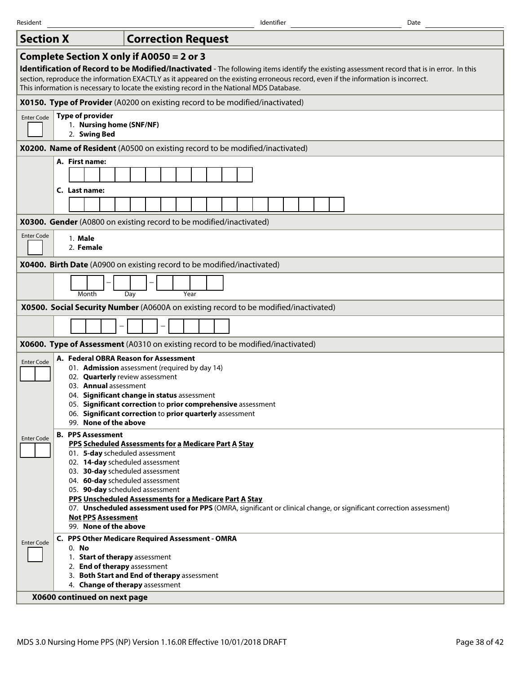| <b>Section X</b>                                                                                                             | <b>Correction Request</b>                                                                                                                                                                                                                                                                                                                                                                                                          |  |  |  |  |  |  |  |  |  |  |
|------------------------------------------------------------------------------------------------------------------------------|------------------------------------------------------------------------------------------------------------------------------------------------------------------------------------------------------------------------------------------------------------------------------------------------------------------------------------------------------------------------------------------------------------------------------------|--|--|--|--|--|--|--|--|--|--|
|                                                                                                                              | Complete Section X only if $A0050 = 2$ or 3<br>Identification of Record to be Modified/Inactivated - The following items identify the existing assessment record that is in error. In this<br>section, reproduce the information EXACTLY as it appeared on the existing erroneous record, even if the information is incorrect.<br>This information is necessary to locate the existing record in the National MDS Database.       |  |  |  |  |  |  |  |  |  |  |
|                                                                                                                              | <b>X0150. Type of Provider</b> (A0200 on existing record to be modified/inactivated)                                                                                                                                                                                                                                                                                                                                               |  |  |  |  |  |  |  |  |  |  |
| <b>Type of provider</b><br><b>Enter Code</b><br>1. Nursing home (SNF/NF)<br>2. Swing Bed                                     |                                                                                                                                                                                                                                                                                                                                                                                                                                    |  |  |  |  |  |  |  |  |  |  |
|                                                                                                                              | X0200. Name of Resident (A0500 on existing record to be modified/inactivated)                                                                                                                                                                                                                                                                                                                                                      |  |  |  |  |  |  |  |  |  |  |
| A. First name:<br>C. Last name:                                                                                              |                                                                                                                                                                                                                                                                                                                                                                                                                                    |  |  |  |  |  |  |  |  |  |  |
|                                                                                                                              | X0300. Gender (A0800 on existing record to be modified/inactivated)                                                                                                                                                                                                                                                                                                                                                                |  |  |  |  |  |  |  |  |  |  |
| <b>Enter Code</b><br>1. Male<br>2. Female                                                                                    |                                                                                                                                                                                                                                                                                                                                                                                                                                    |  |  |  |  |  |  |  |  |  |  |
|                                                                                                                              | X0400. Birth Date (A0900 on existing record to be modified/inactivated)                                                                                                                                                                                                                                                                                                                                                            |  |  |  |  |  |  |  |  |  |  |
| Month                                                                                                                        | Year<br>Day                                                                                                                                                                                                                                                                                                                                                                                                                        |  |  |  |  |  |  |  |  |  |  |
|                                                                                                                              | X0500. Social Security Number (A0600A on existing record to be modified/inactivated)                                                                                                                                                                                                                                                                                                                                               |  |  |  |  |  |  |  |  |  |  |
|                                                                                                                              |                                                                                                                                                                                                                                                                                                                                                                                                                                    |  |  |  |  |  |  |  |  |  |  |
|                                                                                                                              | X0600. Type of Assessment (A0310 on existing record to be modified/inactivated)                                                                                                                                                                                                                                                                                                                                                    |  |  |  |  |  |  |  |  |  |  |
| <b>Enter Code</b><br>03. Annual assessment<br>99. None of the above                                                          | A. Federal OBRA Reason for Assessment<br>01. Admission assessment (required by day 14)<br>02. Quarterly review assessment<br>04. Significant change in status assessment<br>05. Significant correction to prior comprehensive assessment<br>06. Significant correction to prior quarterly assessment                                                                                                                               |  |  |  |  |  |  |  |  |  |  |
| <b>B. PPS Assessment</b><br><b>Enter Code</b><br><b>Not PPS Assessment</b><br>99. None of the above                          | <b>PPS Scheduled Assessments for a Medicare Part A Stay</b><br>01. 5-day scheduled assessment<br>02. 14-day scheduled assessment<br>03. 30-day scheduled assessment<br>04. 60-day scheduled assessment<br>05. <b>90-day</b> scheduled assessment<br>PPS Unscheduled Assessments for a Medicare Part A Stay<br>07. Unscheduled assessment used for PPS (OMRA, significant or clinical change, or significant correction assessment) |  |  |  |  |  |  |  |  |  |  |
| <b>Enter Code</b><br>0. No<br>1. Start of therapy assessment<br>2. End of therapy assessment<br>X0600 continued on next page | C. PPS Other Medicare Required Assessment - OMRA<br>3. Both Start and End of therapy assessment<br>4. Change of therapy assessment                                                                                                                                                                                                                                                                                                 |  |  |  |  |  |  |  |  |  |  |
|                                                                                                                              |                                                                                                                                                                                                                                                                                                                                                                                                                                    |  |  |  |  |  |  |  |  |  |  |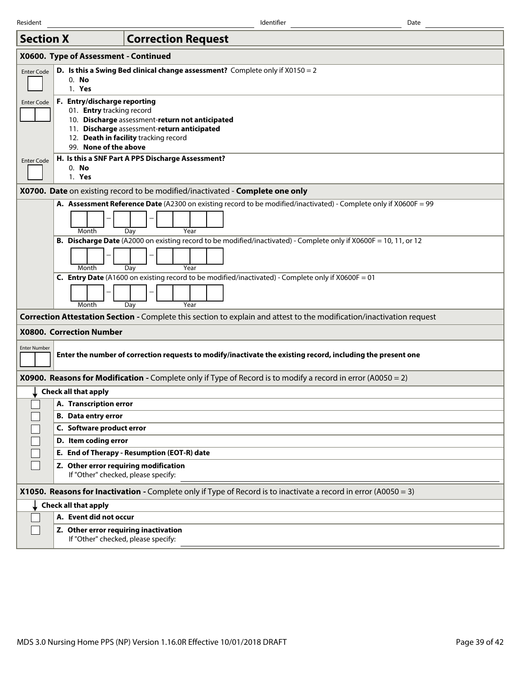| <b>Section X</b>    |                                                                                    | <b>Correction Request</b>                                                                                                               |  |  |  |  |  |  |  |  |  |
|---------------------|------------------------------------------------------------------------------------|-----------------------------------------------------------------------------------------------------------------------------------------|--|--|--|--|--|--|--|--|--|
|                     | X0600. Type of Assessment - Continued                                              |                                                                                                                                         |  |  |  |  |  |  |  |  |  |
| <b>Enter Code</b>   | 0. No<br>1. Yes                                                                    | <b>D.</b> Is this a Swing Bed clinical change assessment? Complete only if $X0150 = 2$                                                  |  |  |  |  |  |  |  |  |  |
| <b>Enter Code</b>   | F. Entry/discharge reporting<br>01. Entry tracking record<br>99. None of the above | 10. Discharge assessment-return not anticipated<br>11. Discharge assessment-return anticipated<br>12. Death in facility tracking record |  |  |  |  |  |  |  |  |  |
| <b>Enter Code</b>   | 0. No<br>1. Yes                                                                    | H. Is this a SNF Part A PPS Discharge Assessment?                                                                                       |  |  |  |  |  |  |  |  |  |
|                     |                                                                                    | X0700. Date on existing record to be modified/inactivated - Complete one only                                                           |  |  |  |  |  |  |  |  |  |
|                     | Month                                                                              | A. Assessment Reference Date (A2300 on existing record to be modified/inactivated) - Complete only if X0600F = 99<br>Year<br>Dav        |  |  |  |  |  |  |  |  |  |
|                     | Month                                                                              | <b>B.</b> Discharge Date (A2000 on existing record to be modified/inactivated) - Complete only if X0600F = 10, 11, or 12<br>Year<br>Day |  |  |  |  |  |  |  |  |  |
|                     | Month                                                                              | C. Entry Date (A1600 on existing record to be modified/inactivated) - Complete only if X0600F = 01<br>Year<br>Day                       |  |  |  |  |  |  |  |  |  |
|                     |                                                                                    | Correction Attestation Section - Complete this section to explain and attest to the modification/inactivation request                   |  |  |  |  |  |  |  |  |  |
|                     | X0800. Correction Number                                                           |                                                                                                                                         |  |  |  |  |  |  |  |  |  |
| <b>Enter Number</b> |                                                                                    | Enter the number of correction requests to modify/inactivate the existing record, including the present one                             |  |  |  |  |  |  |  |  |  |
|                     |                                                                                    | <b>X0900. Reasons for Modification</b> - Complete only if Type of Record is to modify a record in error (A0050 = 2)                     |  |  |  |  |  |  |  |  |  |
|                     | <b>Check all that apply</b>                                                        |                                                                                                                                         |  |  |  |  |  |  |  |  |  |
|                     | A. Transcription error                                                             |                                                                                                                                         |  |  |  |  |  |  |  |  |  |
|                     | <b>B.</b> Data entry error                                                         |                                                                                                                                         |  |  |  |  |  |  |  |  |  |
|                     | C. Software product error                                                          |                                                                                                                                         |  |  |  |  |  |  |  |  |  |
|                     | D. Item coding error                                                               |                                                                                                                                         |  |  |  |  |  |  |  |  |  |
|                     |                                                                                    | E. End of Therapy - Resumption (EOT-R) date<br>Z. Other error requiring modification                                                    |  |  |  |  |  |  |  |  |  |
|                     | If "Other" checked, please specify:                                                |                                                                                                                                         |  |  |  |  |  |  |  |  |  |
|                     |                                                                                    | <b>X1050. Reasons for Inactivation -</b> Complete only if Type of Record is to inactivate a record in error (A0050 = 3)                 |  |  |  |  |  |  |  |  |  |
|                     | Check all that apply                                                               |                                                                                                                                         |  |  |  |  |  |  |  |  |  |
|                     | A. Event did not occur                                                             |                                                                                                                                         |  |  |  |  |  |  |  |  |  |
|                     | Z. Other error requiring inactivation<br>If "Other" checked, please specify:       |                                                                                                                                         |  |  |  |  |  |  |  |  |  |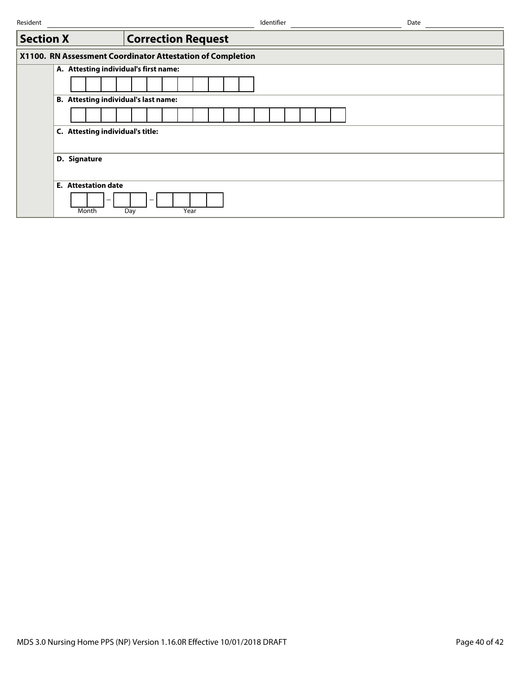L

Resident 2008 and 2008 and 2008 and 2008 and 2008 and 2008 and 2008 and 2008 and 2008 and 2008 and 2008 and 200

| <b>Section X</b> |                                                            |                                             |  |   |     |  |  |  |      |  | <b>Correction Request</b> |  |  |  |  |  |  |
|------------------|------------------------------------------------------------|---------------------------------------------|--|---|-----|--|--|--|------|--|---------------------------|--|--|--|--|--|--|
|                  | X1100. RN Assessment Coordinator Attestation of Completion |                                             |  |   |     |  |  |  |      |  |                           |  |  |  |  |  |  |
|                  |                                                            | A. Attesting individual's first name:       |  |   |     |  |  |  |      |  |                           |  |  |  |  |  |  |
|                  |                                                            |                                             |  |   |     |  |  |  |      |  |                           |  |  |  |  |  |  |
|                  |                                                            | <b>B. Attesting individual's last name:</b> |  |   |     |  |  |  |      |  |                           |  |  |  |  |  |  |
|                  |                                                            |                                             |  |   |     |  |  |  |      |  |                           |  |  |  |  |  |  |
|                  |                                                            | C. Attesting individual's title:            |  |   |     |  |  |  |      |  |                           |  |  |  |  |  |  |
|                  |                                                            | D. Signature                                |  |   |     |  |  |  |      |  |                           |  |  |  |  |  |  |
|                  |                                                            | <b>E.</b> Attestation date                  |  |   |     |  |  |  |      |  |                           |  |  |  |  |  |  |
|                  |                                                            | Month                                       |  | - | Day |  |  |  | Year |  |                           |  |  |  |  |  |  |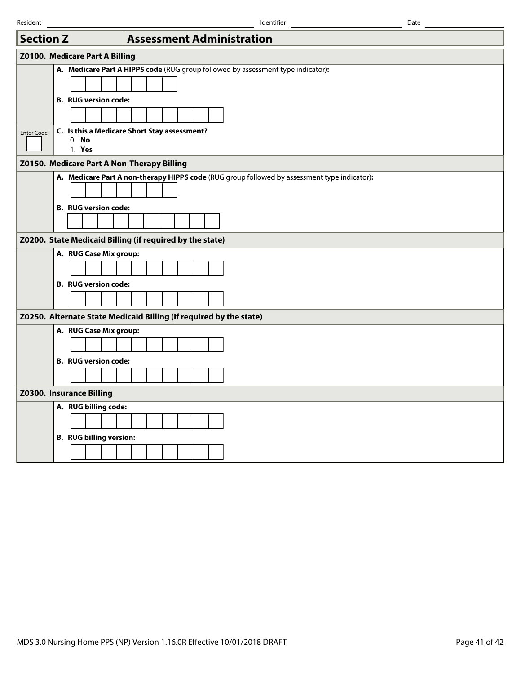| <b>Section Z</b>  |                                            | <b>Assessment Administration</b>                                                             |  |  |  |  |  |  |  |
|-------------------|--------------------------------------------|----------------------------------------------------------------------------------------------|--|--|--|--|--|--|--|
|                   | Z0100. Medicare Part A Billing             |                                                                                              |  |  |  |  |  |  |  |
|                   |                                            | A. Medicare Part A HIPPS code (RUG group followed by assessment type indicator):             |  |  |  |  |  |  |  |
|                   |                                            |                                                                                              |  |  |  |  |  |  |  |
|                   | <b>B. RUG version code:</b>                |                                                                                              |  |  |  |  |  |  |  |
|                   |                                            |                                                                                              |  |  |  |  |  |  |  |
| <b>Enter Code</b> |                                            | C. Is this a Medicare Short Stay assessment?                                                 |  |  |  |  |  |  |  |
|                   | $0.$ No<br>1. Yes                          |                                                                                              |  |  |  |  |  |  |  |
|                   | Z0150. Medicare Part A Non-Therapy Billing |                                                                                              |  |  |  |  |  |  |  |
|                   |                                            | A. Medicare Part A non-therapy HIPPS code (RUG group followed by assessment type indicator): |  |  |  |  |  |  |  |
|                   |                                            |                                                                                              |  |  |  |  |  |  |  |
|                   | <b>B. RUG version code:</b>                |                                                                                              |  |  |  |  |  |  |  |
|                   |                                            |                                                                                              |  |  |  |  |  |  |  |
|                   |                                            |                                                                                              |  |  |  |  |  |  |  |
|                   |                                            | Z0200. State Medicaid Billing (if required by the state)                                     |  |  |  |  |  |  |  |
|                   | A. RUG Case Mix group:                     |                                                                                              |  |  |  |  |  |  |  |
|                   |                                            |                                                                                              |  |  |  |  |  |  |  |
|                   | <b>B. RUG version code:</b>                |                                                                                              |  |  |  |  |  |  |  |
|                   |                                            |                                                                                              |  |  |  |  |  |  |  |
|                   |                                            | Z0250. Alternate State Medicaid Billing (if required by the state)                           |  |  |  |  |  |  |  |
|                   | A. RUG Case Mix group:                     |                                                                                              |  |  |  |  |  |  |  |
|                   |                                            |                                                                                              |  |  |  |  |  |  |  |
|                   | <b>B. RUG version code:</b>                |                                                                                              |  |  |  |  |  |  |  |
|                   |                                            |                                                                                              |  |  |  |  |  |  |  |
|                   | Z0300. Insurance Billing                   |                                                                                              |  |  |  |  |  |  |  |
|                   | A. RUG billing code:                       |                                                                                              |  |  |  |  |  |  |  |
|                   |                                            |                                                                                              |  |  |  |  |  |  |  |
|                   | <b>B. RUG billing version:</b>             |                                                                                              |  |  |  |  |  |  |  |
|                   |                                            |                                                                                              |  |  |  |  |  |  |  |
|                   |                                            |                                                                                              |  |  |  |  |  |  |  |